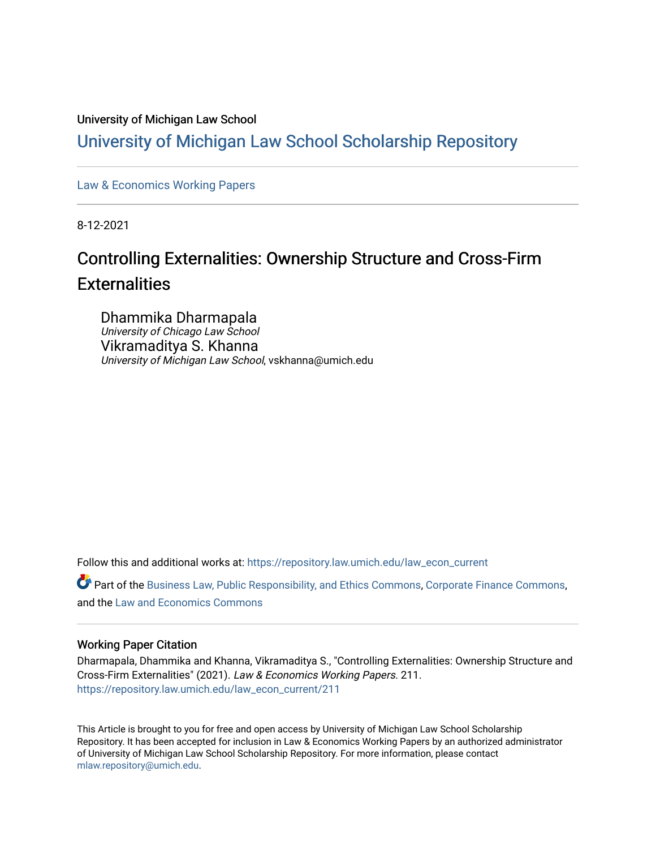#### University of Michigan Law School

## [University of Michigan Law School Scholarship Repository](https://repository.law.umich.edu/)

[Law & Economics Working Papers](https://repository.law.umich.edu/law_econ_current)

8-12-2021

## Controlling Externalities: Ownership Structure and Cross-Firm **Externalities**

Dhammika Dharmapala University of Chicago Law School Vikramaditya S. Khanna University of Michigan Law School, vskhanna@umich.edu

Follow this and additional works at: [https://repository.law.umich.edu/law\\_econ\\_current](https://repository.law.umich.edu/law_econ_current?utm_source=repository.law.umich.edu%2Flaw_econ_current%2F211&utm_medium=PDF&utm_campaign=PDFCoverPages) 

Part of the [Business Law, Public Responsibility, and Ethics Commons](http://network.bepress.com/hgg/discipline/628?utm_source=repository.law.umich.edu%2Flaw_econ_current%2F211&utm_medium=PDF&utm_campaign=PDFCoverPages), [Corporate Finance Commons,](http://network.bepress.com/hgg/discipline/629?utm_source=repository.law.umich.edu%2Flaw_econ_current%2F211&utm_medium=PDF&utm_campaign=PDFCoverPages) and the [Law and Economics Commons](http://network.bepress.com/hgg/discipline/612?utm_source=repository.law.umich.edu%2Flaw_econ_current%2F211&utm_medium=PDF&utm_campaign=PDFCoverPages)

#### Working Paper Citation

Dharmapala, Dhammika and Khanna, Vikramaditya S., "Controlling Externalities: Ownership Structure and Cross-Firm Externalities" (2021). Law & Economics Working Papers. 211. [https://repository.law.umich.edu/law\\_econ\\_current/211](https://repository.law.umich.edu/law_econ_current/211?utm_source=repository.law.umich.edu%2Flaw_econ_current%2F211&utm_medium=PDF&utm_campaign=PDFCoverPages) 

This Article is brought to you for free and open access by University of Michigan Law School Scholarship Repository. It has been accepted for inclusion in Law & Economics Working Papers by an authorized administrator of University of Michigan Law School Scholarship Repository. For more information, please contact [mlaw.repository@umich.edu.](mailto:mlaw.repository@umich.edu)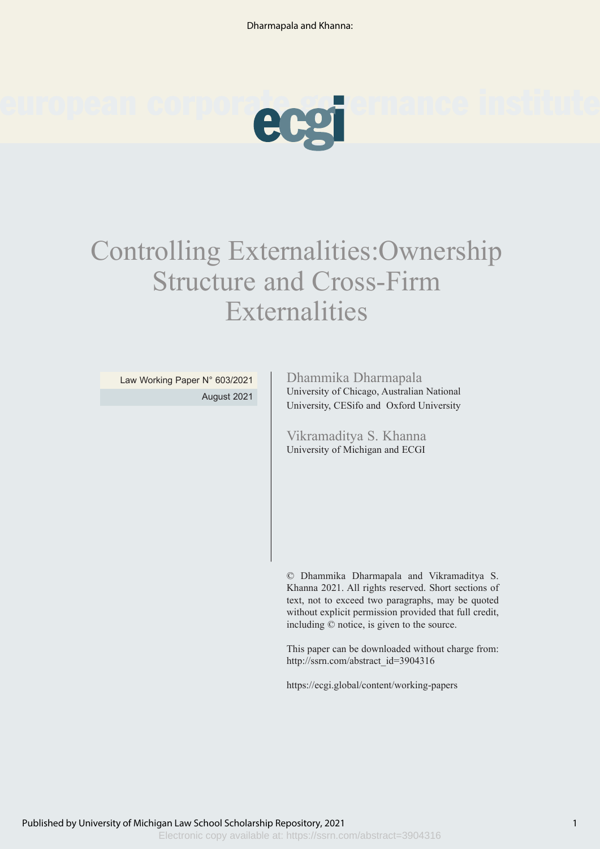

# Controlling Externalities:Ownership Structure and Cross-Firm Externalities

Law Working Paper N° 603/2021 August 2021

#### Dhammika Dharmapala

University of Chicago, Australian National University, CESifo and Oxford University

Vikramaditya S. Khanna University of Michigan and ECGI

© Dhammika Dharmapala and Vikramaditya S. Khanna 2021. All rights reserved. Short sections of text, not to exceed two paragraphs, may be quoted without explicit permission provided that full credit, including © notice, is given to the source.

This paper can be downloaded without charge from: http://ssrn.com/abstract\_id=3904316

https://ecgi.global/content/working-papers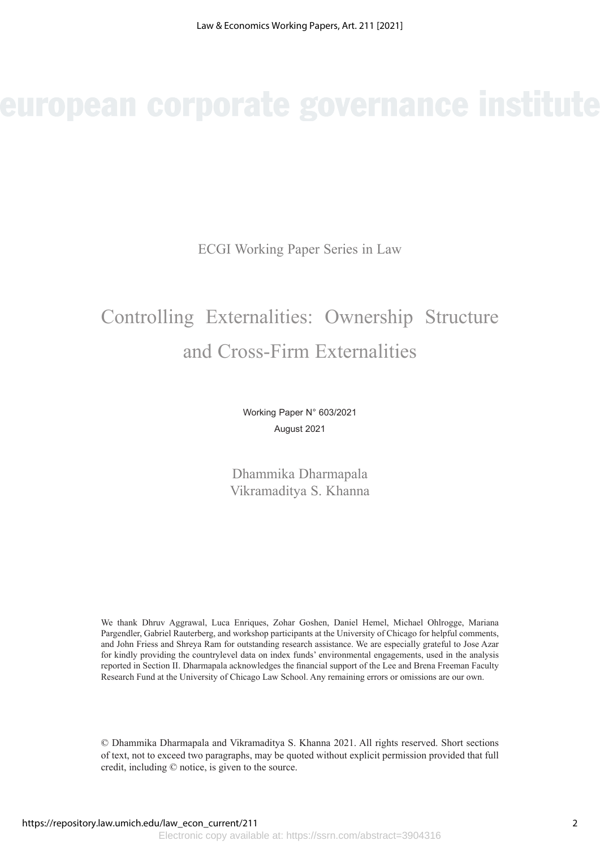ECGI Working Paper Series in Law

## Controlling Externalities: Ownership Structure and Cross-Firm Externalities

Working Paper N° 603/2021 August 2021

Dhammika Dharmapala Vikramaditya S. Khanna

We thank Dhruv Aggrawal, Luca Enriques, Zohar Goshen, Daniel Hemel, Michael Ohlrogge, Mariana Pargendler, Gabriel Rauterberg, and workshop participants at the University of Chicago for helpful comments, and John Friess and Shreya Ram for outstanding research assistance. We are especially grateful to Jose Azar for kindly providing the countrylevel data on index funds' environmental engagements, used in the analysis reported in Section II. Dharmapala acknowledges the financial support of the Lee and Brena Freeman Faculty Research Fund at the University of Chicago Law School. Any remaining errors or omissions are our own.

© Dhammika Dharmapala and Vikramaditya S. Khanna 2021. All rights reserved. Short sections of text, not to exceed two paragraphs, may be quoted without explicit permission provided that full credit, including © notice, is given to the source.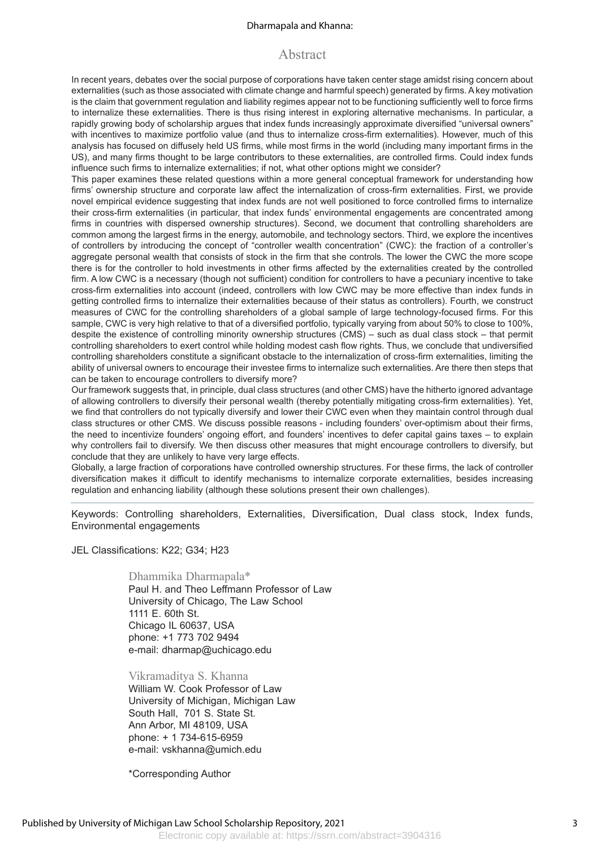#### Dharmapala and Khanna:

#### Abstract

In recent years, debates over the social purpose of corporations have taken center stage amidst rising concern about externalities (such as those associated with climate change and harmful speech) generated by firms. A key motivation is the claim that government regulation and liability regimes appear not to be functioning sufficiently well to force firms to internalize these externalities. There is thus rising interest in exploring alternative mechanisms. In particular, a rapidly growing body of scholarship argues that index funds increasingly approximate diversified "universal owners" with incentives to maximize portfolio value (and thus to internalize cross-firm externalities). However, much of this analysis has focused on diffusely held US firms, while most firms in the world (including many important firms in the US), and many firms thought to be large contributors to these externalities, are controlled firms. Could index funds influence such firms to internalize externalities; if not, what other options might we consider?

This paper examines these related questions within a more general conceptual framework for understanding how firms' ownership structure and corporate law affect the internalization of cross-firm externalities. First, we provide novel empirical evidence suggesting that index funds are not well positioned to force controlled firms to internalize their cross-firm externalities (in particular, that index funds' environmental engagements are concentrated among firms in countries with dispersed ownership structures). Second, we document that controlling shareholders are common among the largest firms in the energy, automobile, and technology sectors. Third, we explore the incentives of controllers by introducing the concept of "controller wealth concentration" (CWC): the fraction of a controller's aggregate personal wealth that consists of stock in the firm that she controls. The lower the CWC the more scope there is for the controller to hold investments in other firms affected by the externalities created by the controlled firm. A low CWC is a necessary (though not sufficient) condition for controllers to have a pecuniary incentive to take cross-firm externalities into account (indeed, controllers with low CWC may be more effective than index funds in getting controlled firms to internalize their externalities because of their status as controllers). Fourth, we construct measures of CWC for the controlling shareholders of a global sample of large technology-focused firms. For this sample, CWC is very high relative to that of a diversified portfolio, typically varying from about 50% to close to 100%, despite the existence of controlling minority ownership structures (CMS) – such as dual class stock – that permit controlling shareholders to exert control while holding modest cash flow rights. Thus, we conclude that undiversified controlling shareholders constitute a significant obstacle to the internalization of cross-firm externalities, limiting the ability of universal owners to encourage their investee firms to internalize such externalities. Are there then steps that can be taken to encourage controllers to diversify more?

Our framework suggests that, in principle, dual class structures (and other CMS) have the hitherto ignored advantage of allowing controllers to diversify their personal wealth (thereby potentially mitigating cross-firm externalities). Yet, we find that controllers do not typically diversify and lower their CWC even when they maintain control through dual class structures or other CMS. We discuss possible reasons - including founders' over-optimism about their firms, the need to incentivize founders' ongoing effort, and founders' incentives to defer capital gains taxes – to explain why controllers fail to diversify. We then discuss other measures that might encourage controllers to diversify, but conclude that they are unlikely to have very large effects.

Globally, a large fraction of corporations have controlled ownership structures. For these firms, the lack of controller diversification makes it difficult to identify mechanisms to internalize corporate externalities, besides increasing regulation and enhancing liability (although these solutions present their own challenges).

Keywords: Controlling shareholders, Externalities, Diversification, Dual class stock, Index funds, Environmental engagements

JEL Classifications: K22; G34; H23

#### Dhammika Dharmapala\*

Paul H. and Theo Leffmann Professor of Law University of Chicago, The Law School 1111 E. 60th St. Chicago IL 60637, USA phone: +1 773 702 9494 e-mail: dharmap@uchicago.edu

#### Vikramaditya S. Khanna

William W. Cook Professor of Law University of Michigan, Michigan Law South Hall, 701 S. State St. Ann Arbor, MI 48109, USA phone: + 1 734-615-6959 e-mail: vskhanna@umich.edu

\*Corresponding Author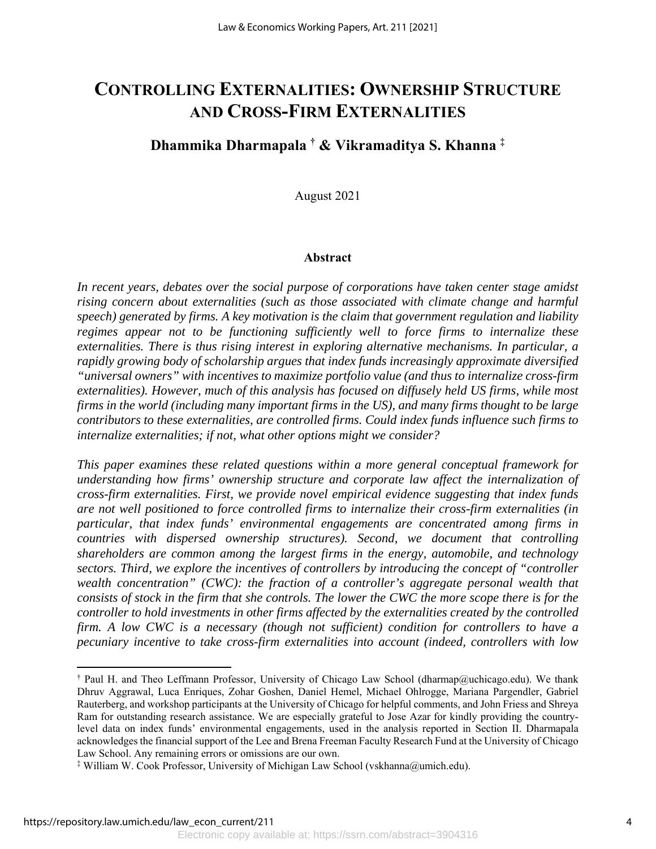## **CONTROLLING EXTERNALITIES: OWNERSHIP STRUCTURE AND CROSS-FIRM EXTERNALITIES**

### **Dhammika Dharmapala † & Vikramaditya S. Khanna ‡**

August 2021

#### **Abstract**

*In recent years, debates over the social purpose of corporations have taken center stage amidst rising concern about externalities (such as those associated with climate change and harmful speech) generated by firms. A key motivation is the claim that government regulation and liability regimes appear not to be functioning sufficiently well to force firms to internalize these externalities. There is thus rising interest in exploring alternative mechanisms. In particular, a rapidly growing body of scholarship argues that index funds increasingly approximate diversified "universal owners" with incentives to maximize portfolio value (and thus to internalize cross-firm externalities). However, much of this analysis has focused on diffusely held US firms, while most firms in the world (including many important firms in the US), and many firms thought to be large contributors to these externalities, are controlled firms. Could index funds influence such firms to internalize externalities; if not, what other options might we consider?* 

*This paper examines these related questions within a more general conceptual framework for understanding how firms' ownership structure and corporate law affect the internalization of cross-firm externalities. First, we provide novel empirical evidence suggesting that index funds are not well positioned to force controlled firms to internalize their cross-firm externalities (in particular, that index funds' environmental engagements are concentrated among firms in countries with dispersed ownership structures). Second, we document that controlling shareholders are common among the largest firms in the energy, automobile, and technology sectors. Third, we explore the incentives of controllers by introducing the concept of "controller wealth concentration" (CWC): the fraction of a controller's aggregate personal wealth that consists of stock in the firm that she controls. The lower the CWC the more scope there is for the controller to hold investments in other firms affected by the externalities created by the controlled firm. A low CWC is a necessary (though not sufficient) condition for controllers to have a pecuniary incentive to take cross-firm externalities into account (indeed, controllers with low* 

 $\overline{a}$ 

<sup>†</sup> Paul H. and Theo Leffmann Professor, University of Chicago Law School (dharmap@uchicago.edu). We thank Dhruv Aggrawal, Luca Enriques, Zohar Goshen, Daniel Hemel, Michael Ohlrogge, Mariana Pargendler, Gabriel Rauterberg, and workshop participants at the University of Chicago for helpful comments, and John Friess and Shreya Ram for outstanding research assistance. We are especially grateful to Jose Azar for kindly providing the countrylevel data on index funds' environmental engagements, used in the analysis reported in Section II. Dharmapala acknowledges the financial support of the Lee and Brena Freeman Faculty Research Fund at the University of Chicago Law School. Any remaining errors or omissions are our own.

<sup>‡</sup> William W. Cook Professor, University of Michigan Law School (vskhanna@umich.edu).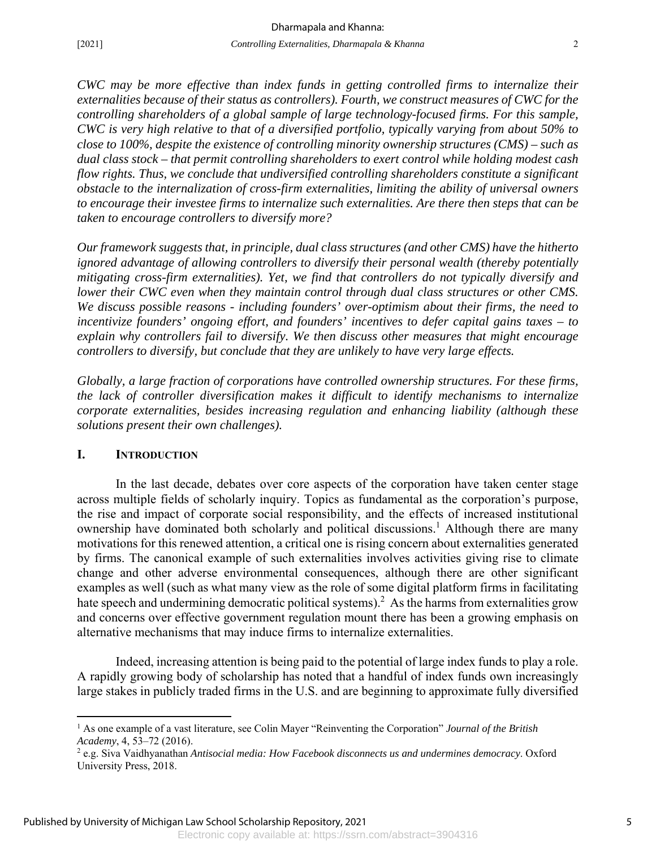*CWC may be more effective than index funds in getting controlled firms to internalize their externalities because of their status as controllers). Fourth, we construct measures of CWC for the controlling shareholders of a global sample of large technology-focused firms. For this sample, CWC is very high relative to that of a diversified portfolio, typically varying from about 50% to close to 100%, despite the existence of controlling minority ownership structures (CMS) – such as dual class stock – that permit controlling shareholders to exert control while holding modest cash flow rights. Thus, we conclude that undiversified controlling shareholders constitute a significant obstacle to the internalization of cross-firm externalities, limiting the ability of universal owners to encourage their investee firms to internalize such externalities. Are there then steps that can be taken to encourage controllers to diversify more?* 

*Our framework suggests that, in principle, dual class structures (and other CMS) have the hitherto ignored advantage of allowing controllers to diversify their personal wealth (thereby potentially mitigating cross-firm externalities). Yet, we find that controllers do not typically diversify and lower their CWC even when they maintain control through dual class structures or other CMS. We discuss possible reasons - including founders' over-optimism about their firms, the need to incentivize founders' ongoing effort, and founders' incentives to defer capital gains taxes – to explain why controllers fail to diversify. We then discuss other measures that might encourage controllers to diversify, but conclude that they are unlikely to have very large effects.* 

*Globally, a large fraction of corporations have controlled ownership structures. For these firms, the lack of controller diversification makes it difficult to identify mechanisms to internalize corporate externalities, besides increasing regulation and enhancing liability (although these solutions present their own challenges).* 

#### **I. INTRODUCTION**

 $\overline{a}$ 

In the last decade, debates over core aspects of the corporation have taken center stage across multiple fields of scholarly inquiry. Topics as fundamental as the corporation's purpose, the rise and impact of corporate social responsibility, and the effects of increased institutional ownership have dominated both scholarly and political discussions.<sup>1</sup> Although there are many motivations for this renewed attention, a critical one is rising concern about externalities generated by firms. The canonical example of such externalities involves activities giving rise to climate change and other adverse environmental consequences, although there are other significant examples as well (such as what many view as the role of some digital platform firms in facilitating hate speech and undermining democratic political systems).<sup>2</sup> As the harms from externalities grow and concerns over effective government regulation mount there has been a growing emphasis on alternative mechanisms that may induce firms to internalize externalities.

Indeed, increasing attention is being paid to the potential of large index funds to play a role. A rapidly growing body of scholarship has noted that a handful of index funds own increasingly large stakes in publicly traded firms in the U.S. and are beginning to approximate fully diversified

<sup>&</sup>lt;sup>1</sup> As one example of a vast literature, see Colin Mayer "Reinventing the Corporation" *Journal of the British Academy*, 4, 53–72 (2016). 2

e.g. Siva Vaidhyanathan *Antisocial media: How Facebook disconnects us and undermines democracy*. Oxford University Press, 2018.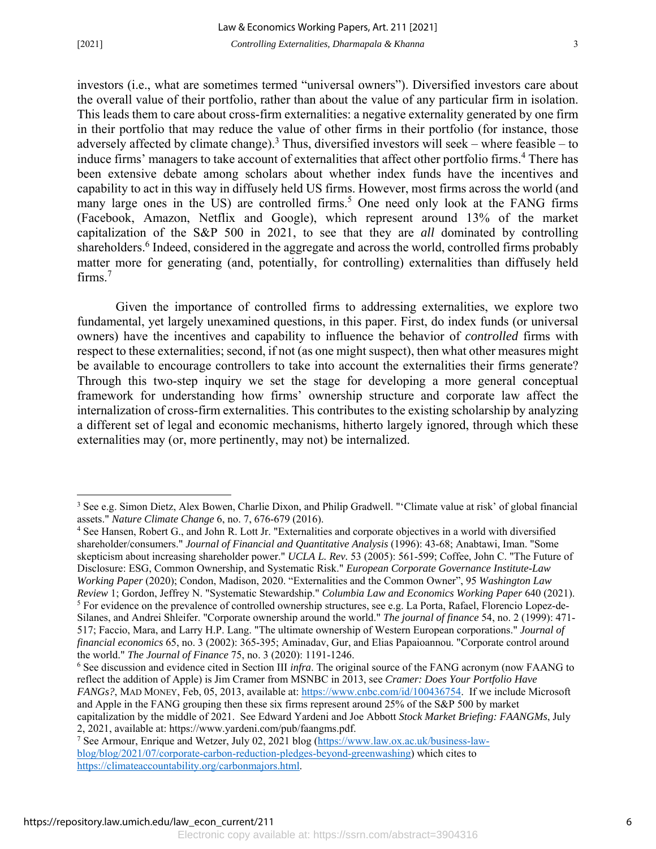$\overline{a}$ 

investors (i.e., what are sometimes termed "universal owners"). Diversified investors care about the overall value of their portfolio, rather than about the value of any particular firm in isolation. This leads them to care about cross-firm externalities: a negative externality generated by one firm in their portfolio that may reduce the value of other firms in their portfolio (for instance, those adversely affected by climate change).<sup>3</sup> Thus, diversified investors will seek – where feasible – to induce firms' managers to take account of externalities that affect other portfolio firms.<sup>4</sup> There has been extensive debate among scholars about whether index funds have the incentives and capability to act in this way in diffusely held US firms. However, most firms across the world (and many large ones in the US) are controlled firms.<sup>5</sup> One need only look at the FANG firms (Facebook, Amazon, Netflix and Google), which represent around 13% of the market capitalization of the S&P 500 in 2021, to see that they are *all* dominated by controlling shareholders.<sup>6</sup> Indeed, considered in the aggregate and across the world, controlled firms probably matter more for generating (and, potentially, for controlling) externalities than diffusely held firms. $7$ 

Given the importance of controlled firms to addressing externalities, we explore two fundamental, yet largely unexamined questions, in this paper. First, do index funds (or universal owners) have the incentives and capability to influence the behavior of *controlled* firms with respect to these externalities; second, if not (as one might suspect), then what other measures might be available to encourage controllers to take into account the externalities their firms generate? Through this two-step inquiry we set the stage for developing a more general conceptual framework for understanding how firms' ownership structure and corporate law affect the internalization of cross-firm externalities. This contributes to the existing scholarship by analyzing a different set of legal and economic mechanisms, hitherto largely ignored, through which these externalities may (or, more pertinently, may not) be internalized.

<sup>4</sup> See Hansen, Robert G., and John R. Lott Jr. "Externalities and corporate objectives in a world with diversified shareholder/consumers." *Journal of Financial and Quantitative Analysis* (1996): 43-68; Anabtawi, Iman. "Some skepticism about increasing shareholder power." *UCLA L. Rev.* 53 (2005): 561-599; Coffee, John C. "The Future of Disclosure: ESG, Common Ownership, and Systematic Risk." *European Corporate Governance Institute-Law Working Paper* (2020); Condon, Madison, 2020. "Externalities and the Common Owner", 95 *Washington Law Review* 1; Gordon, Jeffrey N. "Systematic Stewardship." *Columbia Law and Economics Working Paper* 640 (2021). 5 For evidence on the prevalence of controlled ownership structures, see e.g. La Porta, Rafael, Florencio Lopez‐de‐ Silanes, and Andrei Shleifer. "Corporate ownership around the world." *The journal of finance* 54, no. 2 (1999): 471- 517; Faccio, Mara, and Larry H.P. Lang. "The ultimate ownership of Western European corporations." *Journal of* 

*financial economics* 65, no. 3 (2002): 365-395; Aminadav, Gur, and Elias Papaioannou. "Corporate control around the world." *The Journal of Finance* 75, no. 3 (2020): 1191-1246.

6 See discussion and evidence cited in Section III *infra*. The original source of the FANG acronym (now FAANG to reflect the addition of Apple) is Jim Cramer from MSNBC in 2013, see *Cramer: Does Your Portfolio Have FANGs?*, MAD MONEY, Feb, 05, 2013, available at: https://www.cnbc.com/id/100436754. If we include Microsoft and Apple in the FANG grouping then these six firms represent around 25% of the S&P 500 by market capitalization by the middle of 2021. See Edward Yardeni and Joe Abbott *Stock Market Briefing: FAANGMs*, July 2, 2021, available at: https://www.yardeni.com/pub/faangms.pdf. 7

<sup>&</sup>lt;sup>3</sup> See e.g. Simon Dietz, Alex Bowen, Charlie Dixon, and Philip Gradwell. "'Climate value at risk' of global financial assets." *Nature Climate Change* 6, no. 7, 676-679 (2016). 4

<sup>&</sup>lt;sup>7</sup> See Armour, Enrique and Wetzer, July 02, 2021 blog (https://www.law.ox.ac.uk/business-lawblog/blog/2021/07/corporate-carbon-reduction-pledges-beyond-greenwashing) which cites to https://climateaccountability.org/carbonmajors.html.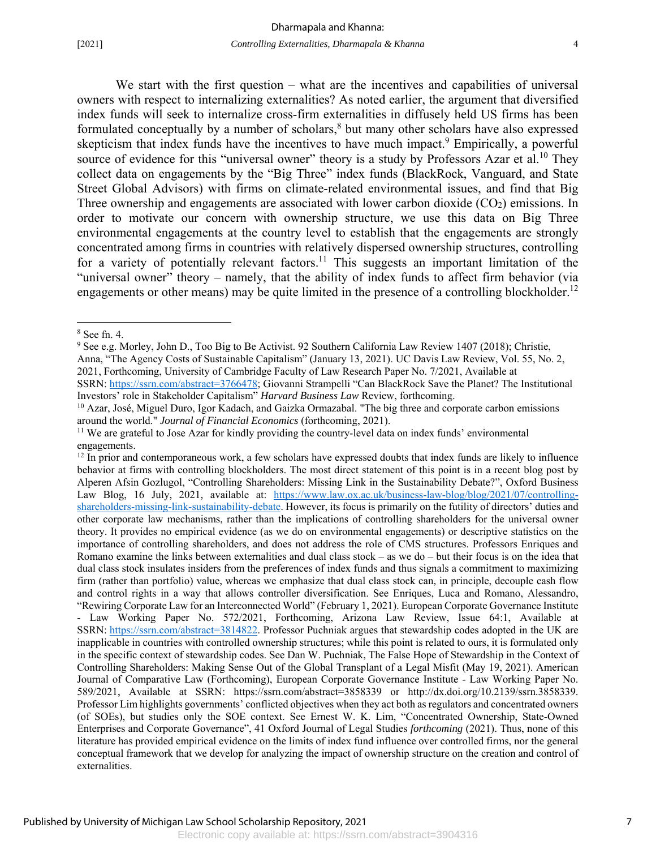We start with the first question – what are the incentives and capabilities of universal owners with respect to internalizing externalities? As noted earlier, the argument that diversified index funds will seek to internalize cross-firm externalities in diffusely held US firms has been formulated conceptually by a number of scholars,<sup>8</sup> but many other scholars have also expressed skepticism that index funds have the incentives to have much impact.<sup>9</sup> Empirically, a powerful source of evidence for this "universal owner" theory is a study by Professors Azar et al.<sup>10</sup> They collect data on engagements by the "Big Three" index funds (BlackRock, Vanguard, and State Street Global Advisors) with firms on climate-related environmental issues, and find that Big Three ownership and engagements are associated with lower carbon dioxide  $(CO<sub>2</sub>)$  emissions. In order to motivate our concern with ownership structure, we use this data on Big Three environmental engagements at the country level to establish that the engagements are strongly concentrated among firms in countries with relatively dispersed ownership structures, controlling for a variety of potentially relevant factors.<sup>11</sup> This suggests an important limitation of the "universal owner" theory – namely, that the ability of index funds to affect firm behavior (via engagements or other means) may be quite limited in the presence of a controlling blockholder.<sup>12</sup>

-

SSRN: https://ssrn.com/abstract=3766478; Giovanni Strampelli "Can BlackRock Save the Planet? The Institutional Investors' role in Stakeholder Capitalism" *Harvard Business Law* Review, forthcoming.

<sup>8</sup> See fn. 4.

<sup>&</sup>lt;sup>9</sup> See e.g. Morley, John D., Too Big to Be Activist. 92 Southern California Law Review 1407 (2018); Christie, Anna, "The Agency Costs of Sustainable Capitalism" (January 13, 2021). UC Davis Law Review, Vol. 55, No. 2, 2021, Forthcoming, University of Cambridge Faculty of Law Research Paper No. 7/2021, Available at

<sup>&</sup>lt;sup>10</sup> Azar, José, Miguel Duro, Igor Kadach, and Gaizka Ormazabal. "The big three and corporate carbon emissions around the world." *Journal of Financial Economics* (forthcoming, 2021).<br><sup>11</sup> We are grateful to Jose Azar for kindly providing the country-level data on index funds' environmental

engagements.

<sup>&</sup>lt;sup>12</sup> In prior and contemporaneous work, a few scholars have expressed doubts that index funds are likely to influence behavior at firms with controlling blockholders. The most direct statement of this point is in a recent blog post by Alperen Afsin Gozlugol, "Controlling Shareholders: Missing Link in the Sustainability Debate?", Oxford Business Law Blog, 16 July, 2021, available at: https://www.law.ox.ac.uk/business-law-blog/blog/2021/07/controllingshareholders-missing-link-sustainability-debate. However, its focus is primarily on the futility of directors' duties and other corporate law mechanisms, rather than the implications of controlling shareholders for the universal owner theory. It provides no empirical evidence (as we do on environmental engagements) or descriptive statistics on the importance of controlling shareholders, and does not address the role of CMS structures. Professors Enriques and Romano examine the links between externalities and dual class stock – as we do – but their focus is on the idea that dual class stock insulates insiders from the preferences of index funds and thus signals a commitment to maximizing firm (rather than portfolio) value, whereas we emphasize that dual class stock can, in principle, decouple cash flow and control rights in a way that allows controller diversification. See Enriques, Luca and Romano, Alessandro, "Rewiring Corporate Law for an Interconnected World" (February 1, 2021). European Corporate Governance Institute - Law Working Paper No. 572/2021, Forthcoming, Arizona Law Review, Issue 64:1, Available at SSRN: https://ssrn.com/abstract=3814822. Professor Puchniak argues that stewardship codes adopted in the UK are inapplicable in countries with controlled ownership structures; while this point is related to ours, it is formulated only in the specific context of stewardship codes. See Dan W. Puchniak, The False Hope of Stewardship in the Context of Controlling Shareholders: Making Sense Out of the Global Transplant of a Legal Misfit (May 19, 2021). American Journal of Comparative Law (Forthcoming), European Corporate Governance Institute - Law Working Paper No. 589/2021, Available at SSRN: https://ssrn.com/abstract=3858339 or http://dx.doi.org/10.2139/ssrn.3858339. Professor Lim highlights governments' conflicted objectives when they act both as regulators and concentrated owners (of SOEs), but studies only the SOE context. See Ernest W. K. Lim, "Concentrated Ownership, State-Owned Enterprises and Corporate Governance", 41 Oxford Journal of Legal Studies *forthcoming* (2021). Thus, none of this literature has provided empirical evidence on the limits of index fund influence over controlled firms, nor the general conceptual framework that we develop for analyzing the impact of ownership structure on the creation and control of externalities.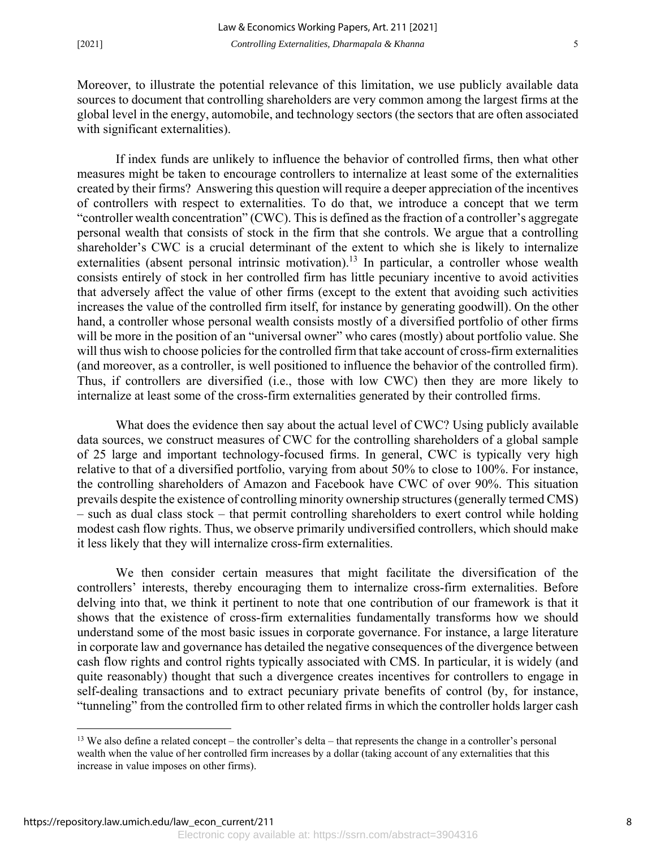Moreover, to illustrate the potential relevance of this limitation, we use publicly available data sources to document that controlling shareholders are very common among the largest firms at the global level in the energy, automobile, and technology sectors (the sectors that are often associated with significant externalities).

If index funds are unlikely to influence the behavior of controlled firms, then what other measures might be taken to encourage controllers to internalize at least some of the externalities created by their firms? Answering this question will require a deeper appreciation of the incentives of controllers with respect to externalities. To do that, we introduce a concept that we term "controller wealth concentration" (CWC). This is defined as the fraction of a controller's aggregate personal wealth that consists of stock in the firm that she controls. We argue that a controlling shareholder's CWC is a crucial determinant of the extent to which she is likely to internalize externalities (absent personal intrinsic motivation).<sup>13</sup> In particular, a controller whose wealth consists entirely of stock in her controlled firm has little pecuniary incentive to avoid activities that adversely affect the value of other firms (except to the extent that avoiding such activities increases the value of the controlled firm itself, for instance by generating goodwill). On the other hand, a controller whose personal wealth consists mostly of a diversified portfolio of other firms will be more in the position of an "universal owner" who cares (mostly) about portfolio value. She will thus wish to choose policies for the controlled firm that take account of cross-firm externalities (and moreover, as a controller, is well positioned to influence the behavior of the controlled firm). Thus, if controllers are diversified (i.e., those with low CWC) then they are more likely to internalize at least some of the cross-firm externalities generated by their controlled firms.

What does the evidence then say about the actual level of CWC? Using publicly available data sources, we construct measures of CWC for the controlling shareholders of a global sample of 25 large and important technology-focused firms. In general, CWC is typically very high relative to that of a diversified portfolio, varying from about 50% to close to 100%. For instance, the controlling shareholders of Amazon and Facebook have CWC of over 90%. This situation prevails despite the existence of controlling minority ownership structures (generally termed CMS) – such as dual class stock – that permit controlling shareholders to exert control while holding modest cash flow rights. Thus, we observe primarily undiversified controllers, which should make it less likely that they will internalize cross-firm externalities.

We then consider certain measures that might facilitate the diversification of the controllers' interests, thereby encouraging them to internalize cross-firm externalities. Before delving into that, we think it pertinent to note that one contribution of our framework is that it shows that the existence of cross-firm externalities fundamentally transforms how we should understand some of the most basic issues in corporate governance. For instance, a large literature in corporate law and governance has detailed the negative consequences of the divergence between cash flow rights and control rights typically associated with CMS. In particular, it is widely (and quite reasonably) thought that such a divergence creates incentives for controllers to engage in self-dealing transactions and to extract pecuniary private benefits of control (by, for instance, "tunneling" from the controlled firm to other related firms in which the controller holds larger cash

 $\overline{a}$ 

<sup>&</sup>lt;sup>13</sup> We also define a related concept – the controller's delta – that represents the change in a controller's personal wealth when the value of her controlled firm increases by a dollar (taking account of any externalities that this increase in value imposes on other firms).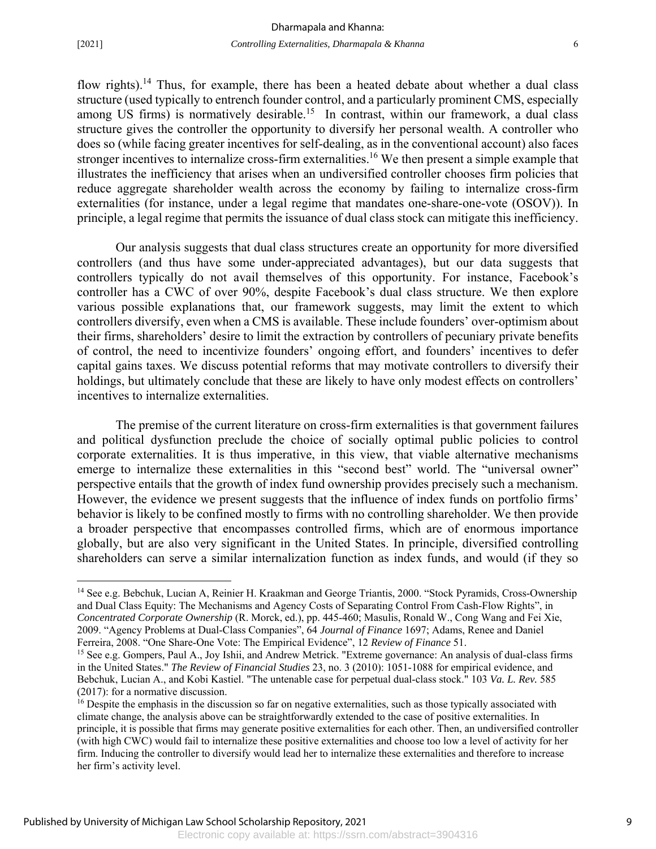-

flow rights).<sup>14</sup> Thus, for example, there has been a heated debate about whether a dual class structure (used typically to entrench founder control, and a particularly prominent CMS, especially among US firms) is normatively desirable.<sup>15</sup> In contrast, within our framework, a dual class structure gives the controller the opportunity to diversify her personal wealth. A controller who does so (while facing greater incentives for self-dealing, as in the conventional account) also faces stronger incentives to internalize cross-firm externalities.<sup>16</sup> We then present a simple example that illustrates the inefficiency that arises when an undiversified controller chooses firm policies that reduce aggregate shareholder wealth across the economy by failing to internalize cross-firm externalities (for instance, under a legal regime that mandates one-share-one-vote (OSOV)). In principle, a legal regime that permits the issuance of dual class stock can mitigate this inefficiency.

Our analysis suggests that dual class structures create an opportunity for more diversified controllers (and thus have some under-appreciated advantages), but our data suggests that controllers typically do not avail themselves of this opportunity. For instance, Facebook's controller has a CWC of over 90%, despite Facebook's dual class structure. We then explore various possible explanations that, our framework suggests, may limit the extent to which controllers diversify, even when a CMS is available. These include founders' over-optimism about their firms, shareholders' desire to limit the extraction by controllers of pecuniary private benefits of control, the need to incentivize founders' ongoing effort, and founders' incentives to defer capital gains taxes. We discuss potential reforms that may motivate controllers to diversify their holdings, but ultimately conclude that these are likely to have only modest effects on controllers' incentives to internalize externalities.

The premise of the current literature on cross-firm externalities is that government failures and political dysfunction preclude the choice of socially optimal public policies to control corporate externalities. It is thus imperative, in this view, that viable alternative mechanisms emerge to internalize these externalities in this "second best" world. The "universal owner" perspective entails that the growth of index fund ownership provides precisely such a mechanism. However, the evidence we present suggests that the influence of index funds on portfolio firms' behavior is likely to be confined mostly to firms with no controlling shareholder. We then provide a broader perspective that encompasses controlled firms, which are of enormous importance globally, but are also very significant in the United States. In principle, diversified controlling shareholders can serve a similar internalization function as index funds, and would (if they so

<sup>&</sup>lt;sup>14</sup> See e.g. Bebchuk, Lucian A, Reinier H. Kraakman and George Triantis, 2000. "Stock Pyramids, Cross-Ownership and Dual Class Equity: The Mechanisms and Agency Costs of Separating Control From Cash-Flow Rights", in *Concentrated Corporate Ownership* (R. Morck, ed.), pp. 445-460; Masulis, Ronald W., Cong Wang and Fei Xie, 2009. "Agency Problems at Dual-Class Companies", 64 *Journal of Finance* 1697; Adams, Renee and Daniel Ferreira, 2008. "One Share-One Vote: The Empirical Evidence", 12 *Review of Finance* 51.

<sup>&</sup>lt;sup>15</sup> See e.g. Gompers, Paul A., Joy Ishii, and Andrew Metrick. "Extreme governance: An analysis of dual-class firms in the United States." *The Review of Financial Studies* 23, no. 3 (2010): 1051-1088 for empirical evidence, and Bebchuk, Lucian A., and Kobi Kastiel. "The untenable case for perpetual dual-class stock." 103 *Va. L. Rev.* 585 (2017): for a normative discussion.

<sup>&</sup>lt;sup>16</sup> Despite the emphasis in the discussion so far on negative externalities, such as those typically associated with climate change, the analysis above can be straightforwardly extended to the case of positive externalities. In principle, it is possible that firms may generate positive externalities for each other. Then, an undiversified controller (with high CWC) would fail to internalize these positive externalities and choose too low a level of activity for her firm. Inducing the controller to diversify would lead her to internalize these externalities and therefore to increase her firm's activity level.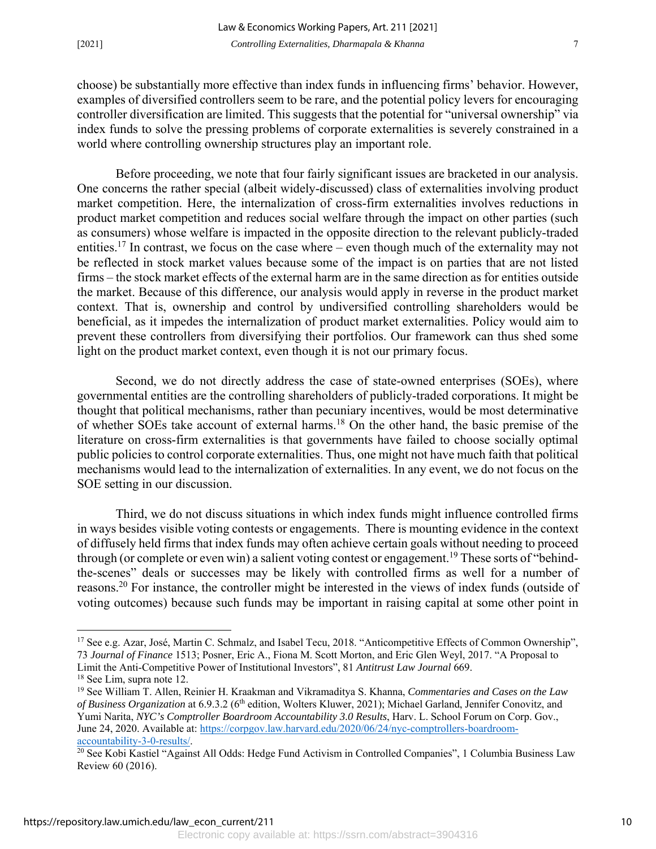choose) be substantially more effective than index funds in influencing firms' behavior. However, examples of diversified controllers seem to be rare, and the potential policy levers for encouraging controller diversification are limited. This suggests that the potential for "universal ownership" via index funds to solve the pressing problems of corporate externalities is severely constrained in a world where controlling ownership structures play an important role.

Before proceeding, we note that four fairly significant issues are bracketed in our analysis. One concerns the rather special (albeit widely-discussed) class of externalities involving product market competition. Here, the internalization of cross-firm externalities involves reductions in product market competition and reduces social welfare through the impact on other parties (such as consumers) whose welfare is impacted in the opposite direction to the relevant publicly-traded entities.<sup>17</sup> In contrast, we focus on the case where – even though much of the externality may not be reflected in stock market values because some of the impact is on parties that are not listed firms – the stock market effects of the external harm are in the same direction as for entities outside the market. Because of this difference, our analysis would apply in reverse in the product market context. That is, ownership and control by undiversified controlling shareholders would be beneficial, as it impedes the internalization of product market externalities. Policy would aim to prevent these controllers from diversifying their portfolios. Our framework can thus shed some light on the product market context, even though it is not our primary focus.

Second, we do not directly address the case of state-owned enterprises (SOEs), where governmental entities are the controlling shareholders of publicly-traded corporations. It might be thought that political mechanisms, rather than pecuniary incentives, would be most determinative of whether SOEs take account of external harms.18 On the other hand, the basic premise of the literature on cross-firm externalities is that governments have failed to choose socially optimal public policies to control corporate externalities. Thus, one might not have much faith that political mechanisms would lead to the internalization of externalities. In any event, we do not focus on the SOE setting in our discussion.

Third, we do not discuss situations in which index funds might influence controlled firms in ways besides visible voting contests or engagements. There is mounting evidence in the context of diffusely held firms that index funds may often achieve certain goals without needing to proceed through (or complete or even win) a salient voting contest or engagement.<sup>19</sup> These sorts of "behindthe-scenes" deals or successes may be likely with controlled firms as well for a number of reasons.20 For instance, the controller might be interested in the views of index funds (outside of voting outcomes) because such funds may be important in raising capital at some other point in

 $\overline{a}$ 

<sup>&</sup>lt;sup>17</sup> See e.g. Azar, José, Martin C. Schmalz, and Isabel Tecu, 2018. "Anticompetitive Effects of Common Ownership", 73 *Journal of Finance* 1513; Posner, Eric A., Fiona M. Scott Morton, and Eric Glen Weyl, 2017. "A Proposal to Limit the Anti-Competitive Power of Institutional Investors", 81 *Antitrust Law Journal* 669.

<sup>&</sup>lt;sup>18</sup> See Lim, supra note 12.

<sup>19</sup> See William T. Allen, Reinier H. Kraakman and Vikramaditya S. Khanna, *Commentaries and Cases on the Law of Business Organization* at 6.9.3.2 (6th edition, Wolters Kluwer, 2021); Michael Garland, Jennifer Conovitz, and Yumi Narita, *NYC's Comptroller Boardroom Accountability 3.0 Results*, Harv. L. School Forum on Corp. Gov., June 24, 2020. Available at: https://corpgov.law.harvard.edu/2020/06/24/nyc-comptrollers-boardroom-<br>accountability-3-0-results/.

<sup>&</sup>lt;sup>20</sup> See Kobi Kastiel "Against All Odds: Hedge Fund Activism in Controlled Companies", 1 Columbia Business Law Review 60 (2016).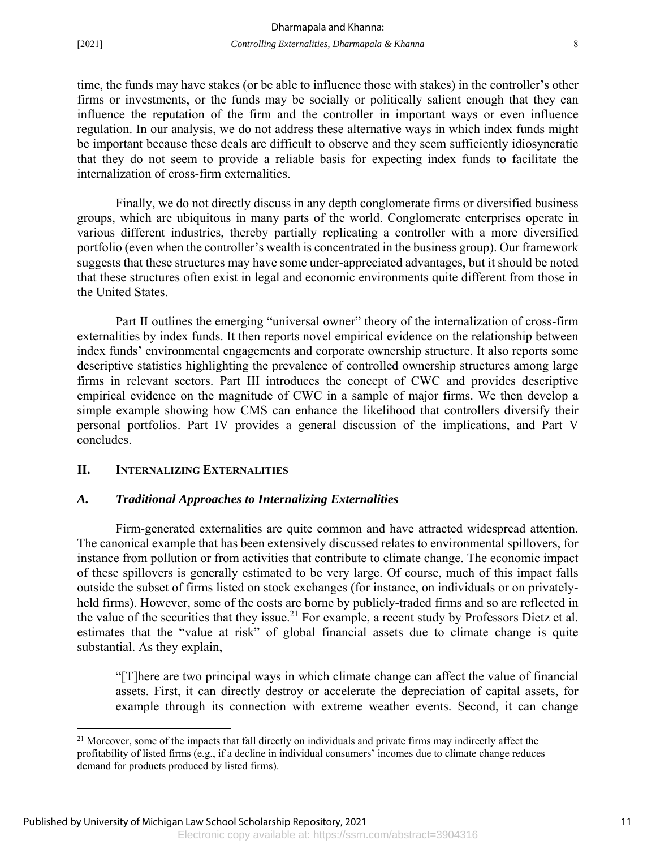$\overline{a}$ 

time, the funds may have stakes (or be able to influence those with stakes) in the controller's other firms or investments, or the funds may be socially or politically salient enough that they can influence the reputation of the firm and the controller in important ways or even influence regulation. In our analysis, we do not address these alternative ways in which index funds might be important because these deals are difficult to observe and they seem sufficiently idiosyncratic that they do not seem to provide a reliable basis for expecting index funds to facilitate the internalization of cross-firm externalities.

Finally, we do not directly discuss in any depth conglomerate firms or diversified business groups, which are ubiquitous in many parts of the world. Conglomerate enterprises operate in various different industries, thereby partially replicating a controller with a more diversified portfolio (even when the controller's wealth is concentrated in the business group). Our framework suggests that these structures may have some under-appreciated advantages, but it should be noted that these structures often exist in legal and economic environments quite different from those in the United States.

Part II outlines the emerging "universal owner" theory of the internalization of cross-firm externalities by index funds. It then reports novel empirical evidence on the relationship between index funds' environmental engagements and corporate ownership structure. It also reports some descriptive statistics highlighting the prevalence of controlled ownership structures among large firms in relevant sectors. Part III introduces the concept of CWC and provides descriptive empirical evidence on the magnitude of CWC in a sample of major firms. We then develop a simple example showing how CMS can enhance the likelihood that controllers diversify their personal portfolios. Part IV provides a general discussion of the implications, and Part V concludes.

#### **II. INTERNALIZING EXTERNALITIES**

#### *A. Traditional Approaches to Internalizing Externalities*

Firm-generated externalities are quite common and have attracted widespread attention. The canonical example that has been extensively discussed relates to environmental spillovers, for instance from pollution or from activities that contribute to climate change. The economic impact of these spillovers is generally estimated to be very large. Of course, much of this impact falls outside the subset of firms listed on stock exchanges (for instance, on individuals or on privatelyheld firms). However, some of the costs are borne by publicly-traded firms and so are reflected in the value of the securities that they issue.<sup>21</sup> For example, a recent study by Professors Dietz et al. estimates that the "value at risk" of global financial assets due to climate change is quite substantial. As they explain,

"[T]here are two principal ways in which climate change can affect the value of financial assets. First, it can directly destroy or accelerate the depreciation of capital assets, for example through its connection with extreme weather events. Second, it can change

<sup>&</sup>lt;sup>21</sup> Moreover, some of the impacts that fall directly on individuals and private firms may indirectly affect the profitability of listed firms (e.g., if a decline in individual consumers' incomes due to climate change reduces demand for products produced by listed firms).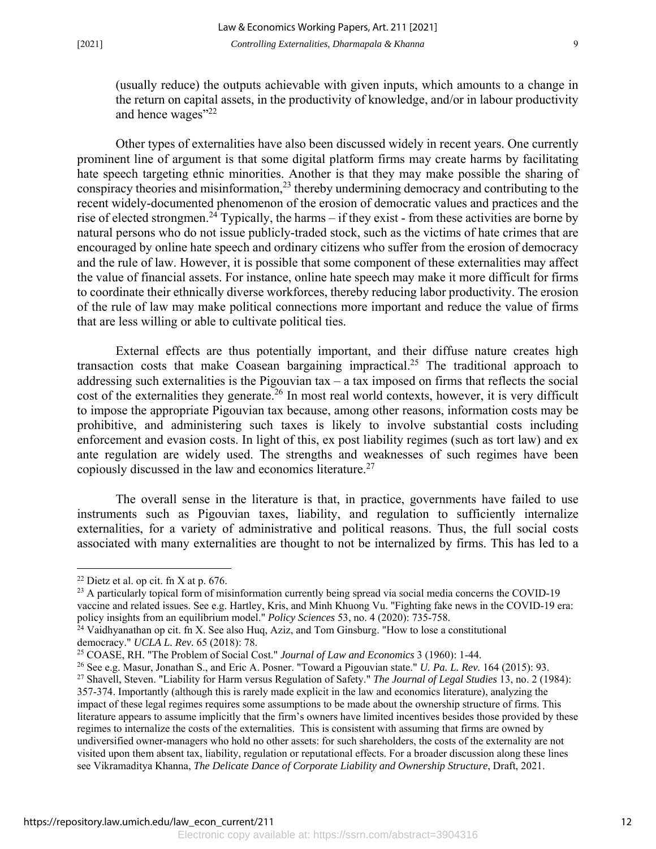(usually reduce) the outputs achievable with given inputs, which amounts to a change in the return on capital assets, in the productivity of knowledge, and/or in labour productivity and hence wages"<sup>22</sup>

Other types of externalities have also been discussed widely in recent years. One currently prominent line of argument is that some digital platform firms may create harms by facilitating hate speech targeting ethnic minorities. Another is that they may make possible the sharing of conspiracy theories and misinformation, $^{23}$  thereby undermining democracy and contributing to the recent widely-documented phenomenon of the erosion of democratic values and practices and the rise of elected strongmen.<sup>24</sup> Typically, the harms – if they exist - from these activities are borne by natural persons who do not issue publicly-traded stock, such as the victims of hate crimes that are encouraged by online hate speech and ordinary citizens who suffer from the erosion of democracy and the rule of law. However, it is possible that some component of these externalities may affect the value of financial assets. For instance, online hate speech may make it more difficult for firms to coordinate their ethnically diverse workforces, thereby reducing labor productivity. The erosion of the rule of law may make political connections more important and reduce the value of firms that are less willing or able to cultivate political ties.

External effects are thus potentially important, and their diffuse nature creates high transaction costs that make Coasean bargaining impractical.<sup>25</sup> The traditional approach to addressing such externalities is the Pigouvian tax – a tax imposed on firms that reflects the social cost of the externalities they generate.<sup>26</sup> In most real world contexts, however, it is very difficult to impose the appropriate Pigouvian tax because, among other reasons, information costs may be prohibitive, and administering such taxes is likely to involve substantial costs including enforcement and evasion costs. In light of this, ex post liability regimes (such as tort law) and ex ante regulation are widely used. The strengths and weaknesses of such regimes have been copiously discussed in the law and economics literature.27

The overall sense in the literature is that, in practice, governments have failed to use instruments such as Pigouvian taxes, liability, and regulation to sufficiently internalize externalities, for a variety of administrative and political reasons. Thus, the full social costs associated with many externalities are thought to not be internalized by firms. This has led to a

 $\overline{a}$ 

 $22$  Dietz et al. op cit. fn X at p. 676.

 $^{23}$  A particularly topical form of misinformation currently being spread via social media concerns the COVID-19 vaccine and related issues. See e.g. Hartley, Kris, and Minh Khuong Vu. "Fighting fake news in the COVID-19 era: policy insights from an equilibrium model." *Policy Sciences* 53, no. 4 (2020): 735-758. 24 Vaidhyanathan op cit. fn X. See also Huq, Aziz, and Tom Ginsburg. "How to lose a constitutional

democracy." *UCLA L. Rev.* 65 (2018): 78.

<sup>25</sup> COASE, RH. "The Problem of Social Cost." *Journal of Law and Economics* 3 (1960): 1-44.

<sup>26</sup> See e.g. Masur, Jonathan S., and Eric A. Posner. "Toward a Pigouvian state." *U. Pa. L. Rev.* 164 (2015): 93. 27 Shavell, Steven. "Liability for Harm versus Regulation of Safety." *The Journal of Legal Studies* 13, no. 2 (1984): 357-374. Importantly (although this is rarely made explicit in the law and economics literature), analyzing the impact of these legal regimes requires some assumptions to be made about the ownership structure of firms. This literature appears to assume implicitly that the firm's owners have limited incentives besides those provided by these regimes to internalize the costs of the externalities. This is consistent with assuming that firms are owned by undiversified owner-managers who hold no other assets: for such shareholders, the costs of the externality are not visited upon them absent tax, liability, regulation or reputational effects. For a broader discussion along these lines see Vikramaditya Khanna, *The Delicate Dance of Corporate Liability and Ownership Structure*, Draft, 2021.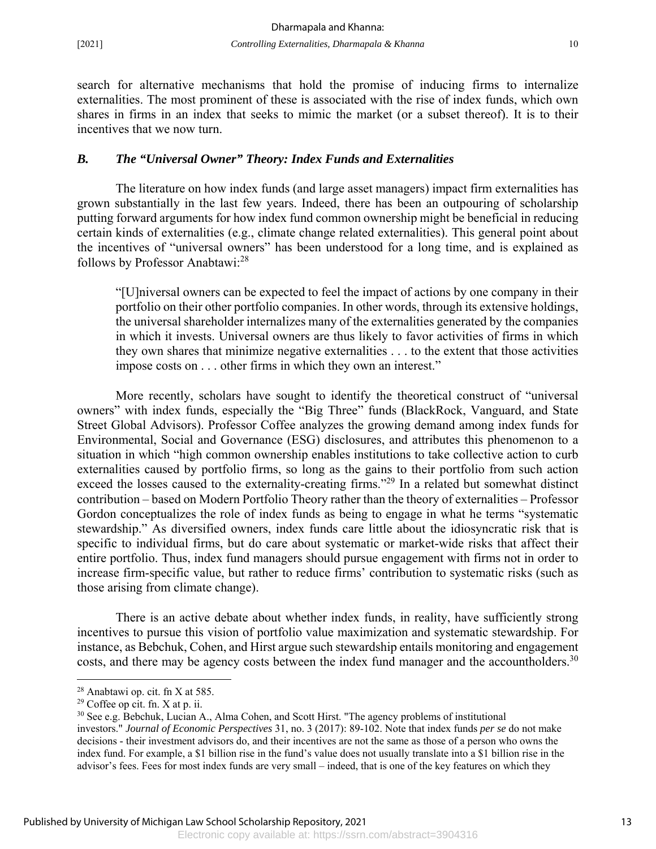search for alternative mechanisms that hold the promise of inducing firms to internalize externalities. The most prominent of these is associated with the rise of index funds, which own shares in firms in an index that seeks to mimic the market (or a subset thereof). It is to their incentives that we now turn.

#### *B. The "Universal Owner" Theory: Index Funds and Externalities*

The literature on how index funds (and large asset managers) impact firm externalities has grown substantially in the last few years. Indeed, there has been an outpouring of scholarship putting forward arguments for how index fund common ownership might be beneficial in reducing certain kinds of externalities (e.g., climate change related externalities). This general point about the incentives of "universal owners" has been understood for a long time, and is explained as follows by Professor Anabtawi:28

"[U]niversal owners can be expected to feel the impact of actions by one company in their portfolio on their other portfolio companies. In other words, through its extensive holdings, the universal shareholder internalizes many of the externalities generated by the companies in which it invests. Universal owners are thus likely to favor activities of firms in which they own shares that minimize negative externalities . . . to the extent that those activities impose costs on . . . other firms in which they own an interest."

More recently, scholars have sought to identify the theoretical construct of "universal owners" with index funds, especially the "Big Three" funds (BlackRock, Vanguard, and State Street Global Advisors). Professor Coffee analyzes the growing demand among index funds for Environmental, Social and Governance (ESG) disclosures, and attributes this phenomenon to a situation in which "high common ownership enables institutions to take collective action to curb externalities caused by portfolio firms, so long as the gains to their portfolio from such action exceed the losses caused to the externality-creating firms."<sup>29</sup> In a related but somewhat distinct contribution – based on Modern Portfolio Theory rather than the theory of externalities – Professor Gordon conceptualizes the role of index funds as being to engage in what he terms "systematic stewardship." As diversified owners, index funds care little about the idiosyncratic risk that is specific to individual firms, but do care about systematic or market-wide risks that affect their entire portfolio. Thus, index fund managers should pursue engagement with firms not in order to increase firm-specific value, but rather to reduce firms' contribution to systematic risks (such as those arising from climate change).

There is an active debate about whether index funds, in reality, have sufficiently strong incentives to pursue this vision of portfolio value maximization and systematic stewardship. For instance, as Bebchuk, Cohen, and Hirst argue such stewardship entails monitoring and engagement costs, and there may be agency costs between the index fund manager and the accountholders.<sup>30</sup>

<u>.</u>

<sup>28</sup> Anabtawi op. cit. fn X at 585.

 $29$  Coffee op cit. fn. X at p. ii.

<sup>30</sup> See e.g. Bebchuk, Lucian A., Alma Cohen, and Scott Hirst. "The agency problems of institutional investors." *Journal of Economic Perspectives* 31, no. 3 (2017): 89-102. Note that index funds *per se* do not make decisions - their investment advisors do, and their incentives are not the same as those of a person who owns the

index fund. For example, a \$1 billion rise in the fund's value does not usually translate into a \$1 billion rise in the advisor's fees. Fees for most index funds are very small – indeed, that is one of the key features on which they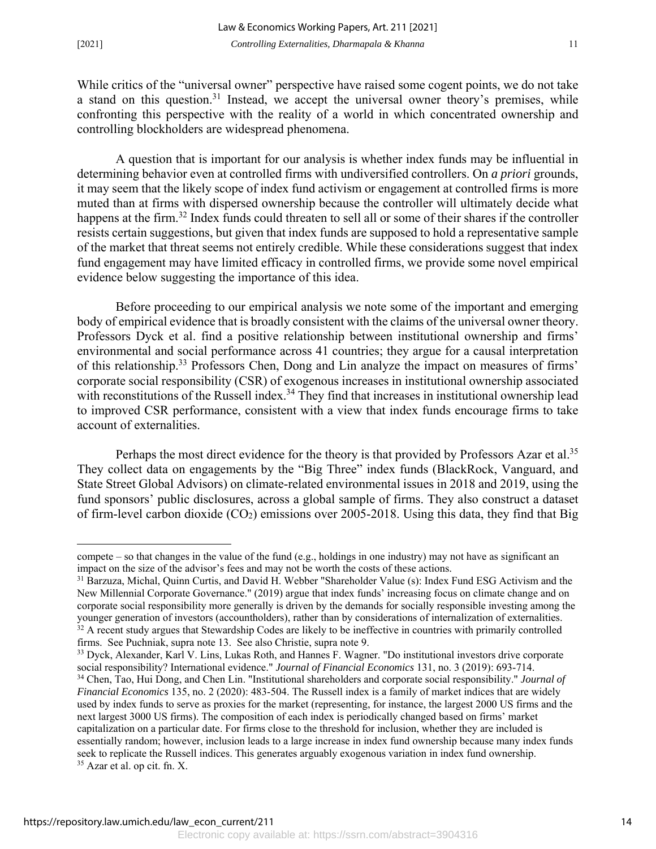-

While critics of the "universal owner" perspective have raised some cogent points, we do not take a stand on this question.<sup>31</sup> Instead, we accept the universal owner theory's premises, while confronting this perspective with the reality of a world in which concentrated ownership and controlling blockholders are widespread phenomena.

A question that is important for our analysis is whether index funds may be influential in determining behavior even at controlled firms with undiversified controllers. On *a priori* grounds, it may seem that the likely scope of index fund activism or engagement at controlled firms is more muted than at firms with dispersed ownership because the controller will ultimately decide what happens at the firm.<sup>32</sup> Index funds could threaten to sell all or some of their shares if the controller resists certain suggestions, but given that index funds are supposed to hold a representative sample of the market that threat seems not entirely credible. While these considerations suggest that index fund engagement may have limited efficacy in controlled firms, we provide some novel empirical evidence below suggesting the importance of this idea.

Before proceeding to our empirical analysis we note some of the important and emerging body of empirical evidence that is broadly consistent with the claims of the universal owner theory. Professors Dyck et al. find a positive relationship between institutional ownership and firms' environmental and social performance across 41 countries; they argue for a causal interpretation of this relationship.33 Professors Chen, Dong and Lin analyze the impact on measures of firms' corporate social responsibility (CSR) of exogenous increases in institutional ownership associated with reconstitutions of the Russell index.<sup>34</sup> They find that increases in institutional ownership lead to improved CSR performance, consistent with a view that index funds encourage firms to take account of externalities.

Perhaps the most direct evidence for the theory is that provided by Professors Azar et al.<sup>35</sup> They collect data on engagements by the "Big Three" index funds (BlackRock, Vanguard, and State Street Global Advisors) on climate-related environmental issues in 2018 and 2019, using the fund sponsors' public disclosures, across a global sample of firms. They also construct a dataset of firm-level carbon dioxide  $(CO_2)$  emissions over 2005-2018. Using this data, they find that Big

compete – so that changes in the value of the fund (e.g., holdings in one industry) may not have as significant an impact on the size of the advisor's fees and may not be worth the costs of these actions.

<sup>&</sup>lt;sup>31</sup> Barzuza, Michal, Quinn Curtis, and David H. Webber "Shareholder Value (s): Index Fund ESG Activism and the New Millennial Corporate Governance." (2019) argue that index funds' increasing focus on climate change and on corporate social responsibility more generally is driven by the demands for socially responsible investing among the younger generation of investors (accountholders), rather than by considerations of internalization of externalities.  $32$  A recent study argues that Stewardship Codes are likely to be ineffective in countries with primarily controlled firms. See Puchniak, supra note 13. See also Christie, supra note 9.

<sup>&</sup>lt;sup>33</sup> Dyck, Alexander, Karl V. Lins, Lukas Roth, and Hannes F. Wagner. "Do institutional investors drive corporate social responsibility? International evidence." *Journal of Financial Economics* 131, no. 3 (2019): 693-714. 34 Chen, Tao, Hui Dong, and Chen Lin. "Institutional shareholders and corporate social responsibility." *Journal of Financial Economics* 135, no. 2 (2020): 483-504. The Russell index is a family of market indices that are widely used by index funds to serve as proxies for the market (representing, for instance, the largest 2000 US firms and the next largest 3000 US firms). The composition of each index is periodically changed based on firms' market capitalization on a particular date. For firms close to the threshold for inclusion, whether they are included is essentially random; however, inclusion leads to a large increase in index fund ownership because many index funds seek to replicate the Russell indices. This generates arguably exogenous variation in index fund ownership. <sup>35</sup> Azar et al. op cit. fn. X.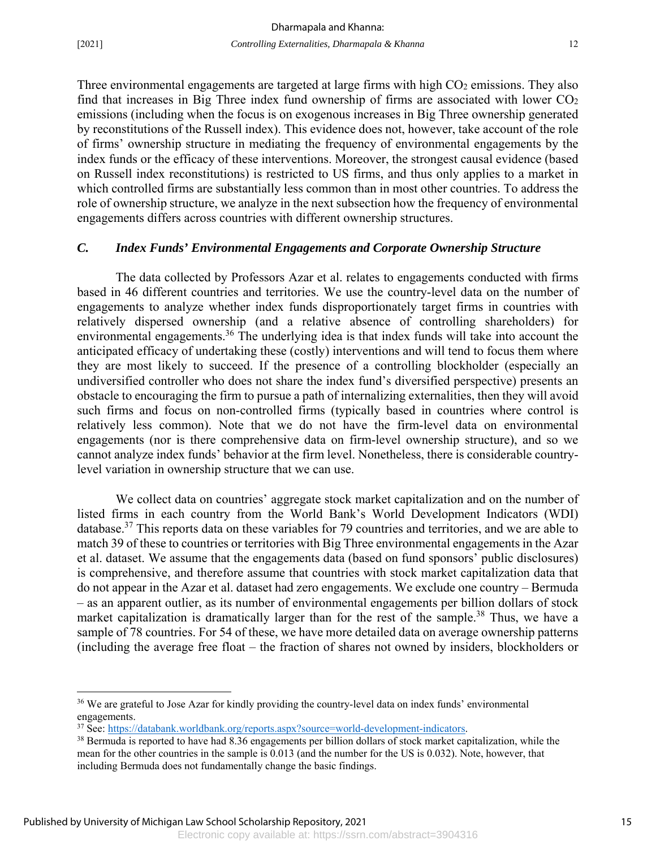$\overline{a}$ 

Three environmental engagements are targeted at large firms with high CO<sub>2</sub> emissions. They also find that increases in Big Three index fund ownership of firms are associated with lower  $CO<sub>2</sub>$ emissions (including when the focus is on exogenous increases in Big Three ownership generated by reconstitutions of the Russell index). This evidence does not, however, take account of the role of firms' ownership structure in mediating the frequency of environmental engagements by the index funds or the efficacy of these interventions. Moreover, the strongest causal evidence (based on Russell index reconstitutions) is restricted to US firms, and thus only applies to a market in which controlled firms are substantially less common than in most other countries. To address the role of ownership structure, we analyze in the next subsection how the frequency of environmental engagements differs across countries with different ownership structures.

#### *C. Index Funds' Environmental Engagements and Corporate Ownership Structure*

The data collected by Professors Azar et al. relates to engagements conducted with firms based in 46 different countries and territories. We use the country-level data on the number of engagements to analyze whether index funds disproportionately target firms in countries with relatively dispersed ownership (and a relative absence of controlling shareholders) for environmental engagements.<sup>36</sup> The underlying idea is that index funds will take into account the anticipated efficacy of undertaking these (costly) interventions and will tend to focus them where they are most likely to succeed. If the presence of a controlling blockholder (especially an undiversified controller who does not share the index fund's diversified perspective) presents an obstacle to encouraging the firm to pursue a path of internalizing externalities, then they will avoid such firms and focus on non-controlled firms (typically based in countries where control is relatively less common). Note that we do not have the firm-level data on environmental engagements (nor is there comprehensive data on firm-level ownership structure), and so we cannot analyze index funds' behavior at the firm level. Nonetheless, there is considerable countrylevel variation in ownership structure that we can use.

 We collect data on countries' aggregate stock market capitalization and on the number of listed firms in each country from the World Bank's World Development Indicators (WDI) database.37 This reports data on these variables for 79 countries and territories, and we are able to match 39 of these to countries or territories with Big Three environmental engagements in the Azar et al. dataset. We assume that the engagements data (based on fund sponsors' public disclosures) is comprehensive, and therefore assume that countries with stock market capitalization data that do not appear in the Azar et al. dataset had zero engagements. We exclude one country – Bermuda – as an apparent outlier, as its number of environmental engagements per billion dollars of stock market capitalization is dramatically larger than for the rest of the sample.<sup>38</sup> Thus, we have a sample of 78 countries. For 54 of these, we have more detailed data on average ownership patterns (including the average free float – the fraction of shares not owned by insiders, blockholders or

<sup>&</sup>lt;sup>36</sup> We are grateful to Jose Azar for kindly providing the country-level data on index funds' environmental

engagements.<br><sup>37</sup> See: https://databank.worldbank.org/reports.aspx?source=world-development-indicators.

 $38$  Bermuda is reported to have had 8.36 engagements per billion dollars of stock market capitalization, while the mean for the other countries in the sample is 0.013 (and the number for the US is 0.032). Note, however, that including Bermuda does not fundamentally change the basic findings.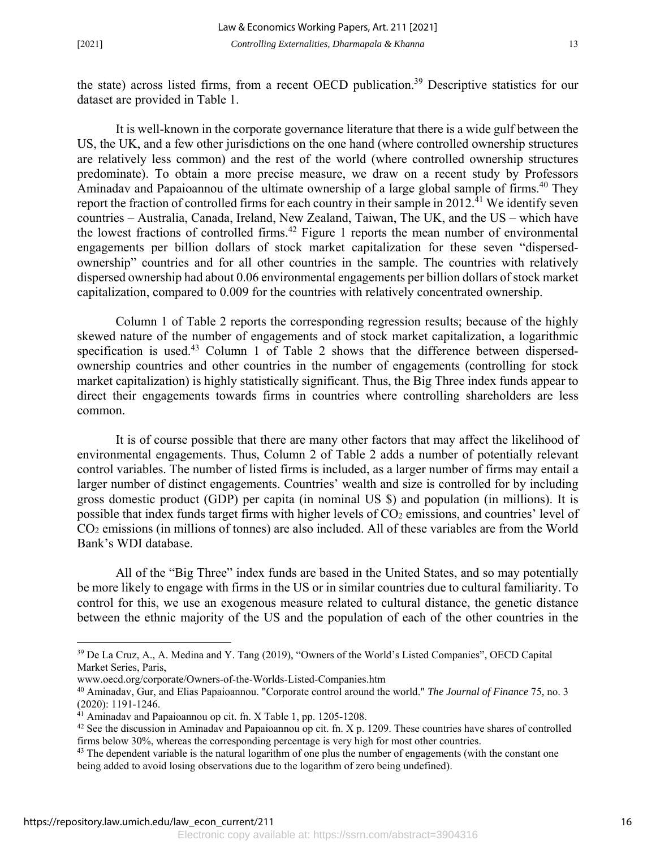the state) across listed firms, from a recent OECD publication.<sup>39</sup> Descriptive statistics for our dataset are provided in Table 1.

 It is well-known in the corporate governance literature that there is a wide gulf between the US, the UK, and a few other jurisdictions on the one hand (where controlled ownership structures are relatively less common) and the rest of the world (where controlled ownership structures predominate). To obtain a more precise measure, we draw on a recent study by Professors Aminadav and Papaioannou of the ultimate ownership of a large global sample of firms.<sup>40</sup> They report the fraction of controlled firms for each country in their sample in  $2012<sup>41</sup>$  We identify seven countries – Australia, Canada, Ireland, New Zealand, Taiwan, The UK, and the US – which have the lowest fractions of controlled firms.<sup>42</sup> Figure 1 reports the mean number of environmental engagements per billion dollars of stock market capitalization for these seven "dispersedownership" countries and for all other countries in the sample. The countries with relatively dispersed ownership had about 0.06 environmental engagements per billion dollars of stock market capitalization, compared to 0.009 for the countries with relatively concentrated ownership.

 Column 1 of Table 2 reports the corresponding regression results; because of the highly skewed nature of the number of engagements and of stock market capitalization, a logarithmic specification is used.<sup>43</sup> Column 1 of Table 2 shows that the difference between dispersedownership countries and other countries in the number of engagements (controlling for stock market capitalization) is highly statistically significant. Thus, the Big Three index funds appear to direct their engagements towards firms in countries where controlling shareholders are less common.

 It is of course possible that there are many other factors that may affect the likelihood of environmental engagements. Thus, Column 2 of Table 2 adds a number of potentially relevant control variables. The number of listed firms is included, as a larger number of firms may entail a larger number of distinct engagements. Countries' wealth and size is controlled for by including gross domestic product (GDP) per capita (in nominal US \$) and population (in millions). It is possible that index funds target firms with higher levels of  $CO<sub>2</sub>$  emissions, and countries' level of CO2 emissions (in millions of tonnes) are also included. All of these variables are from the World Bank's WDI database.

 All of the "Big Three" index funds are based in the United States, and so may potentially be more likely to engage with firms in the US or in similar countries due to cultural familiarity. To control for this, we use an exogenous measure related to cultural distance, the genetic distance between the ethnic majority of the US and the population of each of the other countries in the

 $\overline{a}$ 

<sup>&</sup>lt;sup>39</sup> De La Cruz, A., A. Medina and Y. Tang (2019), "Owners of the World's Listed Companies", OECD Capital Market Series, Paris,

www.oecd.org/corporate/Owners-of-the-Worlds-Listed-Companies.htm

<sup>40</sup> Aminadav, Gur, and Elias Papaioannou. "Corporate control around the world." *The Journal of Finance* 75, no. 3 (2020): 1191-1246.

<sup>41</sup> Aminadav and Papaioannou op cit. fn. X Table 1, pp. 1205-1208.

 $42$  See the discussion in Aminadav and Papaioannou op cit. fn. X p. 1209. These countries have shares of controlled firms below 30%, whereas the corresponding percentage is very high for most other countries.

<sup>&</sup>lt;sup>43</sup> The dependent variable is the natural logarithm of one plus the number of engagements (with the constant one being added to avoid losing observations due to the logarithm of zero being undefined).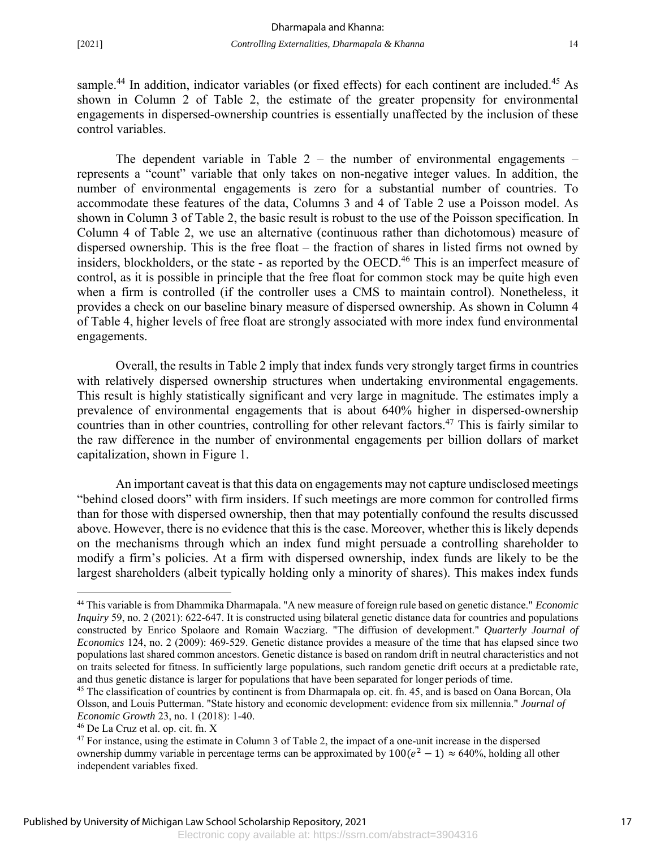sample.<sup>44</sup> In addition, indicator variables (or fixed effects) for each continent are included.<sup>45</sup> As shown in Column 2 of Table 2, the estimate of the greater propensity for environmental engagements in dispersed-ownership countries is essentially unaffected by the inclusion of these control variables.

The dependent variable in Table  $2 -$  the number of environmental engagements  $$ represents a "count" variable that only takes on non-negative integer values. In addition, the number of environmental engagements is zero for a substantial number of countries. To accommodate these features of the data, Columns 3 and 4 of Table 2 use a Poisson model. As shown in Column 3 of Table 2, the basic result is robust to the use of the Poisson specification. In Column 4 of Table 2, we use an alternative (continuous rather than dichotomous) measure of dispersed ownership. This is the free float – the fraction of shares in listed firms not owned by insiders, blockholders, or the state - as reported by the OECD.<sup>46</sup> This is an imperfect measure of control, as it is possible in principle that the free float for common stock may be quite high even when a firm is controlled (if the controller uses a CMS to maintain control). Nonetheless, it provides a check on our baseline binary measure of dispersed ownership. As shown in Column 4 of Table 4, higher levels of free float are strongly associated with more index fund environmental engagements.

 Overall, the results in Table 2 imply that index funds very strongly target firms in countries with relatively dispersed ownership structures when undertaking environmental engagements. This result is highly statistically significant and very large in magnitude. The estimates imply a prevalence of environmental engagements that is about 640% higher in dispersed-ownership countries than in other countries, controlling for other relevant factors.<sup>47</sup> This is fairly similar to the raw difference in the number of environmental engagements per billion dollars of market capitalization, shown in Figure 1.

 An important caveat is that this data on engagements may not capture undisclosed meetings "behind closed doors" with firm insiders. If such meetings are more common for controlled firms than for those with dispersed ownership, then that may potentially confound the results discussed above. However, there is no evidence that this is the case. Moreover, whether this is likely depends on the mechanisms through which an index fund might persuade a controlling shareholder to modify a firm's policies. At a firm with dispersed ownership, index funds are likely to be the largest shareholders (albeit typically holding only a minority of shares). This makes index funds

-

<sup>44</sup> This variable is from Dhammika Dharmapala. "A new measure of foreign rule based on genetic distance." *Economic Inquiry* 59, no. 2 (2021): 622-647. It is constructed using bilateral genetic distance data for countries and populations constructed by Enrico Spolaore and Romain Wacziarg. "The diffusion of development." *Quarterly Journal of Economics* 124, no. 2 (2009): 469-529. Genetic distance provides a measure of the time that has elapsed since two populations last shared common ancestors. Genetic distance is based on random drift in neutral characteristics and not on traits selected for fitness. In sufficiently large populations, such random genetic drift occurs at a predictable rate, and thus genetic distance is larger for populations that have been separated for longer periods of time.

<sup>&</sup>lt;sup>45</sup> The classification of countries by continent is from Dharmapala op. cit. fn. 45, and is based on Oana Borcan, Ola Olsson, and Louis Putterman. "State history and economic development: evidence from six millennia." *Journal of Economic Growth* 23, no. 1 (2018): 1-40.

<sup>46</sup> De La Cruz et al. op. cit. fn. X

<sup>47</sup> For instance, using the estimate in Column 3 of Table 2, the impact of a one-unit increase in the dispersed ownership dummy variable in percentage terms can be approximated by  $100(e^2 - 1) \approx 640\%$ , holding all other independent variables fixed.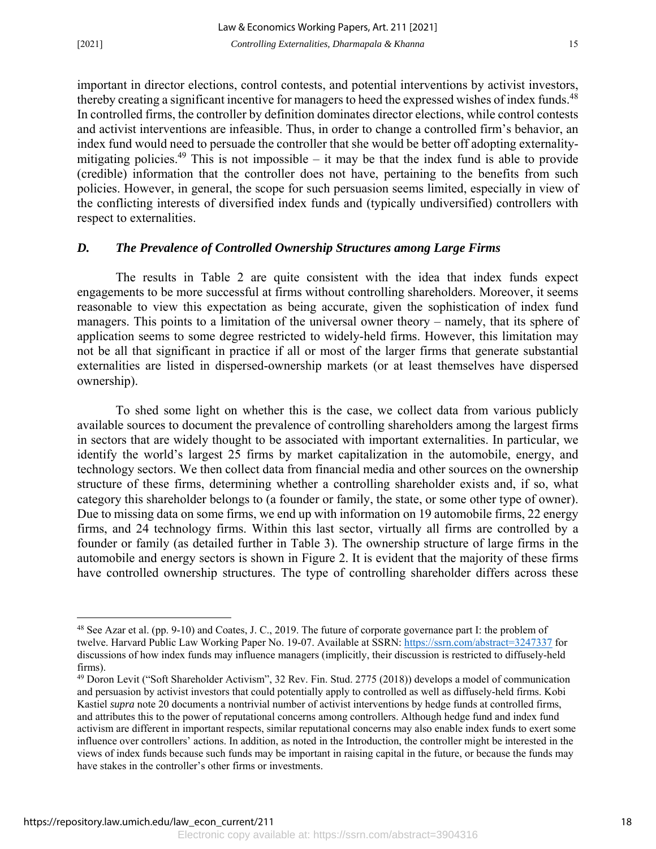important in director elections, control contests, and potential interventions by activist investors, thereby creating a significant incentive for managers to heed the expressed wishes of index funds.<sup>48</sup> In controlled firms, the controller by definition dominates director elections, while control contests and activist interventions are infeasible. Thus, in order to change a controlled firm's behavior, an index fund would need to persuade the controller that she would be better off adopting externalitymitigating policies.<sup>49</sup> This is not impossible – it may be that the index fund is able to provide (credible) information that the controller does not have, pertaining to the benefits from such policies. However, in general, the scope for such persuasion seems limited, especially in view of the conflicting interests of diversified index funds and (typically undiversified) controllers with respect to externalities.

#### *D. The Prevalence of Controlled Ownership Structures among Large Firms*

 The results in Table 2 are quite consistent with the idea that index funds expect engagements to be more successful at firms without controlling shareholders. Moreover, it seems reasonable to view this expectation as being accurate, given the sophistication of index fund managers. This points to a limitation of the universal owner theory – namely, that its sphere of application seems to some degree restricted to widely-held firms. However, this limitation may not be all that significant in practice if all or most of the larger firms that generate substantial externalities are listed in dispersed-ownership markets (or at least themselves have dispersed ownership).

To shed some light on whether this is the case, we collect data from various publicly available sources to document the prevalence of controlling shareholders among the largest firms in sectors that are widely thought to be associated with important externalities. In particular, we identify the world's largest 25 firms by market capitalization in the automobile, energy, and technology sectors. We then collect data from financial media and other sources on the ownership structure of these firms, determining whether a controlling shareholder exists and, if so, what category this shareholder belongs to (a founder or family, the state, or some other type of owner). Due to missing data on some firms, we end up with information on 19 automobile firms, 22 energy firms, and 24 technology firms. Within this last sector, virtually all firms are controlled by a founder or family (as detailed further in Table 3). The ownership structure of large firms in the automobile and energy sectors is shown in Figure 2. It is evident that the majority of these firms have controlled ownership structures. The type of controlling shareholder differs across these

 $\overline{a}$ 

<sup>48</sup> See Azar et al. (pp. 9-10) and Coates, J. C., 2019. The future of corporate governance part I: the problem of twelve. Harvard Public Law Working Paper No. 19-07. Available at SSRN: https://ssrn.com/abstract=3247337 for discussions of how index funds may influence managers (implicitly, their discussion is restricted to diffusely-held firms).

<sup>49</sup> Doron Levit ("Soft Shareholder Activism", 32 Rev. Fin. Stud. 2775 (2018)) develops a model of communication and persuasion by activist investors that could potentially apply to controlled as well as diffusely-held firms. Kobi Kastiel *supra* note 20 documents a nontrivial number of activist interventions by hedge funds at controlled firms, and attributes this to the power of reputational concerns among controllers. Although hedge fund and index fund activism are different in important respects, similar reputational concerns may also enable index funds to exert some influence over controllers' actions. In addition, as noted in the Introduction, the controller might be interested in the views of index funds because such funds may be important in raising capital in the future, or because the funds may have stakes in the controller's other firms or investments.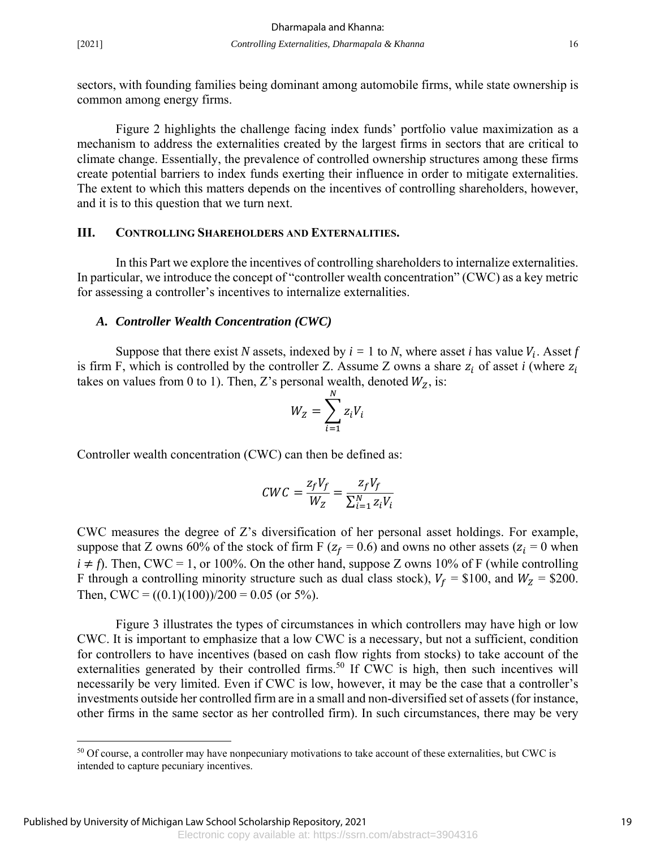$\overline{a}$ 

sectors, with founding families being dominant among automobile firms, while state ownership is common among energy firms.

Figure 2 highlights the challenge facing index funds' portfolio value maximization as a mechanism to address the externalities created by the largest firms in sectors that are critical to climate change. Essentially, the prevalence of controlled ownership structures among these firms create potential barriers to index funds exerting their influence in order to mitigate externalities. The extent to which this matters depends on the incentives of controlling shareholders, however, and it is to this question that we turn next.

#### **III. CONTROLLING SHAREHOLDERS AND EXTERNALITIES.**

In this Part we explore the incentives of controlling shareholders to internalize externalities. In particular, we introduce the concept of "controller wealth concentration" (CWC) as a key metric for assessing a controller's incentives to internalize externalities.

#### *A. Controller Wealth Concentration (CWC)*

Suppose that there exist *N* assets, indexed by  $i = 1$  to *N*, where asset *i* has value  $V_i$ . Asset *f* is firm F, which is controlled by the controller Z. Assume Z owns a share  $z_i$  of asset *i* (where  $z_i$ takes on values from 0 to 1). Then, Z's personal wealth, denoted  $W_Z$ , is:

$$
W_Z = \sum_{i=1}^N z_i V_i
$$

Controller wealth concentration (CWC) can then be defined as:

$$
CWC = \frac{z_f V_f}{W_Z} = \frac{z_f V_f}{\sum_{i=1}^N z_i V_i}
$$

CWC measures the degree of Z's diversification of her personal asset holdings. For example, suppose that Z owns 60% of the stock of firm F ( $z_f = 0.6$ ) and owns no other assets ( $z_i = 0$  when  $i \neq f$ ). Then, CWC = 1, or 100%. On the other hand, suppose Z owns 10% of F (while controlling F through a controlling minority structure such as dual class stock),  $V_f = $100$ , and  $W_Z = $200$ . Then, CWC =  $((0.1)(100))/200 = 0.05$  (or 5%).

Figure 3 illustrates the types of circumstances in which controllers may have high or low CWC. It is important to emphasize that a low CWC is a necessary, but not a sufficient, condition for controllers to have incentives (based on cash flow rights from stocks) to take account of the externalities generated by their controlled firms.<sup>50</sup> If CWC is high, then such incentives will necessarily be very limited. Even if CWC is low, however, it may be the case that a controller's investments outside her controlled firm are in a small and non-diversified set of assets (for instance, other firms in the same sector as her controlled firm). In such circumstances, there may be very

<sup>&</sup>lt;sup>50</sup> Of course, a controller may have nonpecuniary motivations to take account of these externalities, but CWC is intended to capture pecuniary incentives.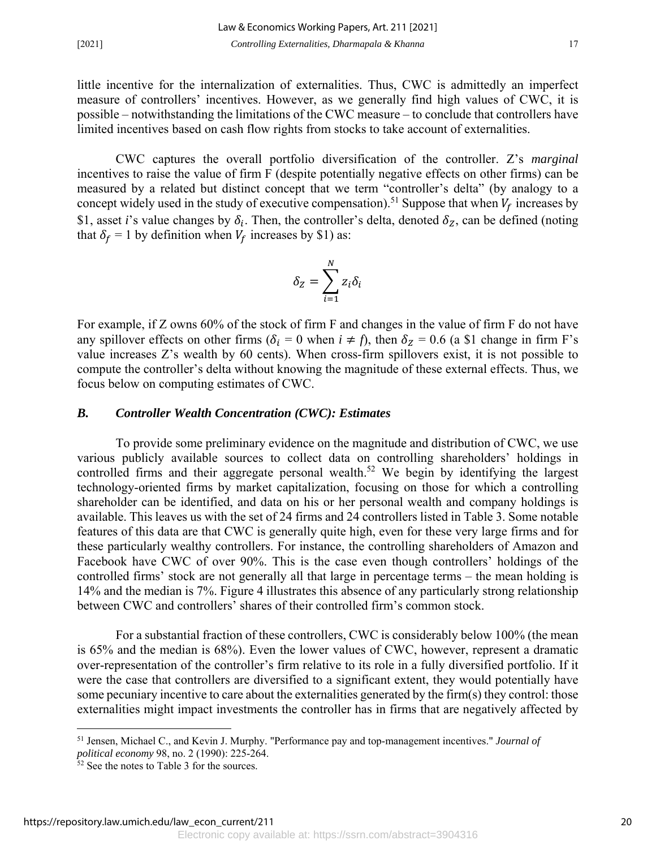little incentive for the internalization of externalities. Thus, CWC is admittedly an imperfect measure of controllers' incentives. However, as we generally find high values of CWC, it is possible – notwithstanding the limitations of the CWC measure – to conclude that controllers have limited incentives based on cash flow rights from stocks to take account of externalities.

CWC captures the overall portfolio diversification of the controller. Z's *marginal* incentives to raise the value of firm F (despite potentially negative effects on other firms) can be measured by a related but distinct concept that we term "controller's delta" (by analogy to a concept widely used in the study of executive compensation).<sup>51</sup> Suppose that when  $V_f$  increases by \$1, asset *i*'s value changes by  $\delta_i$ . Then, the controller's delta, denoted  $\delta_z$ , can be defined (noting that  $\delta_f = 1$  by definition when  $V_f$  increases by \$1) as:

$$
\delta_Z = \sum_{i=1}^N z_i \delta_i
$$

For example, if Z owns 60% of the stock of firm F and changes in the value of firm F do not have any spillover effects on other firms ( $\delta_i = 0$  when  $i \neq f$ ), then  $\delta_z = 0.6$  (a \$1 change in firm F's value increases Z's wealth by 60 cents). When cross-firm spillovers exist, it is not possible to compute the controller's delta without knowing the magnitude of these external effects. Thus, we focus below on computing estimates of CWC.

#### *B. Controller Wealth Concentration (CWC): Estimates*

To provide some preliminary evidence on the magnitude and distribution of CWC, we use various publicly available sources to collect data on controlling shareholders' holdings in controlled firms and their aggregate personal wealth.<sup>52</sup> We begin by identifying the largest technology-oriented firms by market capitalization, focusing on those for which a controlling shareholder can be identified, and data on his or her personal wealth and company holdings is available. This leaves us with the set of 24 firms and 24 controllers listed in Table 3. Some notable features of this data are that CWC is generally quite high, even for these very large firms and for these particularly wealthy controllers. For instance, the controlling shareholders of Amazon and Facebook have CWC of over 90%. This is the case even though controllers' holdings of the controlled firms' stock are not generally all that large in percentage terms – the mean holding is 14% and the median is 7%. Figure 4 illustrates this absence of any particularly strong relationship between CWC and controllers' shares of their controlled firm's common stock.

For a substantial fraction of these controllers, CWC is considerably below 100% (the mean is 65% and the median is 68%). Even the lower values of CWC, however, represent a dramatic over-representation of the controller's firm relative to its role in a fully diversified portfolio. If it were the case that controllers are diversified to a significant extent, they would potentially have some pecuniary incentive to care about the externalities generated by the firm(s) they control: those externalities might impact investments the controller has in firms that are negatively affected by

-

<sup>51</sup> Jensen, Michael C., and Kevin J. Murphy. "Performance pay and top-management incentives." *Journal of political economy* 98, no. 2 (1990): 225-264.

<sup>52</sup> See the notes to Table 3 for the sources.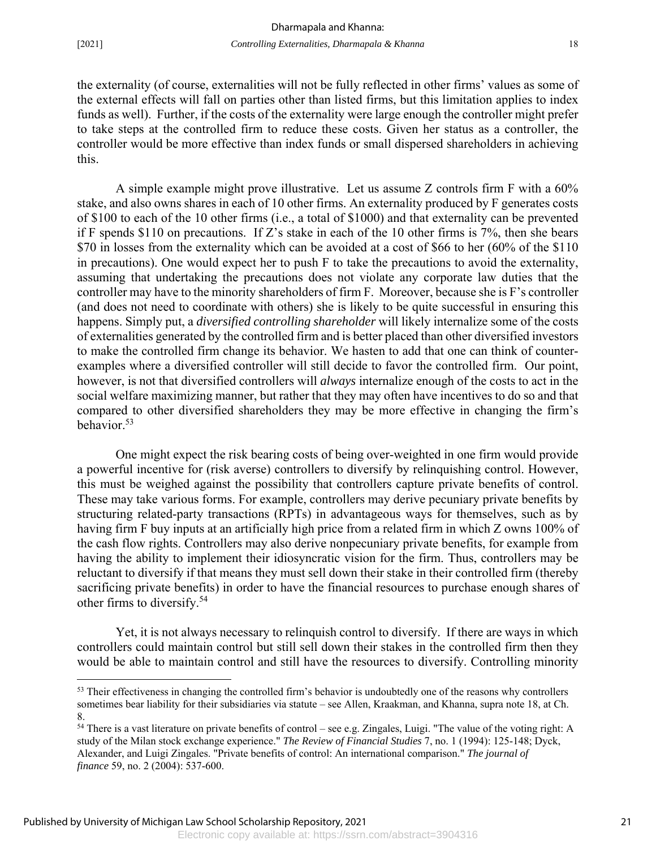<u>.</u>

the externality (of course, externalities will not be fully reflected in other firms' values as some of the external effects will fall on parties other than listed firms, but this limitation applies to index funds as well). Further, if the costs of the externality were large enough the controller might prefer to take steps at the controlled firm to reduce these costs. Given her status as a controller, the controller would be more effective than index funds or small dispersed shareholders in achieving this.

A simple example might prove illustrative. Let us assume Z controls firm F with a 60% stake, and also owns shares in each of 10 other firms. An externality produced by F generates costs of \$100 to each of the 10 other firms (i.e., a total of \$1000) and that externality can be prevented if F spends \$110 on precautions. If Z's stake in each of the 10 other firms is  $7\%$ , then she bears \$70 in losses from the externality which can be avoided at a cost of \$66 to her (60% of the \$110) in precautions). One would expect her to push F to take the precautions to avoid the externality, assuming that undertaking the precautions does not violate any corporate law duties that the controller may have to the minority shareholders of firm F. Moreover, because she is F's controller (and does not need to coordinate with others) she is likely to be quite successful in ensuring this happens. Simply put, a *diversified controlling shareholder* will likely internalize some of the costs of externalities generated by the controlled firm and is better placed than other diversified investors to make the controlled firm change its behavior. We hasten to add that one can think of counterexamples where a diversified controller will still decide to favor the controlled firm. Our point, however, is not that diversified controllers will *always* internalize enough of the costs to act in the social welfare maximizing manner, but rather that they may often have incentives to do so and that compared to other diversified shareholders they may be more effective in changing the firm's behavior.53

One might expect the risk bearing costs of being over-weighted in one firm would provide a powerful incentive for (risk averse) controllers to diversify by relinquishing control. However, this must be weighed against the possibility that controllers capture private benefits of control. These may take various forms. For example, controllers may derive pecuniary private benefits by structuring related-party transactions (RPTs) in advantageous ways for themselves, such as by having firm F buy inputs at an artificially high price from a related firm in which Z owns 100% of the cash flow rights. Controllers may also derive nonpecuniary private benefits, for example from having the ability to implement their idiosyncratic vision for the firm. Thus, controllers may be reluctant to diversify if that means they must sell down their stake in their controlled firm (thereby sacrificing private benefits) in order to have the financial resources to purchase enough shares of other firms to diversify.54

Yet, it is not always necessary to relinquish control to diversify. If there are ways in which controllers could maintain control but still sell down their stakes in the controlled firm then they would be able to maintain control and still have the resources to diversify. Controlling minority

<sup>&</sup>lt;sup>53</sup> Their effectiveness in changing the controlled firm's behavior is undoubtedly one of the reasons why controllers sometimes bear liability for their subsidiaries via statute – see Allen, Kraakman, and Khanna, supra note 18, at Ch. 8.

<sup>&</sup>lt;sup>54</sup> There is a vast literature on private benefits of control – see e.g. Zingales, Luigi. "The value of the voting right: A study of the Milan stock exchange experience." *The Review of Financial Studies* 7, no. 1 (1994): 125-148; Dyck, Alexander, and Luigi Zingales. "Private benefits of control: An international comparison." *The journal of finance* 59, no. 2 (2004): 537-600.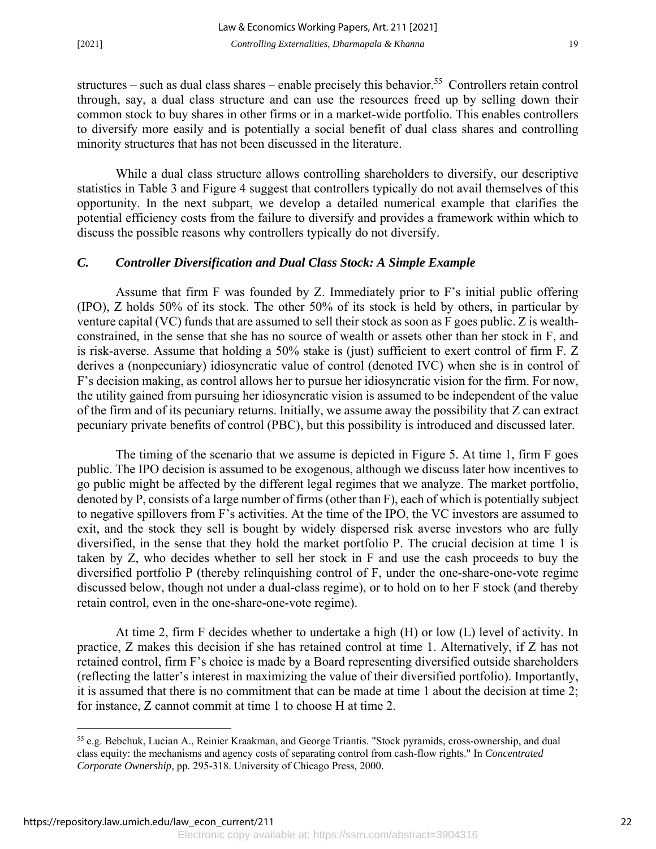structures – such as dual class shares – enable precisely this behavior.<sup>55</sup> Controllers retain control through, say, a dual class structure and can use the resources freed up by selling down their common stock to buy shares in other firms or in a market-wide portfolio. This enables controllers to diversify more easily and is potentially a social benefit of dual class shares and controlling minority structures that has not been discussed in the literature.

While a dual class structure allows controlling shareholders to diversify, our descriptive statistics in Table 3 and Figure 4 suggest that controllers typically do not avail themselves of this opportunity. In the next subpart, we develop a detailed numerical example that clarifies the potential efficiency costs from the failure to diversify and provides a framework within which to discuss the possible reasons why controllers typically do not diversify.

#### *C. Controller Diversification and Dual Class Stock: A Simple Example*

Assume that firm F was founded by Z. Immediately prior to F's initial public offering (IPO), Z holds 50% of its stock. The other 50% of its stock is held by others, in particular by venture capital (VC) funds that are assumed to sell their stock as soon as F goes public. Z is wealthconstrained, in the sense that she has no source of wealth or assets other than her stock in F, and is risk-averse. Assume that holding a 50% stake is (just) sufficient to exert control of firm F. Z derives a (nonpecuniary) idiosyncratic value of control (denoted IVC) when she is in control of F's decision making, as control allows her to pursue her idiosyncratic vision for the firm. For now, the utility gained from pursuing her idiosyncratic vision is assumed to be independent of the value of the firm and of its pecuniary returns. Initially, we assume away the possibility that Z can extract pecuniary private benefits of control (PBC), but this possibility is introduced and discussed later.

The timing of the scenario that we assume is depicted in Figure 5. At time 1, firm F goes public. The IPO decision is assumed to be exogenous, although we discuss later how incentives to go public might be affected by the different legal regimes that we analyze. The market portfolio, denoted by P, consists of a large number of firms (other than F), each of which is potentially subject to negative spillovers from F's activities. At the time of the IPO, the VC investors are assumed to exit, and the stock they sell is bought by widely dispersed risk averse investors who are fully diversified, in the sense that they hold the market portfolio P. The crucial decision at time 1 is taken by Z, who decides whether to sell her stock in F and use the cash proceeds to buy the diversified portfolio P (thereby relinquishing control of F, under the one-share-one-vote regime discussed below, though not under a dual-class regime), or to hold on to her F stock (and thereby retain control, even in the one-share-one-vote regime).

At time 2, firm F decides whether to undertake a high (H) or low (L) level of activity. In practice, Z makes this decision if she has retained control at time 1. Alternatively, if Z has not retained control, firm F's choice is made by a Board representing diversified outside shareholders (reflecting the latter's interest in maximizing the value of their diversified portfolio). Importantly, it is assumed that there is no commitment that can be made at time 1 about the decision at time 2; for instance, Z cannot commit at time 1 to choose H at time 2.

-

<sup>55</sup> e.g. Bebchuk, Lucian A., Reinier Kraakman, and George Triantis. "Stock pyramids, cross-ownership, and dual class equity: the mechanisms and agency costs of separating control from cash-flow rights." In *Concentrated Corporate Ownership*, pp. 295-318. University of Chicago Press, 2000.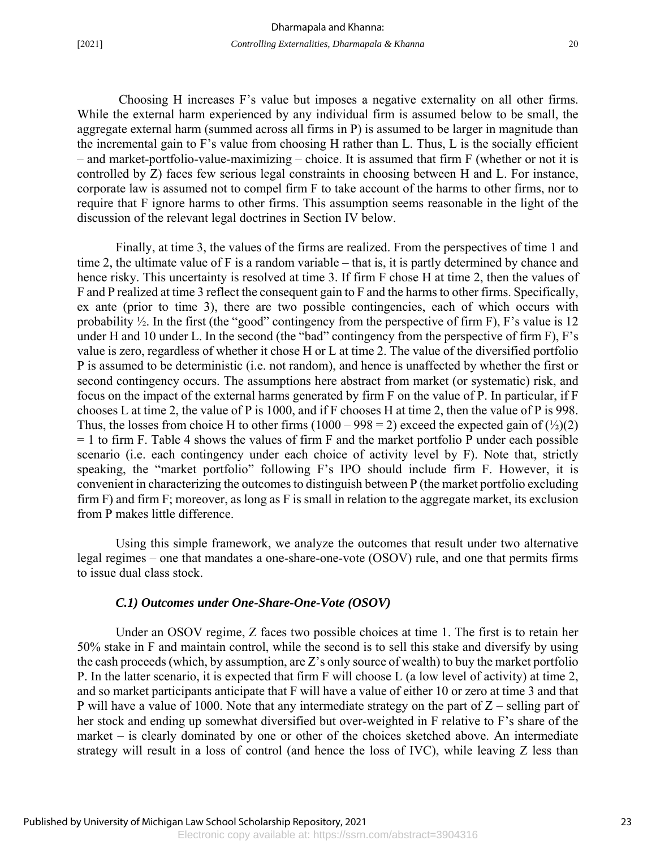Choosing H increases F's value but imposes a negative externality on all other firms. While the external harm experienced by any individual firm is assumed below to be small, the aggregate external harm (summed across all firms in P) is assumed to be larger in magnitude than the incremental gain to F's value from choosing H rather than L. Thus, L is the socially efficient – and market-portfolio-value-maximizing – choice. It is assumed that firm F (whether or not it is controlled by Z) faces few serious legal constraints in choosing between H and L. For instance, corporate law is assumed not to compel firm F to take account of the harms to other firms, nor to require that F ignore harms to other firms. This assumption seems reasonable in the light of the discussion of the relevant legal doctrines in Section IV below.

Finally, at time 3, the values of the firms are realized. From the perspectives of time 1 and time 2, the ultimate value of F is a random variable – that is, it is partly determined by chance and hence risky. This uncertainty is resolved at time 3. If firm F chose H at time 2, then the values of F and P realized at time 3 reflect the consequent gain to F and the harms to other firms. Specifically, ex ante (prior to time 3), there are two possible contingencies, each of which occurs with probability  $\frac{1}{2}$ . In the first (the "good" contingency from the perspective of firm F), F's value is 12 under H and 10 under L. In the second (the "bad" contingency from the perspective of firm F), F's value is zero, regardless of whether it chose H or L at time 2. The value of the diversified portfolio P is assumed to be deterministic (i.e. not random), and hence is unaffected by whether the first or second contingency occurs. The assumptions here abstract from market (or systematic) risk, and focus on the impact of the external harms generated by firm F on the value of P. In particular, if F chooses L at time 2, the value of P is 1000, and if F chooses H at time 2, then the value of P is 998. Thus, the losses from choice H to other firms  $(1000 - 998 = 2)$  exceed the expected gain of  $(\frac{1}{2})(2)$  $= 1$  to firm F. Table 4 shows the values of firm F and the market portfolio P under each possible scenario (i.e. each contingency under each choice of activity level by F). Note that, strictly speaking, the "market portfolio" following F's IPO should include firm F. However, it is convenient in characterizing the outcomes to distinguish between P (the market portfolio excluding firm F) and firm F; moreover, as long as F is small in relation to the aggregate market, its exclusion from P makes little difference.

Using this simple framework, we analyze the outcomes that result under two alternative legal regimes – one that mandates a one-share-one-vote (OSOV) rule, and one that permits firms to issue dual class stock.

#### *C.1) Outcomes under One-Share-One-Vote (OSOV)*

Under an OSOV regime, Z faces two possible choices at time 1. The first is to retain her 50% stake in F and maintain control, while the second is to sell this stake and diversify by using the cash proceeds (which, by assumption, are Z's only source of wealth) to buy the market portfolio P. In the latter scenario, it is expected that firm F will choose L (a low level of activity) at time 2, and so market participants anticipate that F will have a value of either 10 or zero at time 3 and that P will have a value of 1000. Note that any intermediate strategy on the part of  $Z$  – selling part of her stock and ending up somewhat diversified but over-weighted in F relative to F's share of the market – is clearly dominated by one or other of the choices sketched above. An intermediate strategy will result in a loss of control (and hence the loss of IVC), while leaving Z less than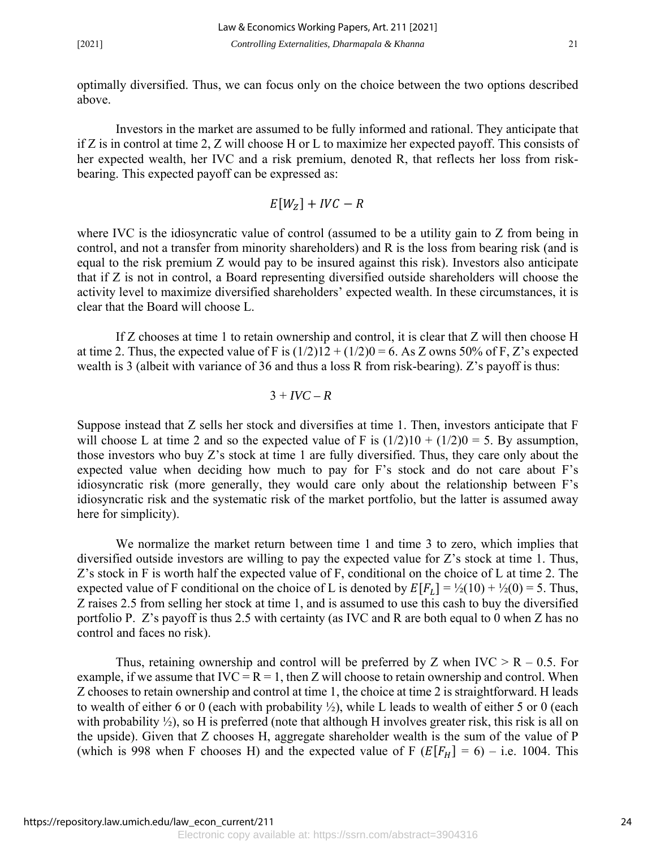optimally diversified. Thus, we can focus only on the choice between the two options described above.

 Investors in the market are assumed to be fully informed and rational. They anticipate that if Z is in control at time 2, Z will choose H or L to maximize her expected payoff. This consists of her expected wealth, her IVC and a risk premium, denoted R, that reflects her loss from riskbearing. This expected payoff can be expressed as:

$$
E[W_Z] + IVC - R
$$

where IVC is the idiosyncratic value of control (assumed to be a utility gain to Z from being in control, and not a transfer from minority shareholders) and R is the loss from bearing risk (and is equal to the risk premium Z would pay to be insured against this risk). Investors also anticipate that if Z is not in control, a Board representing diversified outside shareholders will choose the activity level to maximize diversified shareholders' expected wealth. In these circumstances, it is clear that the Board will choose L.

 If Z chooses at time 1 to retain ownership and control, it is clear that Z will then choose H at time 2. Thus, the expected value of F is  $(1/2)12 + (1/2)0 = 6$ . As Z owns 50% of F, Z's expected wealth is 3 (albeit with variance of 36 and thus a loss R from risk-bearing). Z's payoff is thus:

$$
3 + IVC - R
$$

Suppose instead that Z sells her stock and diversifies at time 1. Then, investors anticipate that F will choose L at time 2 and so the expected value of F is  $(1/2)10 + (1/2)0 = 5$ . By assumption, those investors who buy Z's stock at time 1 are fully diversified. Thus, they care only about the expected value when deciding how much to pay for F's stock and do not care about F's idiosyncratic risk (more generally, they would care only about the relationship between F's idiosyncratic risk and the systematic risk of the market portfolio, but the latter is assumed away here for simplicity).

We normalize the market return between time 1 and time 3 to zero, which implies that diversified outside investors are willing to pay the expected value for Z's stock at time 1. Thus, Z's stock in F is worth half the expected value of F, conditional on the choice of L at time 2. The expected value of F conditional on the choice of L is denoted by  $E[F_1] = \frac{1}{2}(10) + \frac{1}{2}(0) = 5$ . Thus, Z raises 2.5 from selling her stock at time 1, and is assumed to use this cash to buy the diversified portfolio P. Z's payoff is thus 2.5 with certainty (as IVC and R are both equal to 0 when Z has no control and faces no risk).

Thus, retaining ownership and control will be preferred by Z when  $IVC > R - 0.5$ . For example, if we assume that  $IVC = R = 1$ , then Z will choose to retain ownership and control. When Z chooses to retain ownership and control at time 1, the choice at time 2 is straightforward. H leads to wealth of either 6 or 0 (each with probability  $\frac{1}{2}$ ), while L leads to wealth of either 5 or 0 (each with probability  $\frac{1}{2}$ , so H is preferred (note that although H involves greater risk, this risk is all on the upside). Given that Z chooses H, aggregate shareholder wealth is the sum of the value of P (which is 998 when F chooses H) and the expected value of F  $(E[F_H] = 6) - i.e.$  1004. This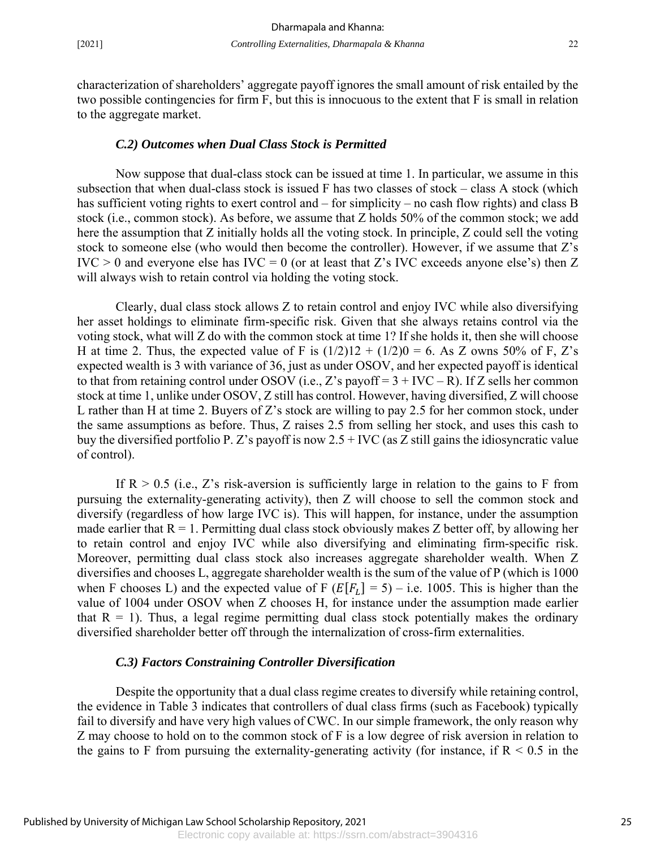characterization of shareholders' aggregate payoff ignores the small amount of risk entailed by the two possible contingencies for firm F, but this is innocuous to the extent that F is small in relation to the aggregate market.

#### *C.2) Outcomes when Dual Class Stock is Permitted*

Now suppose that dual-class stock can be issued at time 1. In particular, we assume in this subsection that when dual-class stock is issued F has two classes of stock – class A stock (which has sufficient voting rights to exert control and – for simplicity – no cash flow rights) and class B stock (i.e., common stock). As before, we assume that Z holds 50% of the common stock; we add here the assumption that Z initially holds all the voting stock. In principle, Z could sell the voting stock to someone else (who would then become the controller). However, if we assume that Z's  $IVC > 0$  and everyone else has  $IVC = 0$  (or at least that Z's IVC exceeds anyone else's) then Z will always wish to retain control via holding the voting stock.

Clearly, dual class stock allows Z to retain control and enjoy IVC while also diversifying her asset holdings to eliminate firm-specific risk. Given that she always retains control via the voting stock, what will Z do with the common stock at time 1? If she holds it, then she will choose H at time 2. Thus, the expected value of F is  $(1/2)12 + (1/2)0 = 6$ . As Z owns 50% of F, Z's expected wealth is 3 with variance of 36, just as under OSOV, and her expected payoff is identical to that from retaining control under OSOV (i.e., Z's payoff =  $3 + \text{IVC} - \text{R}$ ). If Z sells her common stock at time 1, unlike under OSOV, Z still has control. However, having diversified, Z will choose L rather than H at time 2. Buyers of Z's stock are willing to pay 2.5 for her common stock, under the same assumptions as before. Thus, Z raises 2.5 from selling her stock, and uses this cash to buy the diversified portfolio P. Z's payoff is now  $2.5 + \text{IVC}$  (as Z still gains the idiosyncratic value of control).

If  $R > 0.5$  (i.e., Z's risk-aversion is sufficiently large in relation to the gains to F from pursuing the externality-generating activity), then Z will choose to sell the common stock and diversify (regardless of how large IVC is). This will happen, for instance, under the assumption made earlier that  $R = 1$ . Permitting dual class stock obviously makes Z better off, by allowing her to retain control and enjoy IVC while also diversifying and eliminating firm-specific risk. Moreover, permitting dual class stock also increases aggregate shareholder wealth. When Z diversifies and chooses L, aggregate shareholder wealth is the sum of the value of P (which is 1000 when F chooses L) and the expected value of F ( $E[F_L] = 5$ ) – i.e. 1005. This is higher than the value of 1004 under OSOV when Z chooses H, for instance under the assumption made earlier that  $R = 1$ ). Thus, a legal regime permitting dual class stock potentially makes the ordinary diversified shareholder better off through the internalization of cross-firm externalities.

#### *C.3) Factors Constraining Controller Diversification*

Despite the opportunity that a dual class regime creates to diversify while retaining control, the evidence in Table 3 indicates that controllers of dual class firms (such as Facebook) typically fail to diversify and have very high values of CWC. In our simple framework, the only reason why Z may choose to hold on to the common stock of F is a low degree of risk aversion in relation to the gains to F from pursuing the externality-generating activity (for instance, if  $R < 0.5$  in the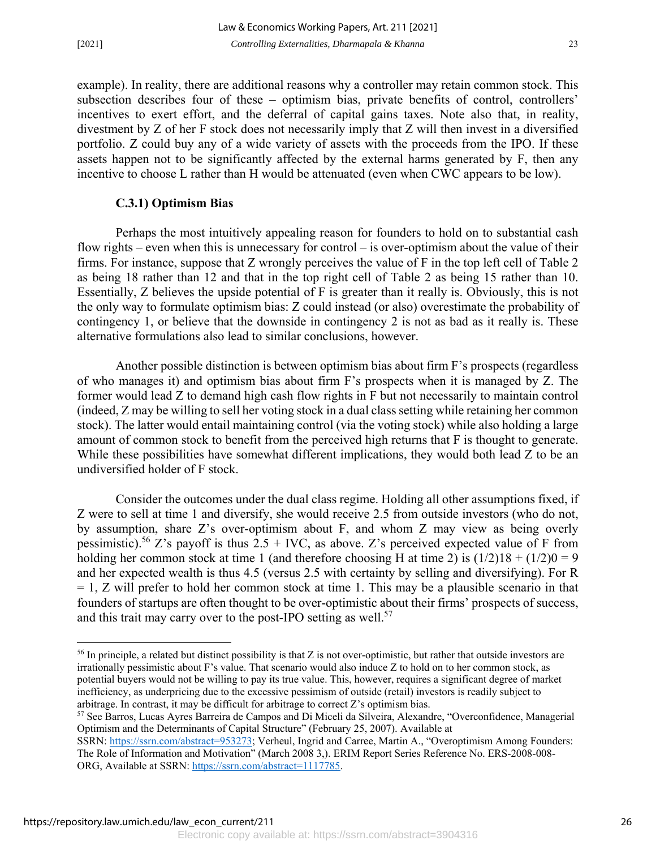example). In reality, there are additional reasons why a controller may retain common stock. This subsection describes four of these – optimism bias, private benefits of control, controllers' incentives to exert effort, and the deferral of capital gains taxes. Note also that, in reality, divestment by Z of her F stock does not necessarily imply that Z will then invest in a diversified portfolio. Z could buy any of a wide variety of assets with the proceeds from the IPO. If these assets happen not to be significantly affected by the external harms generated by F, then any incentive to choose L rather than H would be attenuated (even when CWC appears to be low).

#### **C.3.1) Optimism Bias**

Perhaps the most intuitively appealing reason for founders to hold on to substantial cash flow rights – even when this is unnecessary for control – is over-optimism about the value of their firms. For instance, suppose that Z wrongly perceives the value of F in the top left cell of Table 2 as being 18 rather than 12 and that in the top right cell of Table 2 as being 15 rather than 10. Essentially, Z believes the upside potential of F is greater than it really is. Obviously, this is not the only way to formulate optimism bias: Z could instead (or also) overestimate the probability of contingency 1, or believe that the downside in contingency 2 is not as bad as it really is. These alternative formulations also lead to similar conclusions, however.

Another possible distinction is between optimism bias about firm F's prospects (regardless of who manages it) and optimism bias about firm F's prospects when it is managed by Z. The former would lead Z to demand high cash flow rights in F but not necessarily to maintain control (indeed, Z may be willing to sell her voting stock in a dual class setting while retaining her common stock). The latter would entail maintaining control (via the voting stock) while also holding a large amount of common stock to benefit from the perceived high returns that F is thought to generate. While these possibilities have somewhat different implications, they would both lead Z to be an undiversified holder of F stock.

Consider the outcomes under the dual class regime. Holding all other assumptions fixed, if Z were to sell at time 1 and diversify, she would receive 2.5 from outside investors (who do not, by assumption, share Z's over-optimism about F, and whom Z may view as being overly pessimistic).<sup>56</sup> Z's payoff is thus 2.5 + IVC, as above. Z's perceived expected value of F from holding her common stock at time 1 (and therefore choosing H at time 2) is  $(1/2)18 + (1/2)0 = 9$ and her expected wealth is thus 4.5 (versus 2.5 with certainty by selling and diversifying). For R  $= 1$ , Z will prefer to hold her common stock at time 1. This may be a plausible scenario in that founders of startups are often thought to be over-optimistic about their firms' prospects of success, and this trait may carry over to the post-IPO setting as well.<sup>57</sup>

https://repository.law.umich.edu/law\_econ\_current/211

 $\overline{a}$ 

<sup>&</sup>lt;sup>56</sup> In principle, a related but distinct possibility is that Z is not over-optimistic, but rather that outside investors are irrationally pessimistic about F's value. That scenario would also induce Z to hold on to her common stock, as potential buyers would not be willing to pay its true value. This, however, requires a significant degree of market inefficiency, as underpricing due to the excessive pessimism of outside (retail) investors is readily subject to

arbitrage. In contrast, it may be difficult for arbitrage to correct Z's optimism bias. 57 See Barros, Lucas Ayres Barreira de Campos and Di Miceli da Silveira, Alexandre, "Overconfidence, Managerial Optimism and the Determinants of Capital Structure" (February 25, 2007). Available at

SSRN: https://ssrn.com/abstract=953273; Verheul, Ingrid and Carree, Martin A., "Overoptimism Among Founders: The Role of Information and Motivation" (March 2008 3,). ERIM Report Series Reference No. ERS-2008-008- ORG, Available at SSRN: https://ssrn.com/abstract=1117785.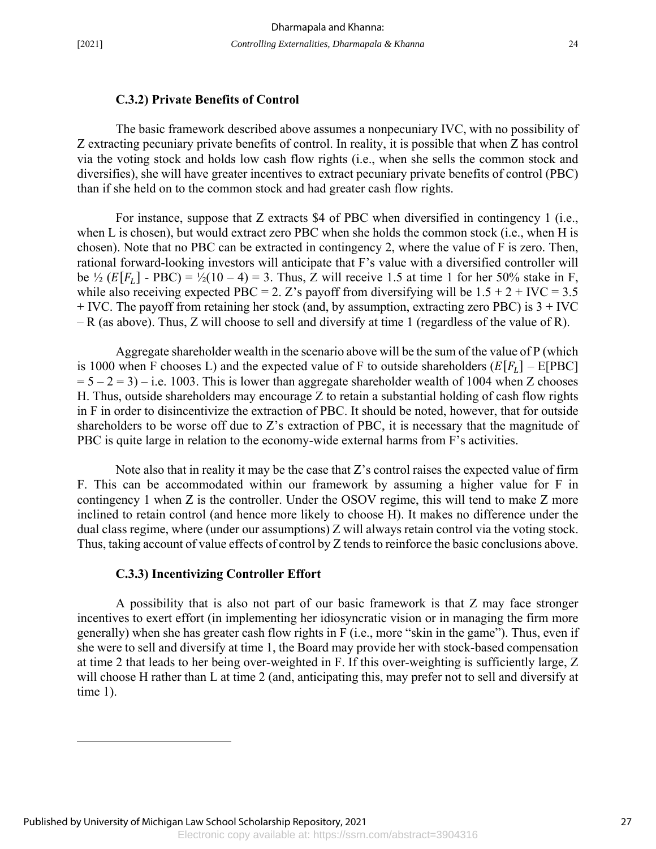<u>.</u>

#### **C.3.2) Private Benefits of Control**

The basic framework described above assumes a nonpecuniary IVC, with no possibility of Z extracting pecuniary private benefits of control. In reality, it is possible that when Z has control via the voting stock and holds low cash flow rights (i.e., when she sells the common stock and diversifies), she will have greater incentives to extract pecuniary private benefits of control (PBC) than if she held on to the common stock and had greater cash flow rights.

For instance, suppose that Z extracts \$4 of PBC when diversified in contingency 1 (i.e., when L is chosen), but would extract zero PBC when she holds the common stock (i.e., when H is chosen). Note that no PBC can be extracted in contingency 2, where the value of F is zero. Then, rational forward-looking investors will anticipate that F's value with a diversified controller will be  $\frac{1}{2}$  ( $E[F_L]$  - PBC) =  $\frac{1}{2}$ (10 – 4) = 3. Thus, Z will receive 1.5 at time 1 for her 50% stake in F, while also receiving expected PBC = 2. Z's payoff from diversifying will be  $1.5 + 2 + \text{IVC} = 3.5$  $+$  IVC. The payoff from retaining her stock (and, by assumption, extracting zero PBC) is  $3 +$  IVC – R (as above). Thus, Z will choose to sell and diversify at time 1 (regardless of the value of R).

Aggregate shareholder wealth in the scenario above will be the sum of the value of P (which is 1000 when F chooses L) and the expected value of F to outside shareholders  $(E[F_I] - E[PBC]$  $= 5 - 2 = 3$ ) – i.e. 1003. This is lower than aggregate shareholder wealth of 1004 when Z chooses H. Thus, outside shareholders may encourage Z to retain a substantial holding of cash flow rights in F in order to disincentivize the extraction of PBC. It should be noted, however, that for outside shareholders to be worse off due to Z's extraction of PBC, it is necessary that the magnitude of PBC is quite large in relation to the economy-wide external harms from F's activities.

 Note also that in reality it may be the case that Z's control raises the expected value of firm F. This can be accommodated within our framework by assuming a higher value for F in contingency 1 when Z is the controller. Under the OSOV regime, this will tend to make Z more inclined to retain control (and hence more likely to choose H). It makes no difference under the dual class regime, where (under our assumptions) Z will always retain control via the voting stock. Thus, taking account of value effects of control by Z tends to reinforce the basic conclusions above.

#### **C.3.3) Incentivizing Controller Effort**

 A possibility that is also not part of our basic framework is that Z may face stronger incentives to exert effort (in implementing her idiosyncratic vision or in managing the firm more generally) when she has greater cash flow rights in F (i.e., more "skin in the game"). Thus, even if she were to sell and diversify at time 1, the Board may provide her with stock-based compensation at time 2 that leads to her being over-weighted in F. If this over-weighting is sufficiently large, Z will choose H rather than L at time 2 (and, anticipating this, may prefer not to sell and diversify at time 1).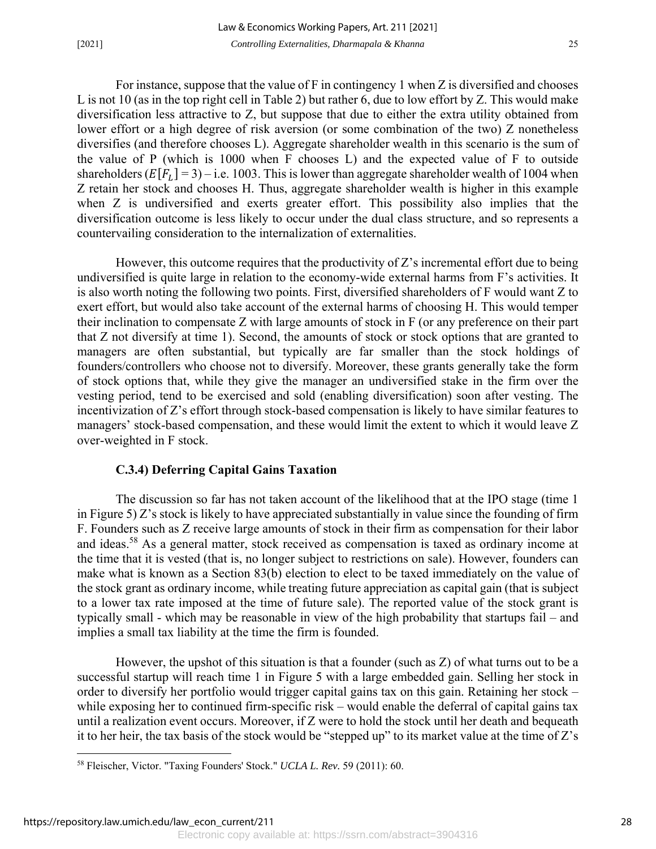For instance, suppose that the value of F in contingency 1 when Z is diversified and chooses L is not 10 (as in the top right cell in Table 2) but rather 6, due to low effort by Z. This would make diversification less attractive to Z, but suppose that due to either the extra utility obtained from lower effort or a high degree of risk aversion (or some combination of the two) Z nonetheless diversifies (and therefore chooses L). Aggregate shareholder wealth in this scenario is the sum of the value of P (which is 1000 when F chooses L) and the expected value of F to outside shareholders  $(E[F_L] = 3) - i.e.$  1003. This is lower than aggregate shareholder wealth of 1004 when Z retain her stock and chooses H. Thus, aggregate shareholder wealth is higher in this example when Z is undiversified and exerts greater effort. This possibility also implies that the diversification outcome is less likely to occur under the dual class structure, and so represents a countervailing consideration to the internalization of externalities.

However, this outcome requires that the productivity of Z's incremental effort due to being undiversified is quite large in relation to the economy-wide external harms from F's activities. It is also worth noting the following two points. First, diversified shareholders of F would want Z to exert effort, but would also take account of the external harms of choosing H. This would temper their inclination to compensate Z with large amounts of stock in F (or any preference on their part that Z not diversify at time 1). Second, the amounts of stock or stock options that are granted to managers are often substantial, but typically are far smaller than the stock holdings of founders/controllers who choose not to diversify. Moreover, these grants generally take the form of stock options that, while they give the manager an undiversified stake in the firm over the vesting period, tend to be exercised and sold (enabling diversification) soon after vesting. The incentivization of Z's effort through stock-based compensation is likely to have similar features to managers' stock-based compensation, and these would limit the extent to which it would leave Z over-weighted in F stock.

#### **C.3.4) Deferring Capital Gains Taxation**

The discussion so far has not taken account of the likelihood that at the IPO stage (time 1 in Figure 5) Z's stock is likely to have appreciated substantially in value since the founding of firm F. Founders such as Z receive large amounts of stock in their firm as compensation for their labor and ideas.58 As a general matter, stock received as compensation is taxed as ordinary income at the time that it is vested (that is, no longer subject to restrictions on sale). However, founders can make what is known as a Section 83(b) election to elect to be taxed immediately on the value of the stock grant as ordinary income, while treating future appreciation as capital gain (that is subject to a lower tax rate imposed at the time of future sale). The reported value of the stock grant is typically small - which may be reasonable in view of the high probability that startups fail – and implies a small tax liability at the time the firm is founded.

However, the upshot of this situation is that a founder (such as Z) of what turns out to be a successful startup will reach time 1 in Figure 5 with a large embedded gain. Selling her stock in order to diversify her portfolio would trigger capital gains tax on this gain. Retaining her stock – while exposing her to continued firm-specific risk – would enable the deferral of capital gains tax until a realization event occurs. Moreover, if Z were to hold the stock until her death and bequeath it to her heir, the tax basis of the stock would be "stepped up" to its market value at the time of Z's

<u>.</u>

<sup>58</sup> Fleischer, Victor. "Taxing Founders' Stock." *UCLA L. Rev.* 59 (2011): 60.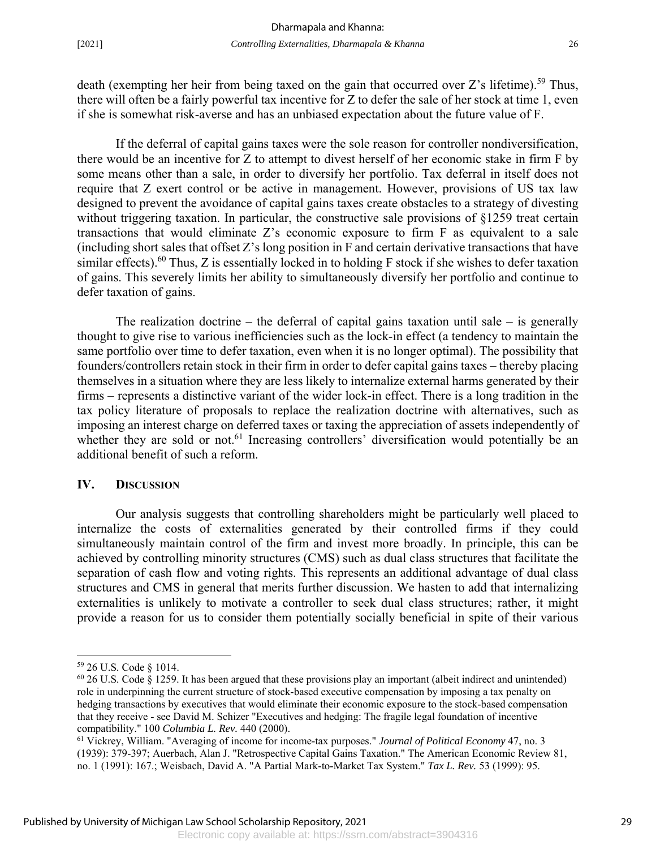death (exempting her heir from being taxed on the gain that occurred over Z's lifetime).<sup>59</sup> Thus, there will often be a fairly powerful tax incentive for Z to defer the sale of her stock at time 1, even if she is somewhat risk-averse and has an unbiased expectation about the future value of F.

If the deferral of capital gains taxes were the sole reason for controller nondiversification, there would be an incentive for Z to attempt to divest herself of her economic stake in firm F by some means other than a sale, in order to diversify her portfolio. Tax deferral in itself does not require that Z exert control or be active in management. However, provisions of US tax law designed to prevent the avoidance of capital gains taxes create obstacles to a strategy of divesting without triggering taxation. In particular, the constructive sale provisions of §1259 treat certain transactions that would eliminate Z's economic exposure to firm F as equivalent to a sale (including short sales that offset Z's long position in F and certain derivative transactions that have similar effects).<sup>60</sup> Thus, Z is essentially locked in to holding F stock if she wishes to defer taxation of gains. This severely limits her ability to simultaneously diversify her portfolio and continue to defer taxation of gains.

The realization doctrine – the deferral of capital gains taxation until sale – is generally thought to give rise to various inefficiencies such as the lock-in effect (a tendency to maintain the same portfolio over time to defer taxation, even when it is no longer optimal). The possibility that founders/controllers retain stock in their firm in order to defer capital gains taxes – thereby placing themselves in a situation where they are less likely to internalize external harms generated by their firms – represents a distinctive variant of the wider lock-in effect. There is a long tradition in the tax policy literature of proposals to replace the realization doctrine with alternatives, such as imposing an interest charge on deferred taxes or taxing the appreciation of assets independently of whether they are sold or not.<sup>61</sup> Increasing controllers' diversification would potentially be an additional benefit of such a reform.

#### **IV. DISCUSSION**

 Our analysis suggests that controlling shareholders might be particularly well placed to internalize the costs of externalities generated by their controlled firms if they could simultaneously maintain control of the firm and invest more broadly. In principle, this can be achieved by controlling minority structures (CMS) such as dual class structures that facilitate the separation of cash flow and voting rights. This represents an additional advantage of dual class structures and CMS in general that merits further discussion. We hasten to add that internalizing externalities is unlikely to motivate a controller to seek dual class structures; rather, it might provide a reason for us to consider them potentially socially beneficial in spite of their various

 $\overline{a}$ 

<sup>59 26</sup> U.S. Code § 1014.

<sup>60 26</sup> U.S. Code § 1259. It has been argued that these provisions play an important (albeit indirect and unintended) role in underpinning the current structure of stock-based executive compensation by imposing a tax penalty on hedging transactions by executives that would eliminate their economic exposure to the stock-based compensation that they receive - see David M. Schizer "Executives and hedging: The fragile legal foundation of incentive compatibility." 100 *Columbia L. Rev.* 440 (2000).

<sup>61</sup> Vickrey, William. "Averaging of income for income-tax purposes." *Journal of Political Economy* 47, no. 3 (1939): 379-397; Auerbach, Alan J. "Retrospective Capital Gains Taxation." The American Economic Review 81, no. 1 (1991): 167.; Weisbach, David A. "A Partial Mark-to-Market Tax System." *Tax L. Rev.* 53 (1999): 95.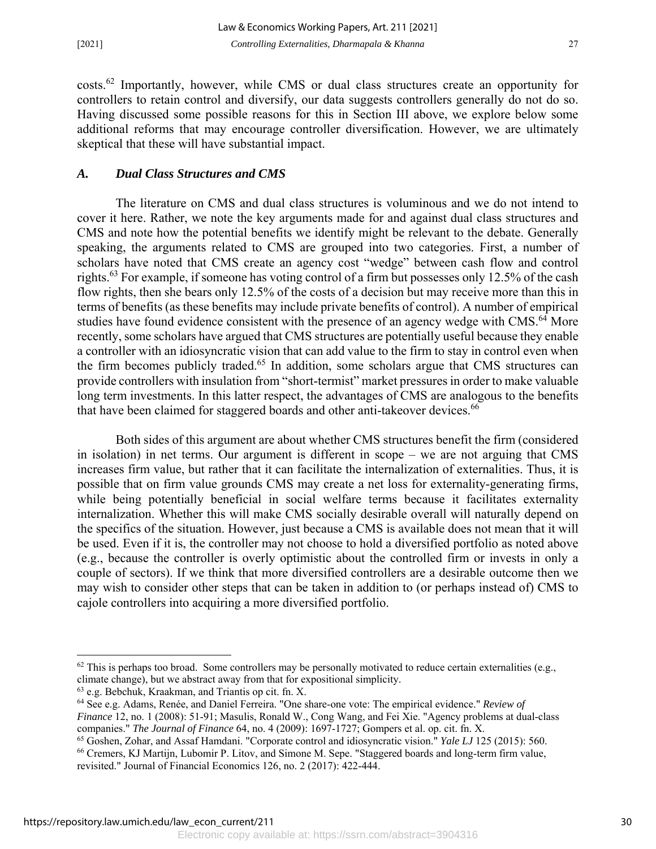costs.62 Importantly, however, while CMS or dual class structures create an opportunity for controllers to retain control and diversify, our data suggests controllers generally do not do so. Having discussed some possible reasons for this in Section III above, we explore below some additional reforms that may encourage controller diversification. However, we are ultimately skeptical that these will have substantial impact.

#### *A. Dual Class Structures and CMS*

The literature on CMS and dual class structures is voluminous and we do not intend to cover it here. Rather, we note the key arguments made for and against dual class structures and CMS and note how the potential benefits we identify might be relevant to the debate. Generally speaking, the arguments related to CMS are grouped into two categories. First, a number of scholars have noted that CMS create an agency cost "wedge" between cash flow and control rights.<sup>63</sup> For example, if someone has voting control of a firm but possesses only 12.5% of the cash flow rights, then she bears only 12.5% of the costs of a decision but may receive more than this in terms of benefits (as these benefits may include private benefits of control). A number of empirical studies have found evidence consistent with the presence of an agency wedge with CMS.<sup>64</sup> More recently, some scholars have argued that CMS structures are potentially useful because they enable a controller with an idiosyncratic vision that can add value to the firm to stay in control even when the firm becomes publicly traded.<sup>65</sup> In addition, some scholars argue that CMS structures can provide controllers with insulation from "short-termist" market pressures in order to make valuable long term investments. In this latter respect, the advantages of CMS are analogous to the benefits that have been claimed for staggered boards and other anti-takeover devices.<sup>66</sup>

Both sides of this argument are about whether CMS structures benefit the firm (considered in isolation) in net terms. Our argument is different in scope – we are not arguing that CMS increases firm value, but rather that it can facilitate the internalization of externalities. Thus, it is possible that on firm value grounds CMS may create a net loss for externality-generating firms, while being potentially beneficial in social welfare terms because it facilitates externality internalization. Whether this will make CMS socially desirable overall will naturally depend on the specifics of the situation. However, just because a CMS is available does not mean that it will be used. Even if it is, the controller may not choose to hold a diversified portfolio as noted above (e.g., because the controller is overly optimistic about the controlled firm or invests in only a couple of sectors). If we think that more diversified controllers are a desirable outcome then we may wish to consider other steps that can be taken in addition to (or perhaps instead of) CMS to cajole controllers into acquiring a more diversified portfolio.

64 See e.g. Adams, Renée, and Daniel Ferreira. "One share-one vote: The empirical evidence." *Review of Finance* 12, no. 1 (2008): 51-91; Masulis, Ronald W., Cong Wang, and Fei Xie. "Agency problems at dual‐class companies." *The Journal of Finance* 64, no. 4 (2009): 1697-1727; Gompers et al. op. cit. fn. X.

 $\overline{a}$ 

 $62$  This is perhaps too broad. Some controllers may be personally motivated to reduce certain externalities (e.g., climate change), but we abstract away from that for expositional simplicity.

<sup>63</sup> e.g. Bebchuk, Kraakman, and Triantis op cit. fn. X.

<sup>65</sup> Goshen, Zohar, and Assaf Hamdani. "Corporate control and idiosyncratic vision." *Yale LJ* 125 (2015): 560. 66 Cremers, KJ Martijn, Lubomir P. Litov, and Simone M. Sepe. "Staggered boards and long-term firm value,

revisited." Journal of Financial Economics 126, no. 2 (2017): 422-444.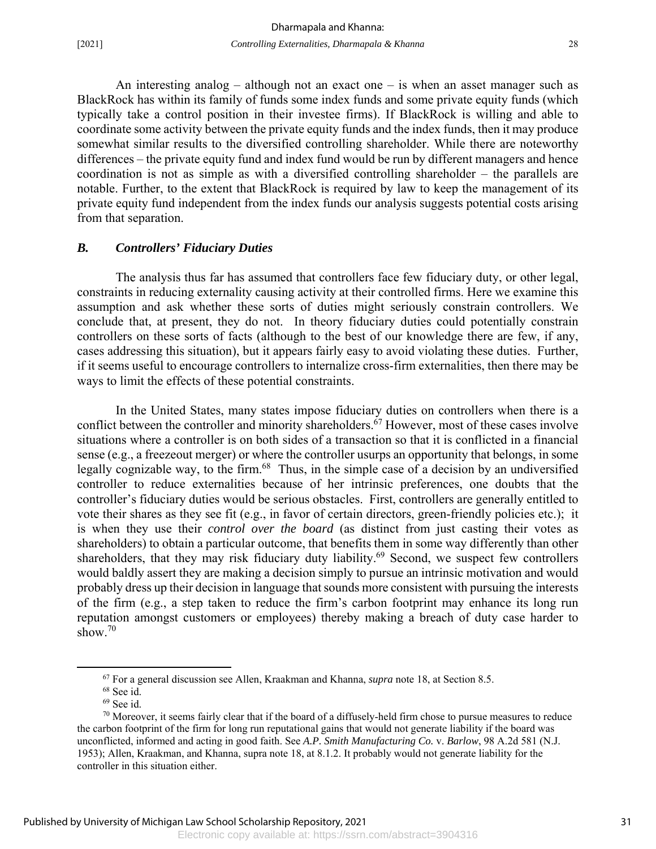An interesting analog – although not an exact one – is when an asset manager such as BlackRock has within its family of funds some index funds and some private equity funds (which typically take a control position in their investee firms). If BlackRock is willing and able to coordinate some activity between the private equity funds and the index funds, then it may produce somewhat similar results to the diversified controlling shareholder. While there are noteworthy differences – the private equity fund and index fund would be run by different managers and hence coordination is not as simple as with a diversified controlling shareholder – the parallels are notable. Further, to the extent that BlackRock is required by law to keep the management of its private equity fund independent from the index funds our analysis suggests potential costs arising from that separation.

#### *B. Controllers' Fiduciary Duties*

The analysis thus far has assumed that controllers face few fiduciary duty, or other legal, constraints in reducing externality causing activity at their controlled firms. Here we examine this assumption and ask whether these sorts of duties might seriously constrain controllers. We conclude that, at present, they do not. In theory fiduciary duties could potentially constrain controllers on these sorts of facts (although to the best of our knowledge there are few, if any, cases addressing this situation), but it appears fairly easy to avoid violating these duties. Further, if it seems useful to encourage controllers to internalize cross-firm externalities, then there may be ways to limit the effects of these potential constraints.

In the United States, many states impose fiduciary duties on controllers when there is a conflict between the controller and minority shareholders.<sup>67</sup> However, most of these cases involve situations where a controller is on both sides of a transaction so that it is conflicted in a financial sense (e.g., a freezeout merger) or where the controller usurps an opportunity that belongs, in some legally cognizable way, to the firm.<sup>68</sup> Thus, in the simple case of a decision by an undiversified controller to reduce externalities because of her intrinsic preferences, one doubts that the controller's fiduciary duties would be serious obstacles. First, controllers are generally entitled to vote their shares as they see fit (e.g., in favor of certain directors, green-friendly policies etc.); it is when they use their *control over the board* (as distinct from just casting their votes as shareholders) to obtain a particular outcome, that benefits them in some way differently than other shareholders, that they may risk fiduciary duty liability.<sup>69</sup> Second, we suspect few controllers would baldly assert they are making a decision simply to pursue an intrinsic motivation and would probably dress up their decision in language that sounds more consistent with pursuing the interests of the firm (e.g., a step taken to reduce the firm's carbon footprint may enhance its long run reputation amongst customers or employees) thereby making a breach of duty case harder to show.<sup>70</sup>

 <sup>67</sup> For a general discussion see Allen, Kraakman and Khanna, *supra* note 18, at Section 8.5. 68 See id.

 $69$  See id.

 $70$  Moreover, it seems fairly clear that if the board of a diffusely-held firm chose to pursue measures to reduce the carbon footprint of the firm for long run reputational gains that would not generate liability if the board was unconflicted, informed and acting in good faith. See *A.P. Smith Manufacturing Co.* v. *Barlow*, 98 A.2d 581 (N.J. 1953); Allen, Kraakman, and Khanna, supra note 18, at 8.1.2. It probably would not generate liability for the controller in this situation either.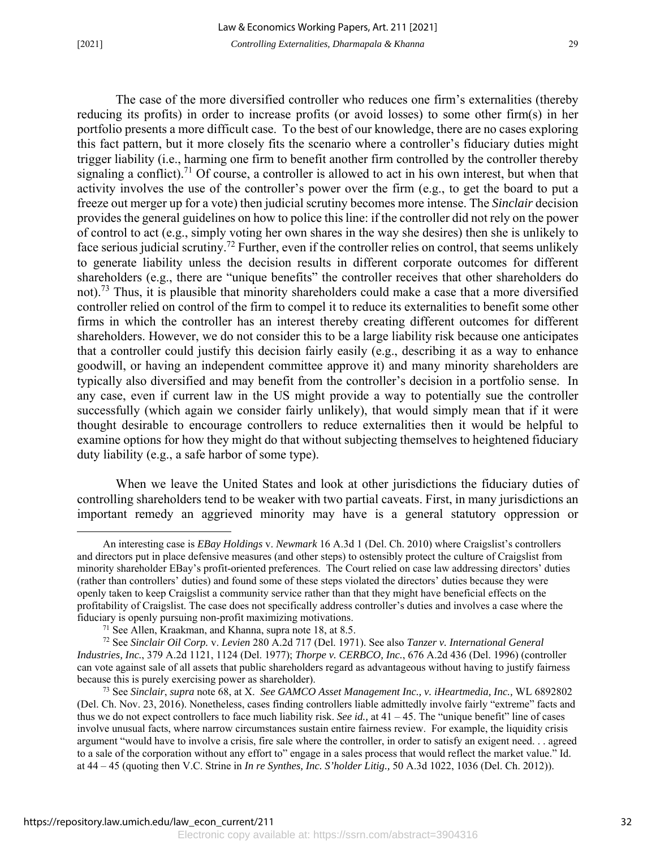The case of the more diversified controller who reduces one firm's externalities (thereby reducing its profits) in order to increase profits (or avoid losses) to some other firm(s) in her portfolio presents a more difficult case. To the best of our knowledge, there are no cases exploring this fact pattern, but it more closely fits the scenario where a controller's fiduciary duties might trigger liability (i.e., harming one firm to benefit another firm controlled by the controller thereby signaling a conflict).<sup>71</sup> Of course, a controller is allowed to act in his own interest, but when that activity involves the use of the controller's power over the firm (e.g., to get the board to put a freeze out merger up for a vote) then judicial scrutiny becomes more intense. The *Sinclair* decision provides the general guidelines on how to police this line: if the controller did not rely on the power of control to act (e.g., simply voting her own shares in the way she desires) then she is unlikely to face serious judicial scrutiny.<sup>72</sup> Further, even if the controller relies on control, that seems unlikely to generate liability unless the decision results in different corporate outcomes for different shareholders (e.g., there are "unique benefits" the controller receives that other shareholders do not).<sup>73</sup> Thus, it is plausible that minority shareholders could make a case that a more diversified controller relied on control of the firm to compel it to reduce its externalities to benefit some other firms in which the controller has an interest thereby creating different outcomes for different shareholders. However, we do not consider this to be a large liability risk because one anticipates that a controller could justify this decision fairly easily (e.g., describing it as a way to enhance goodwill, or having an independent committee approve it) and many minority shareholders are typically also diversified and may benefit from the controller's decision in a portfolio sense. In any case, even if current law in the US might provide a way to potentially sue the controller successfully (which again we consider fairly unlikely), that would simply mean that if it were thought desirable to encourage controllers to reduce externalities then it would be helpful to examine options for how they might do that without subjecting themselves to heightened fiduciary duty liability (e.g., a safe harbor of some type).

When we leave the United States and look at other jurisdictions the fiduciary duties of controlling shareholders tend to be weaker with two partial caveats. First, in many jurisdictions an important remedy an aggrieved minority may have is a general statutory oppression or

An interesting case is *EBay Holdings* v. *Newmark* 16 A.3d 1 (Del. Ch. 2010) where Craigslist's controllers and directors put in place defensive measures (and other steps) to ostensibly protect the culture of Craigslist from minority shareholder EBay's profit-oriented preferences. The Court relied on case law addressing directors' duties (rather than controllers' duties) and found some of these steps violated the directors' duties because they were openly taken to keep Craigslist a community service rather than that they might have beneficial effects on the profitability of Craigslist. The case does not specifically address controller's duties and involves a case where the fiduciary is openly pursuing non-profit maximizing motivations.

<sup>71</sup> See Allen, Kraakman, and Khanna, supra note 18, at 8.5.

<sup>72</sup> See *Sinclair Oil Corp.* v. *Levien* 280 A.2d 717 (Del. 1971). See also *Tanzer v. International General Industries, Inc.*, 379 A.2d 1121, 1124 (Del. 1977); *Thorpe v. CERBCO, Inc.*, 676 A.2d 436 (Del. 1996) (controller can vote against sale of all assets that public shareholders regard as advantageous without having to justify fairness because this is purely exercising power as shareholder).

<sup>73</sup> See *Sinclair*, *supra* note 68, at X. *See GAMCO Asset Management Inc., v. iHeartmedia, Inc.,* WL 6892802 (Del. Ch. Nov. 23, 2016). Nonetheless, cases finding controllers liable admittedly involve fairly "extreme" facts and thus we do not expect controllers to face much liability risk. *See id.,* at 41 – 45. The "unique benefit" line of cases involve unusual facts, where narrow circumstances sustain entire fairness review. For example, the liquidity crisis argument "would have to involve a crisis, fire sale where the controller, in order to satisfy an exigent need. . . agreed to a sale of the corporation without any effort to" engage in a sales process that would reflect the market value." Id. at 44 – 45 (quoting then V.C. Strine in *In re Synthes, Inc. S'holder Litig.,* 50 A.3d 1022, 1036 (Del. Ch. 2012)).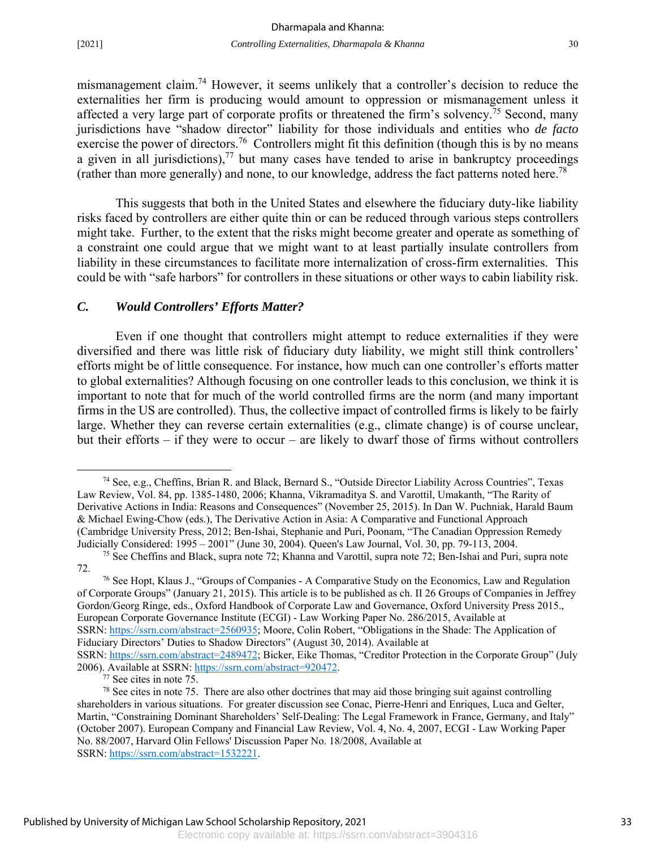mismanagement claim.74 However, it seems unlikely that a controller's decision to reduce the externalities her firm is producing would amount to oppression or mismanagement unless it affected a very large part of corporate profits or threatened the firm's solvency.<sup>75</sup> Second, many jurisdictions have "shadow director" liability for those individuals and entities who *de facto* exercise the power of directors.<sup>76</sup> Controllers might fit this definition (though this is by no means a given in all jurisdictions), $77$  but many cases have tended to arise in bankruptcy proceedings (rather than more generally) and none, to our knowledge, address the fact patterns noted here.<sup>78</sup>

This suggests that both in the United States and elsewhere the fiduciary duty-like liability risks faced by controllers are either quite thin or can be reduced through various steps controllers might take. Further, to the extent that the risks might become greater and operate as something of a constraint one could argue that we might want to at least partially insulate controllers from liability in these circumstances to facilitate more internalization of cross-firm externalities. This could be with "safe harbors" for controllers in these situations or other ways to cabin liability risk.

#### *C. Would Controllers' Efforts Matter?*

 Even if one thought that controllers might attempt to reduce externalities if they were diversified and there was little risk of fiduciary duty liability, we might still think controllers' efforts might be of little consequence. For instance, how much can one controller's efforts matter to global externalities? Although focusing on one controller leads to this conclusion, we think it is important to note that for much of the world controlled firms are the norm (and many important firms in the US are controlled). Thus, the collective impact of controlled firms is likely to be fairly large. Whether they can reverse certain externalities (e.g., climate change) is of course unclear, but their efforts – if they were to occur – are likely to dwarf those of firms without controllers

2006). Available at SSRN: https://ssrn.com/abstract=920472.<br><sup>77</sup> See cites in note 75.

 <sup>74</sup> See, e.g., Cheffins, Brian R. and Black, Bernard S., "Outside Director Liability Across Countries", Texas Law Review, Vol. 84, pp. 1385-1480, 2006; Khanna, Vikramaditya S. and Varottil, Umakanth, "The Rarity of Derivative Actions in India: Reasons and Consequences" (November 25, 2015). In Dan W. Puchniak, Harald Baum & Michael Ewing-Chow (eds.), The Derivative Action in Asia: A Comparative and Functional Approach (Cambridge University Press, 2012; Ben-Ishai, Stephanie and Puri, Poonam, "The Canadian Oppression Remedy Judicially Considered: 1995 – 2001" (June 30, 2004). Queen's Law Journal, Vol. 30, pp. 79-113, 2004. 75 See Cheffins and Black, supra note 72; Khanna and Varottil, supra note 72; Ben-Ishai and Puri, supra note

<sup>72.</sup> 

<sup>76</sup> See Hopt, Klaus J., "Groups of Companies - A Comparative Study on the Economics, Law and Regulation of Corporate Groups" (January 21, 2015). This article is to be published as ch. II 26 Groups of Companies in Jeffrey Gordon/Georg Ringe, eds., Oxford Handbook of Corporate Law and Governance, Oxford University Press 2015., European Corporate Governance Institute (ECGI) - Law Working Paper No. 286/2015, Available at SSRN: https://ssrn.com/abstract=2560935; Moore, Colin Robert, "Obligations in the Shade: The Application of Fiduciary Directors' Duties to Shadow Directors" (August 30, 2014). Available at SSRN: https://ssrn.com/abstract=2489472; Bicker, Eike Thomas, "Creditor Protection in the Corporate Group" (July

 $78$  See cites in note 75. There are also other doctrines that may aid those bringing suit against controlling shareholders in various situations. For greater discussion see Conac, Pierre-Henri and Enriques, Luca and Gelter, Martin, "Constraining Dominant Shareholders' Self-Dealing: The Legal Framework in France, Germany, and Italy" (October 2007). European Company and Financial Law Review, Vol. 4, No. 4, 2007, ECGI - Law Working Paper No. 88/2007, Harvard Olin Fellows' Discussion Paper No. 18/2008, Available at SSRN: https://ssrn.com/abstract=1532221.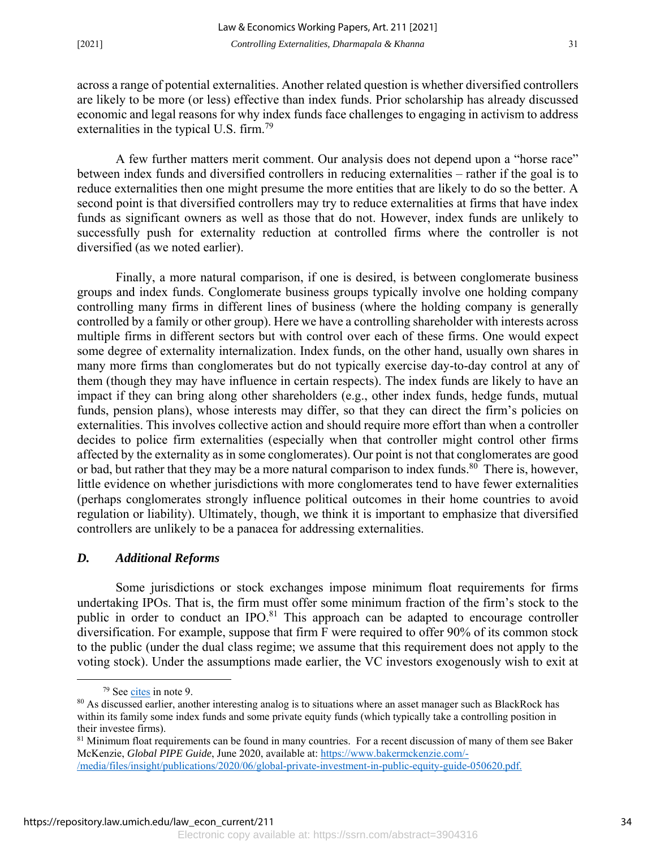across a range of potential externalities. Another related question is whether diversified controllers are likely to be more (or less) effective than index funds. Prior scholarship has already discussed economic and legal reasons for why index funds face challenges to engaging in activism to address externalities in the typical U.S. firm.<sup>79</sup>

 A few further matters merit comment. Our analysis does not depend upon a "horse race" between index funds and diversified controllers in reducing externalities – rather if the goal is to reduce externalities then one might presume the more entities that are likely to do so the better. A second point is that diversified controllers may try to reduce externalities at firms that have index funds as significant owners as well as those that do not. However, index funds are unlikely to successfully push for externality reduction at controlled firms where the controller is not diversified (as we noted earlier).

 Finally, a more natural comparison, if one is desired, is between conglomerate business groups and index funds. Conglomerate business groups typically involve one holding company controlling many firms in different lines of business (where the holding company is generally controlled by a family or other group). Here we have a controlling shareholder with interests across multiple firms in different sectors but with control over each of these firms. One would expect some degree of externality internalization. Index funds, on the other hand, usually own shares in many more firms than conglomerates but do not typically exercise day-to-day control at any of them (though they may have influence in certain respects). The index funds are likely to have an impact if they can bring along other shareholders (e.g., other index funds, hedge funds, mutual funds, pension plans), whose interests may differ, so that they can direct the firm's policies on externalities. This involves collective action and should require more effort than when a controller decides to police firm externalities (especially when that controller might control other firms affected by the externality as in some conglomerates). Our point is not that conglomerates are good or bad, but rather that they may be a more natural comparison to index funds. $80^{\circ}$  There is, however, little evidence on whether jurisdictions with more conglomerates tend to have fewer externalities (perhaps conglomerates strongly influence political outcomes in their home countries to avoid regulation or liability). Ultimately, though, we think it is important to emphasize that diversified controllers are unlikely to be a panacea for addressing externalities.

#### *D. Additional Reforms*

Some jurisdictions or stock exchanges impose minimum float requirements for firms undertaking IPOs. That is, the firm must offer some minimum fraction of the firm's stock to the public in order to conduct an IPO.<sup>81</sup> This approach can be adapted to encourage controller diversification. For example, suppose that firm F were required to offer 90% of its common stock to the public (under the dual class regime; we assume that this requirement does not apply to the voting stock). Under the assumptions made earlier, the VC investors exogenously wish to exit at

 <sup>79</sup> See cites in note 9.

<sup>&</sup>lt;sup>80</sup> As discussed earlier, another interesting analog is to situations where an asset manager such as BlackRock has within its family some index funds and some private equity funds (which typically take a controlling position in their investee firms).

 $81$  Minimum float requirements can be found in many countries. For a recent discussion of many of them see Baker McKenzie, *Global PIPE Guide*, June 2020, available at: https://www.bakermckenzie.com/- /media/files/insight/publications/2020/06/global-private-investment-in-public-equity-guide-050620.pdf.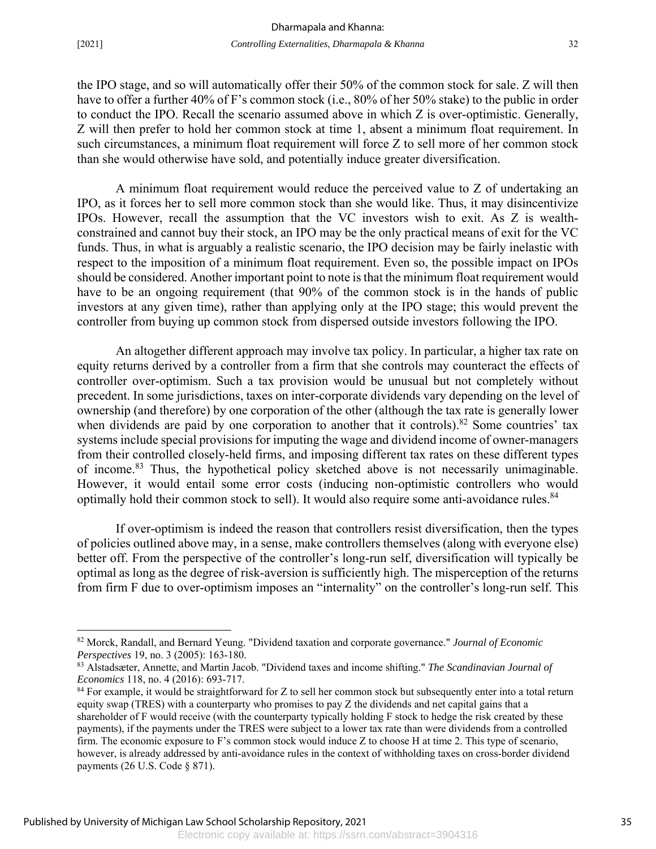$\overline{a}$ 

the IPO stage, and so will automatically offer their 50% of the common stock for sale. Z will then have to offer a further 40% of F's common stock (i.e., 80% of her 50% stake) to the public in order to conduct the IPO. Recall the scenario assumed above in which Z is over-optimistic. Generally, Z will then prefer to hold her common stock at time 1, absent a minimum float requirement. In such circumstances, a minimum float requirement will force Z to sell more of her common stock than she would otherwise have sold, and potentially induce greater diversification.

A minimum float requirement would reduce the perceived value to Z of undertaking an IPO, as it forces her to sell more common stock than she would like. Thus, it may disincentivize IPOs. However, recall the assumption that the VC investors wish to exit. As Z is wealthconstrained and cannot buy their stock, an IPO may be the only practical means of exit for the VC funds. Thus, in what is arguably a realistic scenario, the IPO decision may be fairly inelastic with respect to the imposition of a minimum float requirement. Even so, the possible impact on IPOs should be considered. Another important point to note is that the minimum float requirement would have to be an ongoing requirement (that 90% of the common stock is in the hands of public investors at any given time), rather than applying only at the IPO stage; this would prevent the controller from buying up common stock from dispersed outside investors following the IPO.

An altogether different approach may involve tax policy. In particular, a higher tax rate on equity returns derived by a controller from a firm that she controls may counteract the effects of controller over-optimism. Such a tax provision would be unusual but not completely without precedent. In some jurisdictions, taxes on inter-corporate dividends vary depending on the level of ownership (and therefore) by one corporation of the other (although the tax rate is generally lower when dividends are paid by one corporation to another that it controls).<sup>82</sup> Some countries' tax systems include special provisions for imputing the wage and dividend income of owner-managers from their controlled closely-held firms, and imposing different tax rates on these different types of income.<sup>83</sup> Thus, the hypothetical policy sketched above is not necessarily unimaginable. However, it would entail some error costs (inducing non-optimistic controllers who would optimally hold their common stock to sell). It would also require some anti-avoidance rules.<sup>84</sup>

If over-optimism is indeed the reason that controllers resist diversification, then the types of policies outlined above may, in a sense, make controllers themselves (along with everyone else) better off. From the perspective of the controller's long-run self, diversification will typically be optimal as long as the degree of risk-aversion is sufficiently high. The misperception of the returns from firm F due to over-optimism imposes an "internality" on the controller's long-run self. This

<sup>82</sup> Morck, Randall, and Bernard Yeung. "Dividend taxation and corporate governance." *Journal of Economic Perspectives* 19, no. 3 (2005): 163-180.

<sup>83</sup> Alstadsæter, Annette, and Martin Jacob. "Dividend taxes and income shifting." *The Scandinavian Journal of Economics* 118, no. 4 (2016): 693-717.

<sup>&</sup>lt;sup>84</sup> For example, it would be straightforward for Z to sell her common stock but subsequently enter into a total return equity swap (TRES) with a counterparty who promises to pay Z the dividends and net capital gains that a shareholder of F would receive (with the counterparty typically holding F stock to hedge the risk created by these payments), if the payments under the TRES were subject to a lower tax rate than were dividends from a controlled firm. The economic exposure to F's common stock would induce Z to choose H at time 2. This type of scenario, however, is already addressed by anti-avoidance rules in the context of withholding taxes on cross-border dividend payments (26 U.S. Code § 871).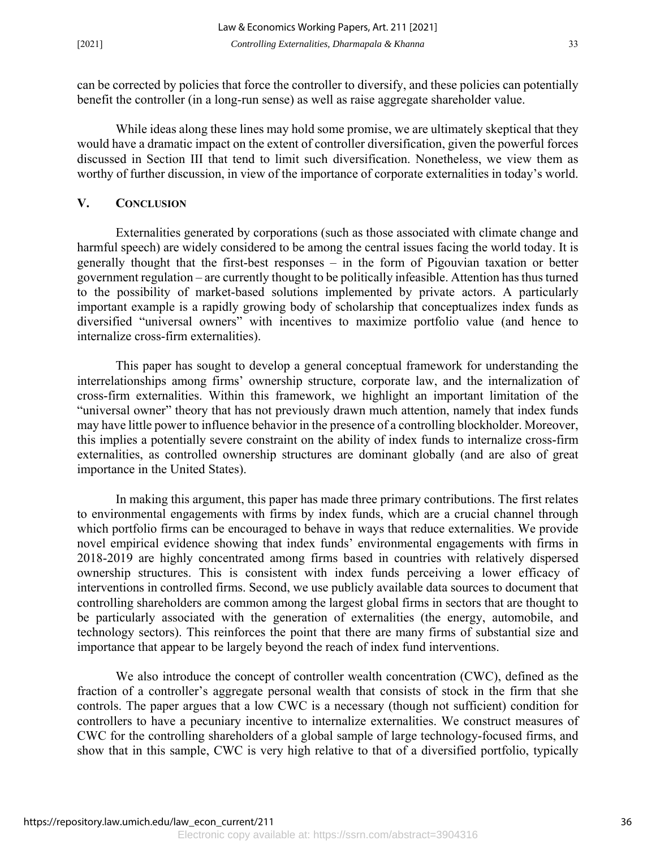can be corrected by policies that force the controller to diversify, and these policies can potentially benefit the controller (in a long-run sense) as well as raise aggregate shareholder value.

While ideas along these lines may hold some promise, we are ultimately skeptical that they would have a dramatic impact on the extent of controller diversification, given the powerful forces discussed in Section III that tend to limit such diversification. Nonetheless, we view them as worthy of further discussion, in view of the importance of corporate externalities in today's world.

#### **V. CONCLUSION**

 Externalities generated by corporations (such as those associated with climate change and harmful speech) are widely considered to be among the central issues facing the world today. It is generally thought that the first-best responses – in the form of Pigouvian taxation or better government regulation – are currently thought to be politically infeasible. Attention has thus turned to the possibility of market-based solutions implemented by private actors. A particularly important example is a rapidly growing body of scholarship that conceptualizes index funds as diversified "universal owners" with incentives to maximize portfolio value (and hence to internalize cross-firm externalities).

This paper has sought to develop a general conceptual framework for understanding the interrelationships among firms' ownership structure, corporate law, and the internalization of cross-firm externalities. Within this framework, we highlight an important limitation of the "universal owner" theory that has not previously drawn much attention, namely that index funds may have little power to influence behavior in the presence of a controlling blockholder. Moreover, this implies a potentially severe constraint on the ability of index funds to internalize cross-firm externalities, as controlled ownership structures are dominant globally (and are also of great importance in the United States).

In making this argument, this paper has made three primary contributions. The first relates to environmental engagements with firms by index funds, which are a crucial channel through which portfolio firms can be encouraged to behave in ways that reduce externalities. We provide novel empirical evidence showing that index funds' environmental engagements with firms in 2018-2019 are highly concentrated among firms based in countries with relatively dispersed ownership structures. This is consistent with index funds perceiving a lower efficacy of interventions in controlled firms. Second, we use publicly available data sources to document that controlling shareholders are common among the largest global firms in sectors that are thought to be particularly associated with the generation of externalities (the energy, automobile, and technology sectors). This reinforces the point that there are many firms of substantial size and importance that appear to be largely beyond the reach of index fund interventions.

We also introduce the concept of controller wealth concentration (CWC), defined as the fraction of a controller's aggregate personal wealth that consists of stock in the firm that she controls. The paper argues that a low CWC is a necessary (though not sufficient) condition for controllers to have a pecuniary incentive to internalize externalities. We construct measures of CWC for the controlling shareholders of a global sample of large technology-focused firms, and show that in this sample, CWC is very high relative to that of a diversified portfolio, typically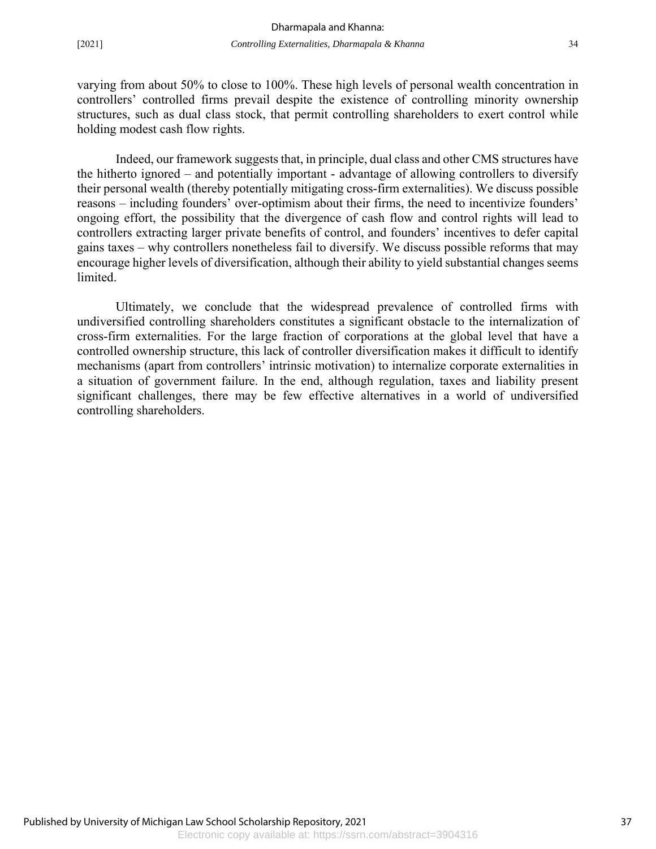varying from about 50% to close to 100%. These high levels of personal wealth concentration in controllers' controlled firms prevail despite the existence of controlling minority ownership structures, such as dual class stock, that permit controlling shareholders to exert control while holding modest cash flow rights.

Indeed, our framework suggests that, in principle, dual class and other CMS structures have the hitherto ignored – and potentially important - advantage of allowing controllers to diversify their personal wealth (thereby potentially mitigating cross-firm externalities). We discuss possible reasons – including founders' over-optimism about their firms, the need to incentivize founders' ongoing effort, the possibility that the divergence of cash flow and control rights will lead to controllers extracting larger private benefits of control, and founders' incentives to defer capital gains taxes – why controllers nonetheless fail to diversify. We discuss possible reforms that may encourage higher levels of diversification, although their ability to yield substantial changes seems limited.

Ultimately, we conclude that the widespread prevalence of controlled firms with undiversified controlling shareholders constitutes a significant obstacle to the internalization of cross-firm externalities. For the large fraction of corporations at the global level that have a controlled ownership structure, this lack of controller diversification makes it difficult to identify mechanisms (apart from controllers' intrinsic motivation) to internalize corporate externalities in a situation of government failure. In the end, although regulation, taxes and liability present significant challenges, there may be few effective alternatives in a world of undiversified controlling shareholders.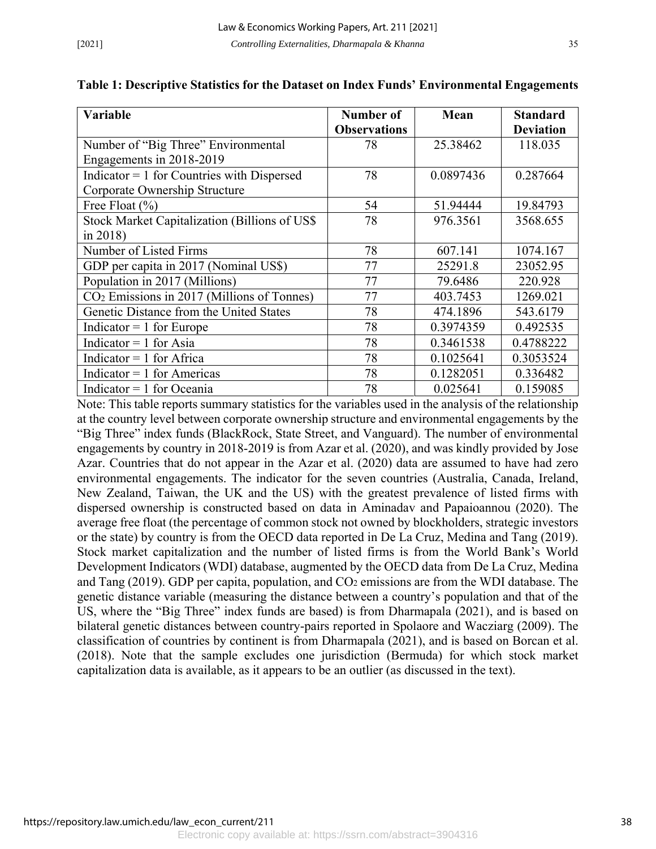| Variable                                               | Number of           | Mean      | <b>Standard</b>  |
|--------------------------------------------------------|---------------------|-----------|------------------|
|                                                        | <b>Observations</b> |           | <b>Deviation</b> |
| Number of "Big Three" Environmental                    | 78                  | 25.38462  | 118.035          |
| Engagements in 2018-2019                               |                     |           |                  |
| Indicator $= 1$ for Countries with Dispersed           | 78                  | 0.0897436 | 0.287664         |
| Corporate Ownership Structure                          |                     |           |                  |
| Free Float $(\% )$                                     | 54                  | 51.94444  | 19.84793         |
| Stock Market Capitalization (Billions of US\$          | 78                  | 976.3561  | 3568.655         |
| in $2018$ )                                            |                     |           |                  |
| Number of Listed Firms                                 | 78                  | 607.141   | 1074.167         |
| GDP per capita in 2017 (Nominal US\$)                  | 77                  | 25291.8   | 23052.95         |
| Population in 2017 (Millions)                          | 77                  | 79.6486   | 220.928          |
| CO <sub>2</sub> Emissions in 2017 (Millions of Tonnes) | 77                  | 403.7453  | 1269.021         |
| Genetic Distance from the United States                | 78                  | 474.1896  | 543.6179         |
| Indicator $= 1$ for Europe                             | 78                  | 0.3974359 | 0.492535         |
| Indicator = $1$ for Asia                               | 78                  | 0.3461538 | 0.4788222        |
| Indicator = $1$ for Africa                             | 78                  | 0.1025641 | 0.3053524        |
| Indicator = $1$ for Americas                           | 78                  | 0.1282051 | 0.336482         |
| Indicator $= 1$ for Oceania                            | 78                  | 0.025641  | 0.159085         |

#### **Table 1: Descriptive Statistics for the Dataset on Index Funds' Environmental Engagements**

Note: This table reports summary statistics for the variables used in the analysis of the relationship at the country level between corporate ownership structure and environmental engagements by the "Big Three" index funds (BlackRock, State Street, and Vanguard). The number of environmental engagements by country in 2018-2019 is from Azar et al. (2020), and was kindly provided by Jose Azar. Countries that do not appear in the Azar et al. (2020) data are assumed to have had zero environmental engagements. The indicator for the seven countries (Australia, Canada, Ireland, New Zealand, Taiwan, the UK and the US) with the greatest prevalence of listed firms with dispersed ownership is constructed based on data in Aminadav and Papaioannou (2020). The average free float (the percentage of common stock not owned by blockholders, strategic investors or the state) by country is from the OECD data reported in De La Cruz, Medina and Tang (2019). Stock market capitalization and the number of listed firms is from the World Bank's World Development Indicators (WDI) database, augmented by the OECD data from De La Cruz, Medina and Tang  $(2019)$ . GDP per capita, population, and  $CO<sub>2</sub>$  emissions are from the WDI database. The genetic distance variable (measuring the distance between a country's population and that of the US, where the "Big Three" index funds are based) is from Dharmapala (2021), and is based on bilateral genetic distances between country-pairs reported in Spolaore and Wacziarg (2009). The classification of countries by continent is from Dharmapala (2021), and is based on Borcan et al. (2018). Note that the sample excludes one jurisdiction (Bermuda) for which stock market capitalization data is available, as it appears to be an outlier (as discussed in the text).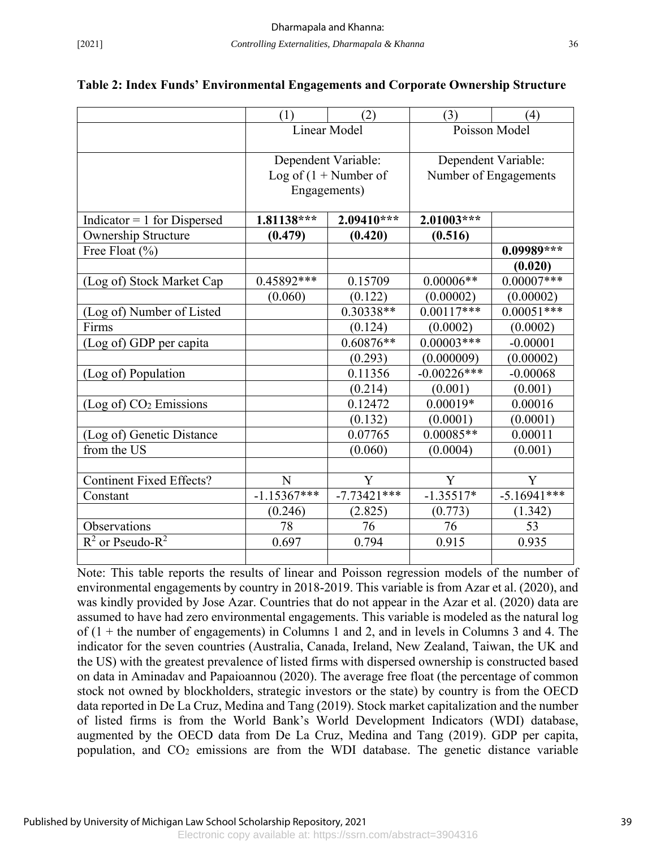|                                    | (1)                 | (2)                     | (3)                   | (4)                 |  |
|------------------------------------|---------------------|-------------------------|-----------------------|---------------------|--|
|                                    | <b>Linear Model</b> |                         | Poisson Model         |                     |  |
|                                    |                     | Dependent Variable:     |                       | Dependent Variable: |  |
|                                    |                     | Log of $(1 +$ Number of | Number of Engagements |                     |  |
|                                    |                     | Engagements)            |                       |                     |  |
| Indicator = $1$ for Dispersed      | 1.81138***          | 2.09410***              | $2.01003***$          |                     |  |
| Ownership Structure                | (0.479)             | (0.420)                 | (0.516)               |                     |  |
| Free Float $(\% )$                 |                     |                         |                       | $0.09989***$        |  |
|                                    |                     |                         |                       | (0.020)             |  |
| (Log of) Stock Market Cap          | 0.45892***          | 0.15709                 | $0.00006**$           | $0.00007***$        |  |
|                                    | (0.060)             | (0.122)                 | (0.00002)             | (0.00002)           |  |
| (Log of) Number of Listed          |                     | 0.30338**               | $0.00117***$          | $0.00051***$        |  |
| Firms                              |                     | (0.124)                 | (0.0002)              | (0.0002)            |  |
| (Log of) GDP per capita            |                     | $0.60876**$             | $0.00003$ ***         | $-0.00001$          |  |
|                                    |                     | (0.293)                 | (0.000009)            | (0.00002)           |  |
| (Log of) Population                |                     | 0.11356                 | $-0.00226***$         | $-0.00068$          |  |
|                                    |                     | (0.214)                 | (0.001)               | (0.001)             |  |
| (Log of) CO <sub>2</sub> Emissions |                     | 0.12472                 | $0.00019*$            | 0.00016             |  |
|                                    |                     | (0.132)                 | (0.0001)              | (0.0001)            |  |
| (Log of) Genetic Distance          |                     | 0.07765                 | $0.00085**$           | 0.00011             |  |
| from the US                        |                     | (0.060)                 | (0.0004)              | (0.001)             |  |
|                                    |                     |                         |                       |                     |  |
| <b>Continent Fixed Effects?</b>    | N                   | Y                       | Y                     | Y                   |  |
| Constant                           | $-1.15367***$       | $-7.73421***$           | $-1.35517*$           | $-5.16941***$       |  |
|                                    | (0.246)             | (2.825)                 | (0.773)               | (1.342)             |  |
| Observations                       | 78                  | 76                      | 76                    | 53                  |  |
| $R^2$ or Pseudo- $R^2$             | 0.697               | 0.794                   | 0.915                 | 0.935               |  |
|                                    |                     |                         |                       |                     |  |

#### **Table 2: Index Funds' Environmental Engagements and Corporate Ownership Structure**

Note: This table reports the results of linear and Poisson regression models of the number of environmental engagements by country in 2018-2019. This variable is from Azar et al. (2020), and was kindly provided by Jose Azar. Countries that do not appear in the Azar et al. (2020) data are assumed to have had zero environmental engagements. This variable is modeled as the natural log of  $(1 +$  the number of engagements) in Columns 1 and 2, and in levels in Columns 3 and 4. The indicator for the seven countries (Australia, Canada, Ireland, New Zealand, Taiwan, the UK and the US) with the greatest prevalence of listed firms with dispersed ownership is constructed based on data in Aminadav and Papaioannou (2020). The average free float (the percentage of common stock not owned by blockholders, strategic investors or the state) by country is from the OECD data reported in De La Cruz, Medina and Tang (2019). Stock market capitalization and the number of listed firms is from the World Bank's World Development Indicators (WDI) database, augmented by the OECD data from De La Cruz, Medina and Tang (2019). GDP per capita, population, and CO2 emissions are from the WDI database. The genetic distance variable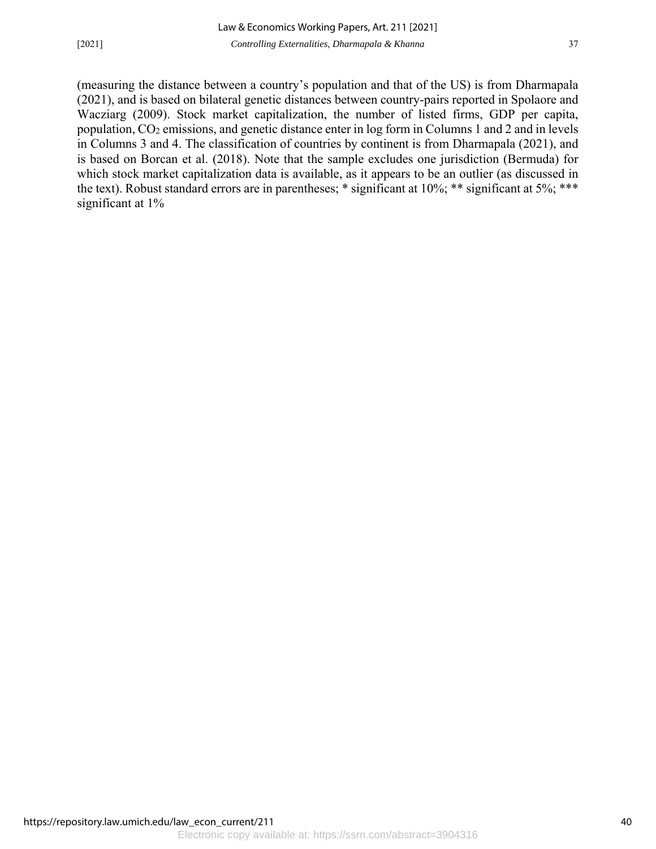(measuring the distance between a country's population and that of the US) is from Dharmapala (2021), and is based on bilateral genetic distances between country-pairs reported in Spolaore and Wacziarg (2009). Stock market capitalization, the number of listed firms, GDP per capita, population, CO2 emissions, and genetic distance enter in log form in Columns 1 and 2 and in levels in Columns 3 and 4. The classification of countries by continent is from Dharmapala (2021), and is based on Borcan et al. (2018). Note that the sample excludes one jurisdiction (Bermuda) for which stock market capitalization data is available, as it appears to be an outlier (as discussed in the text). Robust standard errors are in parentheses; \* significant at 10%; \*\* significant at 5%; \*\*\* significant at 1%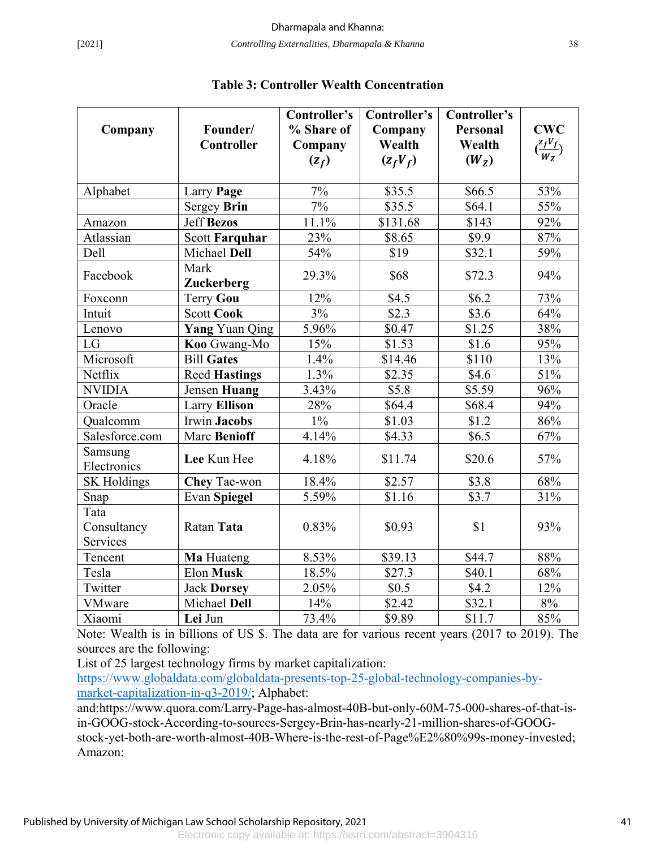|                        |                       | Controller's | Controller's | Controller's      |                                    |
|------------------------|-----------------------|--------------|--------------|-------------------|------------------------------------|
| Company                | Founder/              | % Share of   | Company      | <b>Personal</b>   | <b>CWC</b>                         |
|                        | Controller            | Company      | Wealth       | Wealth            | $\left(\frac{z_f V_f}{W_z}\right)$ |
|                        |                       | $(z_f)$      | $(z_fV_f)$   | (W <sub>z</sub> ) |                                    |
|                        |                       |              |              |                   |                                    |
| Alphabet               | Larry Page            | 7%           | \$35.5       | \$66.5            | 53%                                |
|                        | Sergey Brin           | 7%           | \$35.5       | \$64.1            | 55%                                |
| Amazon                 | <b>Jeff Bezos</b>     | 11.1%        | \$131.68     | \$143             | 92%                                |
| Atlassian              | <b>Scott Farquhar</b> | 23%          | \$8.65       | \$9.9             | 87%                                |
| Dell                   | Michael Dell          | 54%          | \$19         | \$32.1            | 59%                                |
| Facebook               | Mark                  | 29.3%        |              |                   | 94%                                |
|                        | <b>Zuckerberg</b>     |              | \$68         | \$72.3            |                                    |
| Foxconn                | Terry Gou             | 12%          | \$4.5        | \$6.2\$           | 73%                                |
| Intuit                 | <b>Scott Cook</b>     | 3%           | \$2.3        | \$3.6             | 64%                                |
| Lenovo                 | <b>Yang</b> Yuan Qing | 5.96%        | \$0.47       | \$1.25            | 38%                                |
| LG                     | Koo Gwang-Mo          | 15%          | \$1.53       | \$1.6             | 95%                                |
| Microsoft              | <b>Bill Gates</b>     | 1.4%         | \$14.46      | \$110             | 13%                                |
| Netflix                | <b>Reed Hastings</b>  | $1.3\%$      | \$2.35       | \$4.6             | 51%                                |
| <b>NVIDIA</b>          | Jensen Huang          | 3.43%        | \$5.8        | \$5.59            | 96%                                |
| Oracle                 | <b>Larry Ellison</b>  | 28%          | \$64.4       | \$68.4            | 94%                                |
| Qualcomm               | <b>Irwin Jacobs</b>   | $1\%$        | \$1.03       | \$1.2             | 86%                                |
| Salesforce.com         | <b>Marc Benioff</b>   | 4.14%        | \$4.33       | \$6.5             | 67%                                |
| Samsung<br>Electronics | Lee Kun Hee           | 4.18%        | \$11.74      | \$20.6            | 57%                                |
| <b>SK Holdings</b>     | <b>Chey Tae-won</b>   | 18.4%        | \$2.57       | \$3.8             | 68%                                |
| Snap                   | <b>Evan Spiegel</b>   | 5.59%        | \$1.16       | \$3.7             | 31%                                |
| Tata                   |                       |              |              |                   |                                    |
| Consultancy            | Ratan Tata            | 0.83%        | \$0.93       | \$1               | 93%                                |
| Services               |                       |              |              |                   |                                    |
| Tencent                | Ma Huateng            | 8.53%        | \$39.13      | \$44.7            | 88%                                |
| Tesla                  | Elon Musk             | 18.5%        | \$27.3       | \$40.1            | 68%                                |
| Twitter                | <b>Jack Dorsey</b>    | 2.05%        | \$0.5        | \$4.2             | 12%                                |
| <b>VMware</b>          | Michael Dell          | 14%          | \$2.42       | \$32.1            | 8%                                 |
| Xiaomi                 | Lei Jun               | 73.4%        | \$9.89       | \$11.7            | 85%                                |

#### **Table 3: Controller Wealth Concentration**

Note: Wealth is in billions of US \$. The data are for various recent years (2017 to 2019). The sources are the following:

List of 25 largest technology firms by market capitalization:

https://www.globaldata.com/globaldata-presents-top-25-global-technology-companies-bymarket-capitalization-in-q3-2019/; Alphabet:

and:https://www.quora.com/Larry-Page-has-almost-40B-but-only-60M-75-000-shares-of-that-isin-GOOG-stock-According-to-sources-Sergey-Brin-has-nearly-21-million-shares-of-GOOGstock-yet-both-are-worth-almost-40B-Where-is-the-rest-of-Page%E2%80%99s-money-invested; Amazon: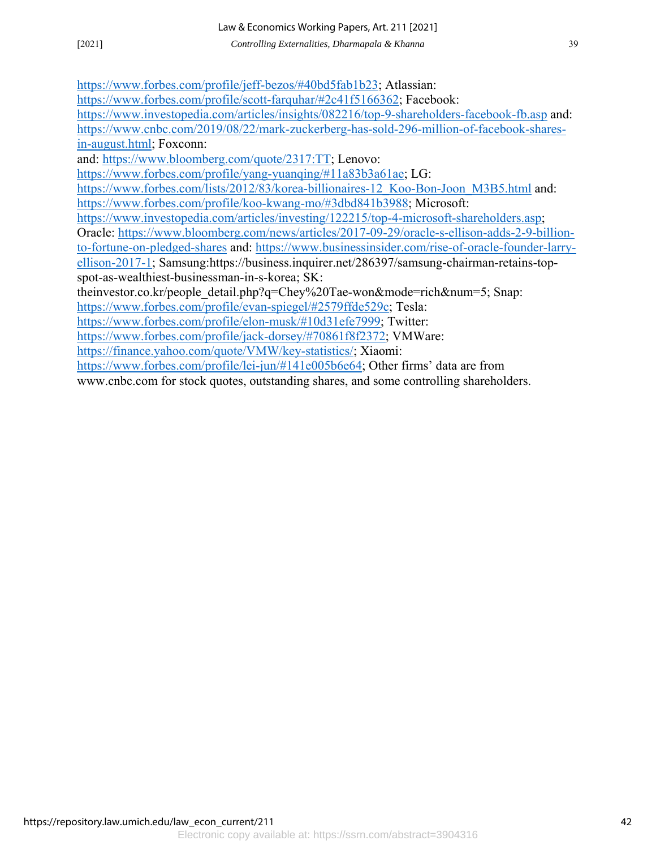https://www.forbes.com/profile/jeff-bezos/#40bd5fab1b23; Atlassian:

https://www.forbes.com/profile/scott-farquhar/#2c41f5166362; Facebook:

https://www.investopedia.com/articles/insights/082216/top-9-shareholders-facebook-fb.asp and: https://www.cnbc.com/2019/08/22/mark-zuckerberg-has-sold-296-million-of-facebook-sharesin-august.html; Foxconn:

and: https://www.bloomberg.com/quote/2317:TT; Lenovo:

https://www.forbes.com/profile/yang-yuanqing/#11a83b3a61ae; LG:

https://www.forbes.com/lists/2012/83/korea-billionaires-12\_Koo-Bon-Joon\_M3B5.html and: https://www.forbes.com/profile/koo-kwang-mo/#3dbd841b3988; Microsoft:

https://www.investopedia.com/articles/investing/122215/top-4-microsoft-shareholders.asp;

Oracle: https://www.bloomberg.com/news/articles/2017-09-29/oracle-s-ellison-adds-2-9-billion-

to-fortune-on-pledged-shares and: https://www.businessinsider.com/rise-of-oracle-founder-larryellison-2017-1; Samsung:https://business.inquirer.net/286397/samsung-chairman-retains-topspot-as-wealthiest-businessman-in-s-korea; SK:

theinvestor.co.kr/people\_detail.php?q=Chey%20Tae-won&mode=rich&num=5; Snap:

https://www.forbes.com/profile/evan-spiegel/#2579ffde529c; Tesla:

https://www.forbes.com/profile/elon-musk/#10d31efe7999; Twitter:

https://www.forbes.com/profile/jack-dorsey/#70861f8f2372; VMWare:

https://finance.yahoo.com/quote/VMW/key-statistics/; Xiaomi:

https://www.forbes.com/profile/lei-jun/#141e005b6e64; Other firms' data are from

www.cnbc.com for stock quotes, outstanding shares, and some controlling shareholders.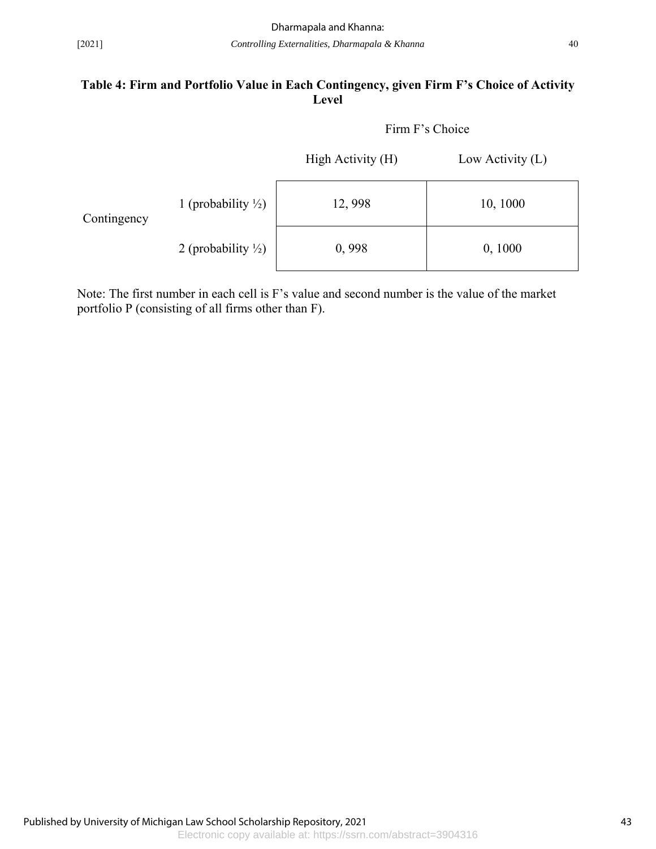#### **Table 4: Firm and Portfolio Value in Each Contingency, given Firm F's Choice of Activity Level**

| Firm F's Choice |
|-----------------|
|                 |

|             |                                | High Activity (H) | Low Activity $(L)$ |
|-------------|--------------------------------|-------------------|--------------------|
| Contingency | 1 (probability $\frac{1}{2}$ ) | 12,998            | 10, 1000           |
|             | 2 (probability $\frac{1}{2}$ ) | 0,998             | 0, 1000            |

Note: The first number in each cell is F's value and second number is the value of the market portfolio P (consisting of all firms other than F).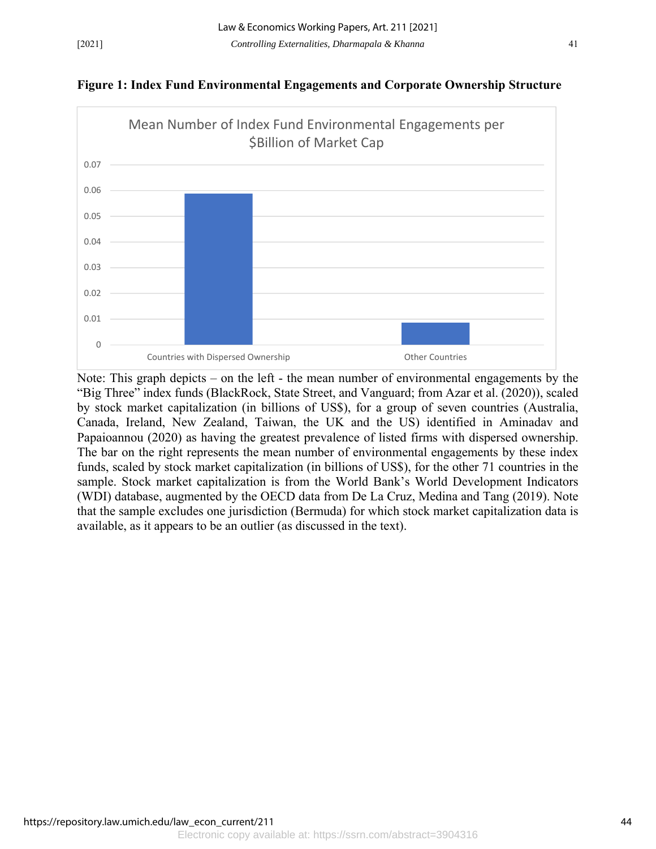



Note: This graph depicts – on the left - the mean number of environmental engagements by the "Big Three" index funds (BlackRock, State Street, and Vanguard; from Azar et al. (2020)), scaled by stock market capitalization (in billions of US\$), for a group of seven countries (Australia, Canada, Ireland, New Zealand, Taiwan, the UK and the US) identified in Aminadav and Papaioannou (2020) as having the greatest prevalence of listed firms with dispersed ownership. The bar on the right represents the mean number of environmental engagements by these index funds, scaled by stock market capitalization (in billions of US\$), for the other 71 countries in the sample. Stock market capitalization is from the World Bank's World Development Indicators (WDI) database, augmented by the OECD data from De La Cruz, Medina and Tang (2019). Note that the sample excludes one jurisdiction (Bermuda) for which stock market capitalization data is available, as it appears to be an outlier (as discussed in the text).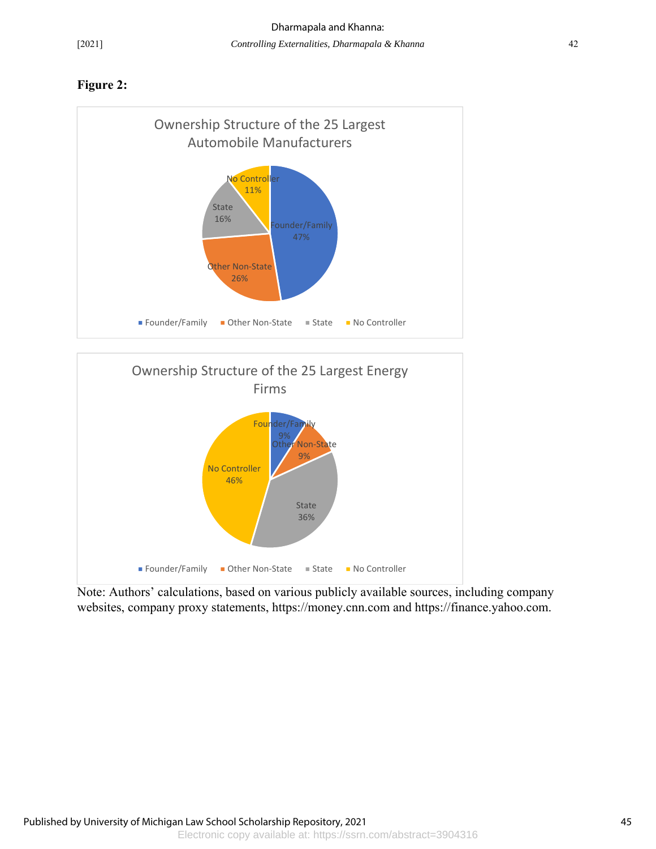### **Figure 2:**





Note: Authors' calculations, based on various publicly available sources, including company websites, company proxy statements, https://money.cnn.com and https://finance.yahoo.com.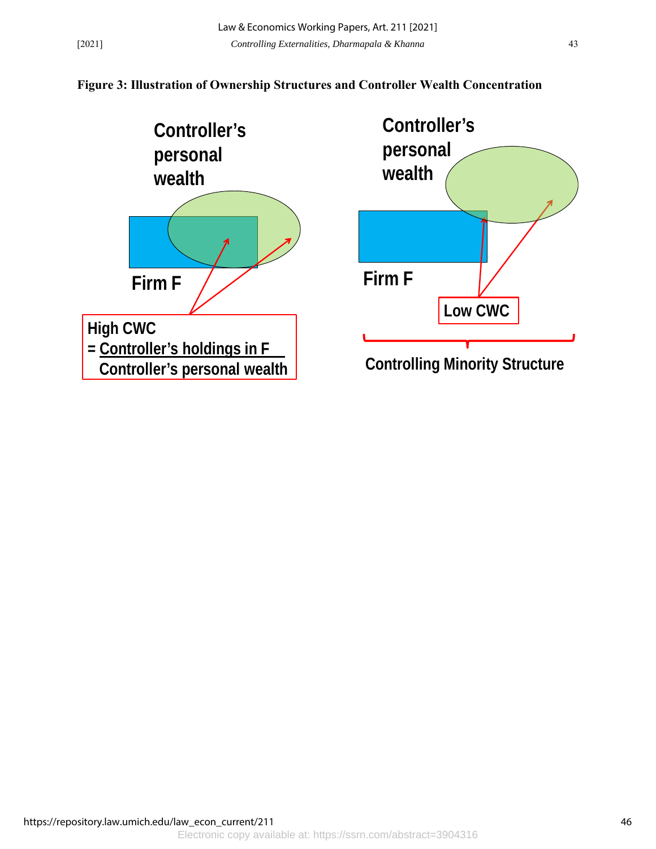### **Figure 3: Illustration of Ownership Structures and Controller Wealth Concentration**



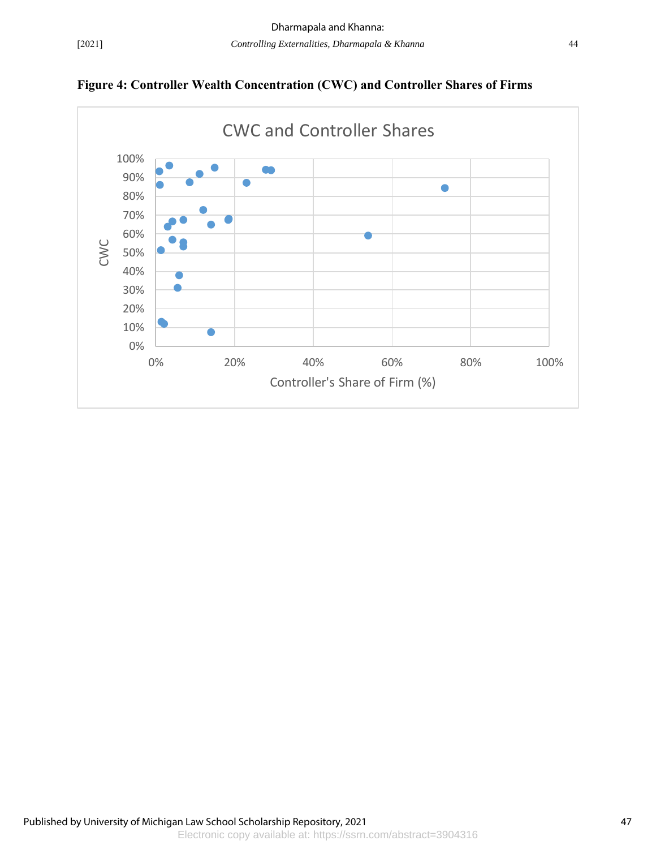

**Figure 4: Controller Wealth Concentration (CWC) and Controller Shares of Firms**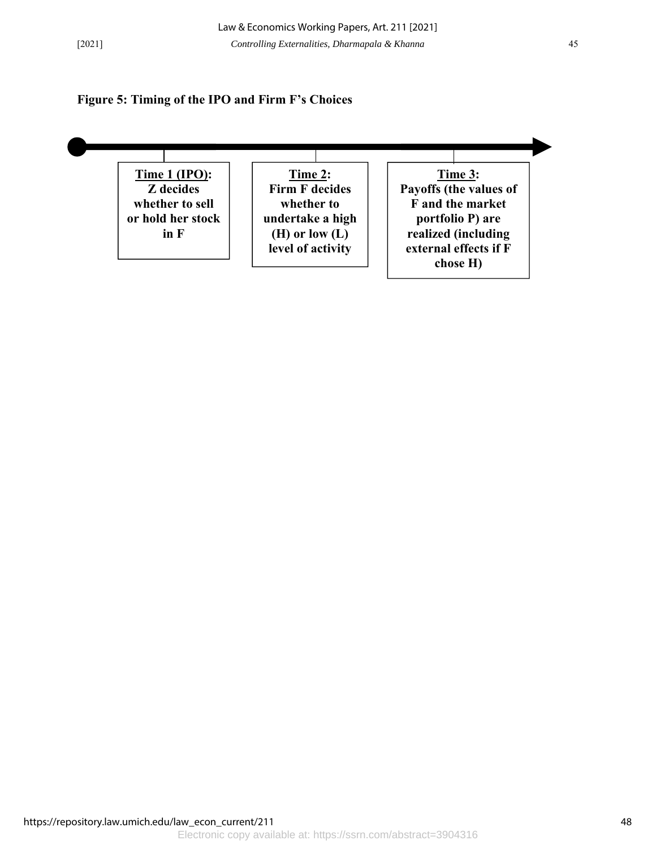#### **Figure 5: Timing of the IPO and Firm F's Choices**

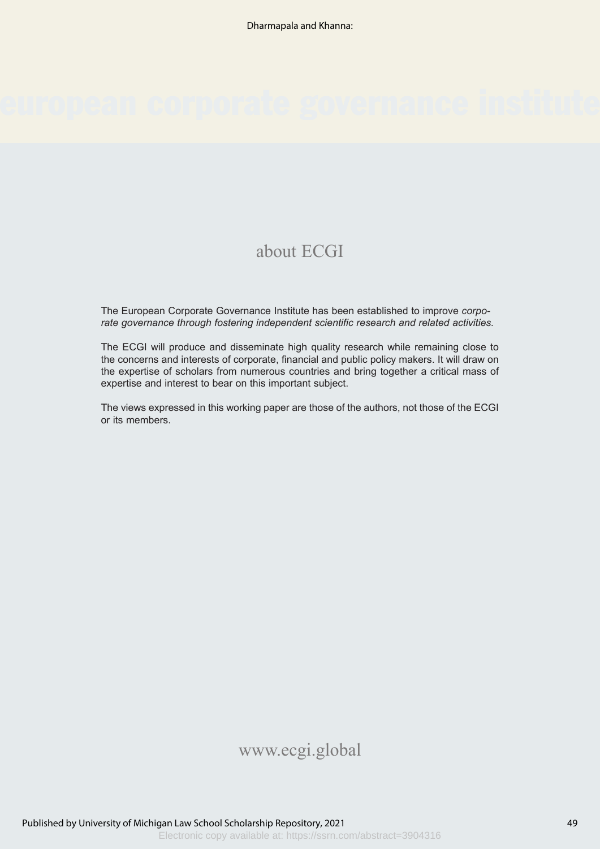## about ECGI

The European Corporate Governance Institute has been established to improve *corporate governance through fostering independent scientific research and related activities.*

The ECGI will produce and disseminate high quality research while remaining close to the concerns and interests of corporate, financial and public policy makers. It will draw on the expertise of scholars from numerous countries and bring together a critical mass of expertise and interest to bear on this important subject.

The views expressed in this working paper are those of the authors, not those of the ECGI or its members.

## www.ecgi.global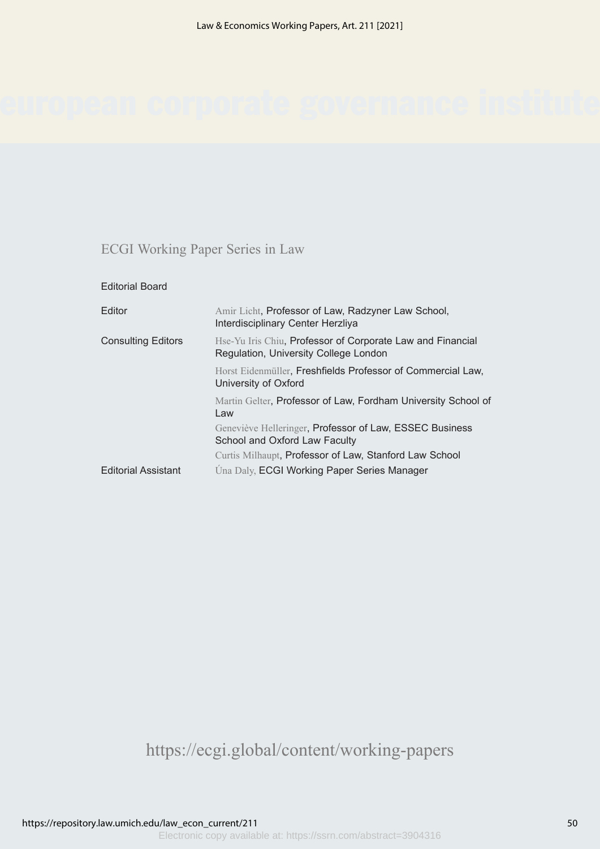## ECGI Working Paper Series in Law

| <b>Editorial Board</b>     |                                                                                                     |
|----------------------------|-----------------------------------------------------------------------------------------------------|
| Editor                     | Amir Licht, Professor of Law, Radzyner Law School,<br>Interdisciplinary Center Herzliya             |
| <b>Consulting Editors</b>  | Hse-Yu Iris Chiu, Professor of Corporate Law and Financial<br>Regulation, University College London |
|                            | Horst Eidenmüller, Freshfields Professor of Commercial Law,<br>University of Oxford                 |
|                            | Martin Gelter, Professor of Law, Fordham University School of<br>Law                                |
|                            | Geneviève Helleringer, Professor of Law, ESSEC Business<br>School and Oxford Law Faculty            |
|                            | Curtis Milhaupt, Professor of Law, Stanford Law School                                              |
| <b>Editorial Assistant</b> | <b>Úna Daly, ECGI Working Paper Series Manager</b>                                                  |
|                            |                                                                                                     |

https://ecgi.global/content/working-papers